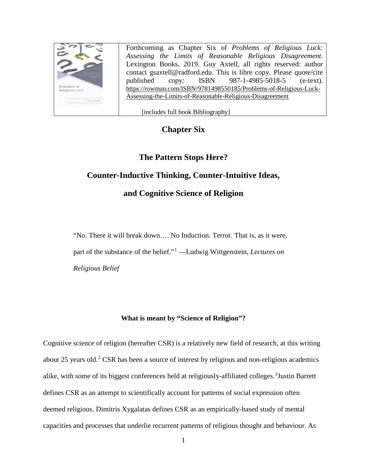

Forthcoming as Chapter Six of *Problems of Religious Luck: Assessing the Limits of Reasonable Religious Disagreement.* Lexington Books, 2019. Guy Axtell, all rights reserved: author contact gsaxtell@radford.edu. This is libre copy. Please quote/cite published copy: ISBN 987-1-4985-5018-5 (e-text). [https://rowman.com/ISBN/9781498550185/Problems-of-Religious-Luck-](https://rowman.com/ISBN/9781498550185/Problems-of-Religious-Luck-Assessing-the-Limits-of-Reasonable-Religious-Disagreement)[Assessing-the-Limits-of-Reasonable-Religious-Disagreement](https://rowman.com/ISBN/9781498550185/Problems-of-Religious-Luck-Assessing-the-Limits-of-Reasonable-Religious-Disagreement)

[includes full book Bibliography]

## **Chapter Six**

## **The Pattern Stops Here?**

# **Counter-Inductive Thinking, Counter-Intuitive Ideas,**

## **and Cognitive Science of Religion**

"No. There it will break down…. No Induction. Terror. That is, as it were, part of the substance of the belief."[1](#page-89-0) —Ludwig Wittgenstein, *Lectures on Religious Belief*

#### **What is meant by "Science of Religion"?**

Cognitive science of religion (hereafter CSR) is a relatively new field of research, at this writing about [2](#page-89-1)5 years old.<sup>2</sup> CSR has been a source of interest by religious and non-religious academics alike, with some of its biggest conferences held at religiously-affiliated colleges.<sup>[3](#page-89-2)</sup>Justin Barrett defines CSR as an attempt to scientifically account for patterns of social expression often deemed religious. Dimitris Xygalatas defines CSR as an empirically-based study of mental capacities and processes that underlie recurrent patterns of religious thought and behaviour. As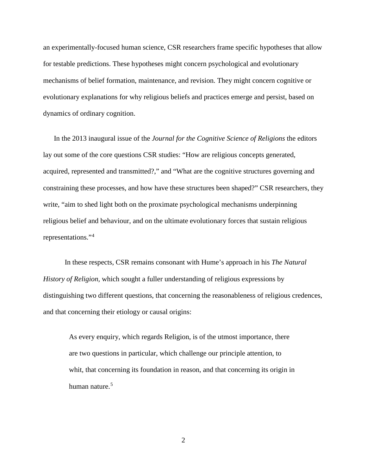an experimentally-focused human science, CSR researchers frame specific hypotheses that allow for testable predictions. These hypotheses might concern psychological and evolutionary mechanisms of belief formation, maintenance, and revision. They might concern cognitive or evolutionary explanations for why religious beliefs and practices emerge and persist, based on dynamics of ordinary cognition.

In the 2013 inaugural issue of the *Journal for the Cognitive Science of Religions* the editors lay out some of the core questions CSR studies: "How are religious concepts generated, acquired, represented and transmitted?," and "What are the cognitive structures governing and constraining these processes, and how have these structures been shaped?" CSR researchers, they write, "aim to shed light both on the proximate psychological mechanisms underpinning religious belief and behaviour, and on the ultimate evolutionary forces that sustain religious representations."[4](#page-89-3)

In these respects, CSR remains consonant with Hume's approach in his *The Natural History of Religion,* which sought a fuller understanding of religious expressions by distinguishing two different questions, that concerning the reasonableness of religious credences, and that concerning their etiology or causal origins:

As every enquiry, which regards Religion, is of the utmost importance, there are two questions in particular, which challenge our principle attention, to whit, that concerning its foundation in reason, and that concerning its origin in human nature.<sup>[5](#page-89-4)</sup>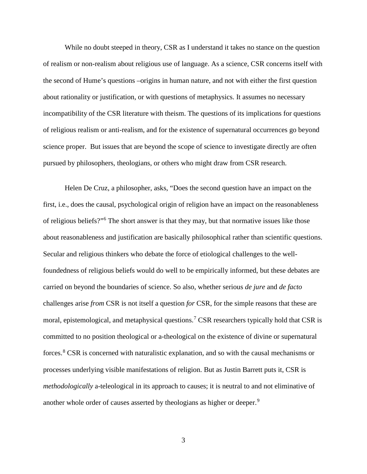While no doubt steeped in theory, CSR as I understand it takes no stance on the question of realism or non-realism about religious use of language. As a science, CSR concerns itself with the second of Hume's questions –origins in human nature, and not with either the first question about rationality or justification, or with questions of metaphysics. It assumes no necessary incompatibility of the CSR literature with theism. The questions of its implications for questions of religious realism or anti-realism, and for the existence of supernatural occurrences go beyond science proper. But issues that are beyond the scope of science to investigate directly are often pursued by philosophers, theologians, or others who might draw from CSR research.

Helen De Cruz, a philosopher, asks, "Does the second question have an impact on the first, i.e., does the causal, psychological origin of religion have an impact on the reasonableness of religious beliefs?"[6](#page-90-0) The short answer is that they may, but that normative issues like those about reasonableness and justification are basically philosophical rather than scientific questions. Secular and religious thinkers who debate the force of etiological challenges to the wellfoundedness of religious beliefs would do well to be empirically informed, but these debates are carried on beyond the boundaries of science. So also, whether serious *de jure* and *de facto* challenges arise *from* CSR is not itself a question *for* CSR, for the simple reasons that these are moral, epistemological, and metaphysical questions.<sup>[7](#page-90-1)</sup> CSR researchers typically hold that CSR is committed to no position theological or a-theological on the existence of divine or supernatural forces.[8](#page-91-0) CSR is concerned with naturalistic explanation, and so with the causal mechanisms or processes underlying visible manifestations of religion. But as Justin Barrett puts it, CSR is *methodologically* a-teleological in its approach to causes; it is neutral to and not eliminative of another whole order of causes asserted by theologians as higher or deeper.<sup>[9](#page-91-1)</sup>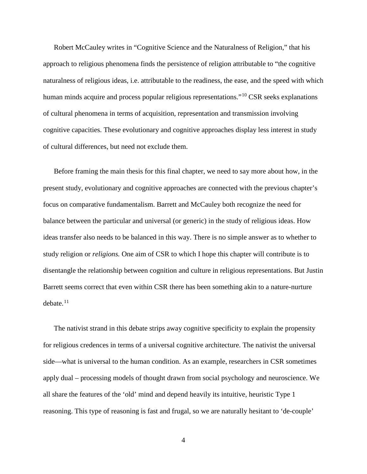Robert McCauley writes in "Cognitive Science and the Naturalness of Religion," that his approach to religious phenomena finds the persistence of religion attributable to "the cognitive naturalness of religious ideas, i.e. attributable to the readiness, the ease, and the speed with which human minds acquire and process popular religious representations."<sup>[10](#page-92-0)</sup> CSR seeks explanations of cultural phenomena in terms of acquisition, representation and transmission involving cognitive capacities. These evolutionary and cognitive approaches display less interest in study of cultural differences, but need not exclude them.

Before framing the main thesis for this final chapter, we need to say more about how, in the present study, evolutionary and cognitive approaches are connected with the previous chapter's focus on comparative fundamentalism. Barrett and McCauley both recognize the need for balance between the particular and universal (or generic) in the study of religious ideas. How ideas transfer also needs to be balanced in this way. There is no simple answer as to whether to study religion or *religions.* One aim of CSR to which I hope this chapter will contribute is to disentangle the relationship between cognition and culture in religious representations. But Justin Barrett seems correct that even within CSR there has been something akin to a nature-nurture  $debate.<sup>11</sup>$  $debate.<sup>11</sup>$  $debate.<sup>11</sup>$ 

The nativist strand in this debate strips away cognitive specificity to explain the propensity for religious credences in terms of a universal cognitive architecture. The nativist the universal side—what is universal to the human condition. As an example, researchers in CSR sometimes apply dual – processing models of thought drawn from social psychology and neuroscience. We all share the features of the 'old' mind and depend heavily its intuitive, heuristic Type 1 reasoning. This type of reasoning is fast and frugal, so we are naturally hesitant to 'de-couple'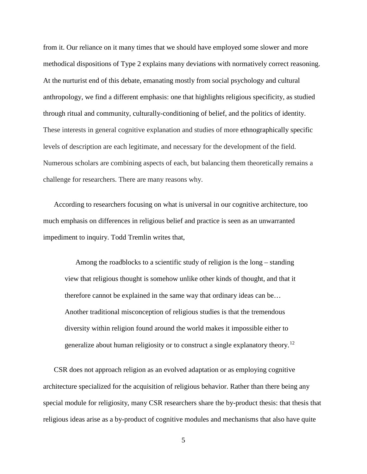from it. Our reliance on it many times that we should have employed some slower and more methodical dispositions of Type 2 explains many deviations with normatively correct reasoning. At the nurturist end of this debate, emanating mostly from social psychology and cultural anthropology, we find a different emphasis: one that highlights religious specificity, as studied through ritual and community, culturally-conditioning of belief, and the politics of identity. These interests in general cognitive explanation and studies of more ethnographically specific levels of description are each legitimate, and necessary for the development of the field. Numerous scholars are combining aspects of each, but balancing them theoretically remains a challenge for researchers. There are many reasons why.

According to researchers focusing on what is universal in our cognitive architecture, too much emphasis on differences in religious belief and practice is seen as an unwarranted impediment to inquiry. Todd Tremlin writes that,

Among the roadblocks to a scientific study of religion is the long – standing view that religious thought is somehow unlike other kinds of thought, and that it therefore cannot be explained in the same way that ordinary ideas can be… Another traditional misconception of religious studies is that the tremendous diversity within religion found around the world makes it impossible either to generalize about human religiosity or to construct a single explanatory theory.<sup>[12](#page-92-2)</sup>

CSR does not approach religion as an evolved adaptation or as employing cognitive architecture specialized for the acquisition of religious behavior. Rather than there being any special module for religiosity, many CSR researchers share the by-product thesis: that thesis that religious ideas arise as a by-product of cognitive modules and mechanisms that also have quite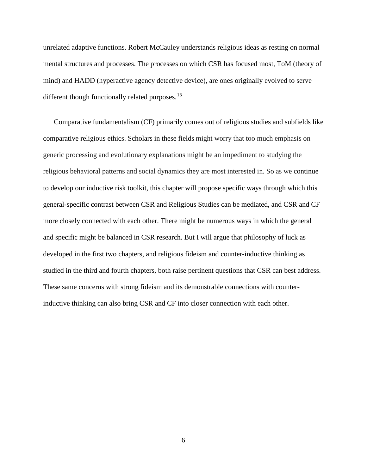unrelated adaptive functions. Robert McCauley understands religious ideas as resting on normal mental structures and processes. The processes on which CSR has focused most, ToM (theory of mind) and HADD (hyperactive agency detective device), are ones originally evolved to serve different though functionally related purposes. $^{13}$  $^{13}$  $^{13}$ 

Comparative fundamentalism (CF) primarily comes out of religious studies and subfields like comparative religious ethics. Scholars in these fields might worry that too much emphasis on generic processing and evolutionary explanations might be an impediment to studying the religious behavioral patterns and social dynamics they are most interested in. So as we continue to develop our inductive risk toolkit, this chapter will propose specific ways through which this general-specific contrast between CSR and Religious Studies can be mediated, and CSR and CF more closely connected with each other. There might be numerous ways in which the general and specific might be balanced in CSR research. But I will argue that philosophy of luck as developed in the first two chapters, and religious fideism and counter-inductive thinking as studied in the third and fourth chapters, both raise pertinent questions that CSR can best address. These same concerns with strong fideism and its demonstrable connections with counterinductive thinking can also bring CSR and CF into closer connection with each other.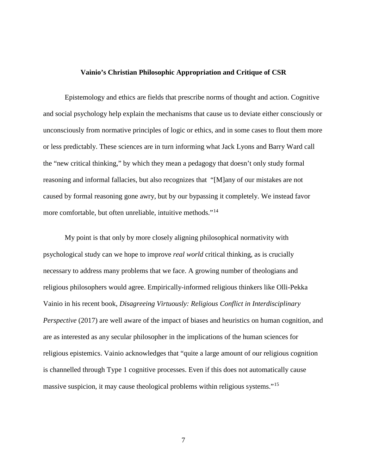#### **Vainio's Christian Philosophic Appropriation and Critique of CSR**

Epistemology and ethics are fields that prescribe norms of thought and action. Cognitive and social psychology help explain the mechanisms that cause us to deviate either consciously or unconsciously from normative principles of logic or ethics, and in some cases to flout them more or less predictably. These sciences are in turn informing what Jack Lyons and Barry Ward call the "new critical thinking," by which they mean a pedagogy that doesn't only study formal reasoning and informal fallacies, but also recognizes that "[M]any of our mistakes are not caused by formal reasoning gone awry, but by our bypassing it completely. We instead favor more comfortable, but often unreliable, intuitive methods."<sup>[14](#page-92-4)</sup>

My point is that only by more closely aligning philosophical normativity with psychological study can we hope to improve *real world* critical thinking, as is crucially necessary to address many problems that we face. A growing number of theologians and religious philosophers would agree. Empirically-informed religious thinkers like Olli-Pekka Vainio in his recent book, *Disagreeing Virtuously: Religious Conflict in Interdisciplinary Perspective* (2017) are well aware of the impact of biases and heuristics on human cognition, and are as interested as any secular philosopher in the implications of the human sciences for religious epistemics. Vainio acknowledges that "quite a large amount of our religious cognition is channelled through Type 1 cognitive processes. Even if this does not automatically cause massive suspicion, it may cause theological problems within religious systems."[15](#page-93-0)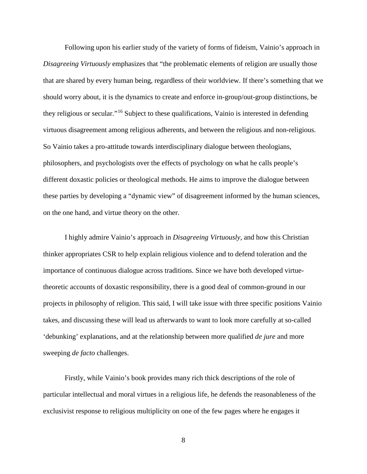Following upon his earlier study of the variety of forms of fideism, Vainio's approach in *Disagreeing Virtuously* emphasizes that "the problematic elements of religion are usually those that are shared by every human being, regardless of their worldview. If there's something that we should worry about, it is the dynamics to create and enforce in-group/out-group distinctions, be they religious or secular."[16](#page-93-1) Subject to these qualifications, Vainio is interested in defending virtuous disagreement among religious adherents, and between the religious and non-religious. So Vainio takes a pro-attitude towards interdisciplinary dialogue between theologians, philosophers, and psychologists over the effects of psychology on what he calls people's different doxastic policies or theological methods. He aims to improve the dialogue between these parties by developing a "dynamic view" of disagreement informed by the human sciences, on the one hand, and virtue theory on the other.

I highly admire Vainio's approach in *Disagreeing Virtuously,* and how this Christian thinker appropriates CSR to help explain religious violence and to defend toleration and the importance of continuous dialogue across traditions. Since we have both developed virtuetheoretic accounts of doxastic responsibility, there is a good deal of common-ground in our projects in philosophy of religion. This said, I will take issue with three specific positions Vainio takes, and discussing these will lead us afterwards to want to look more carefully at so-called 'debunking' explanations, and at the relationship between more qualified *de jure* and more sweeping *de facto* challenges.

Firstly, while Vainio's book provides many rich thick descriptions of the role of particular intellectual and moral virtues in a religious life, he defends the reasonableness of the exclusivist response to religious multiplicity on one of the few pages where he engages it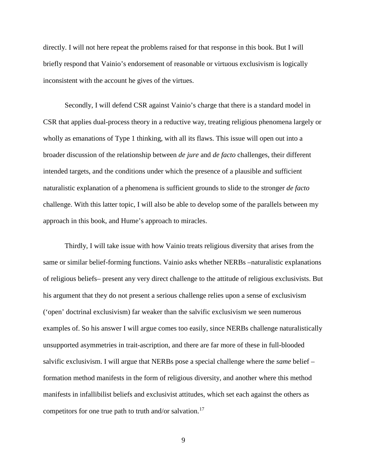directly. I will not here repeat the problems raised for that response in this book. But I will briefly respond that Vainio's endorsement of reasonable or virtuous exclusivism is logically inconsistent with the account he gives of the virtues.

Secondly, I will defend CSR against Vainio's charge that there is a standard model in CSR that applies dual-process theory in a reductive way, treating religious phenomena largely or wholly as emanations of Type 1 thinking, with all its flaws. This issue will open out into a broader discussion of the relationship between *de jure* and *de facto* challenges, their different intended targets, and the conditions under which the presence of a plausible and sufficient naturalistic explanation of a phenomena is sufficient grounds to slide to the stronger *de facto*  challenge. With this latter topic, I will also be able to develop some of the parallels between my approach in this book, and Hume's approach to miracles.

Thirdly, I will take issue with how Vainio treats religious diversity that arises from the same or similar belief-forming functions. Vainio asks whether NERBs –naturalistic explanations of religious beliefs– present any very direct challenge to the attitude of religious exclusivists. But his argument that they do not present a serious challenge relies upon a sense of exclusivism ('open' doctrinal exclusivism) far weaker than the salvific exclusivism we seen numerous examples of. So his answer I will argue comes too easily, since NERBs challenge naturalistically unsupported asymmetries in trait-ascription, and there are far more of these in full-blooded salvific exclusivism. I will argue that NERBs pose a special challenge where the *same* belief – formation method manifests in the form of religious diversity, and another where this method manifests in infallibilist beliefs and exclusivist attitudes, which set each against the others as competitors for one true path to truth and/or salvation.<sup>[17](#page-93-2)</sup>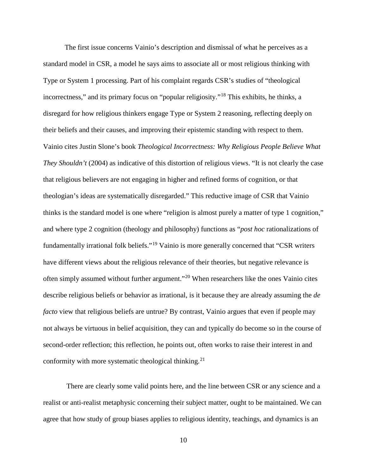The first issue concerns Vainio's description and dismissal of what he perceives as a standard model in CSR, a model he says aims to associate all or most religious thinking with Type or System 1 processing. Part of his complaint regards CSR's studies of "theological incorrectness," and its primary focus on "popular religiosity."[18](#page-93-3) This exhibits, he thinks, a disregard for how religious thinkers engage Type or System 2 reasoning, reflecting deeply on their beliefs and their causes, and improving their epistemic standing with respect to them. Vainio cites Justin Slone's book *Theological Incorrectness: Why Religious People Believe What They Shouldn't* (2004) as indicative of this distortion of religious views. "It is not clearly the case that religious believers are not engaging in higher and refined forms of cognition, or that theologian's ideas are systematically disregarded." This reductive image of CSR that Vainio thinks is the standard model is one where "religion is almost purely a matter of type 1 cognition," and where type 2 cognition (theology and philosophy) functions as "*post hoc* rationalizations of fundamentally irrational folk beliefs."[19](#page-94-0) Vainio is more generally concerned that "CSR writers have different views about the religious relevance of their theories, but negative relevance is often simply assumed without further argument."[20](#page-94-1) When researchers like the ones Vainio cites describe religious beliefs or behavior as irrational, is it because they are already assuming the *de facto* view that religious beliefs are untrue? By contrast, Vainio argues that even if people may not always be virtuous in belief acquisition, they can and typically do become so in the course of second-order reflection; this reflection, he points out, often works to raise their interest in and conformity with more systematic theological thinking.<sup>[21](#page-94-2)</sup>

There are clearly some valid points here, and the line between CSR or any science and a realist or anti-realist metaphysic concerning their subject matter, ought to be maintained. We can agree that how study of group biases applies to religious identity, teachings, and dynamics is an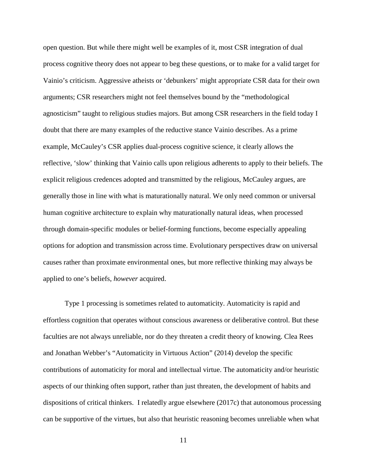open question. But while there might well be examples of it, most CSR integration of dual process cognitive theory does not appear to beg these questions, or to make for a valid target for Vainio's criticism. Aggressive atheists or 'debunkers' might appropriate CSR data for their own arguments; CSR researchers might not feel themselves bound by the "methodological agnosticism" taught to religious studies majors. But among CSR researchers in the field today I doubt that there are many examples of the reductive stance Vainio describes. As a prime example, McCauley's CSR applies dual-process cognitive science, it clearly allows the reflective, 'slow' thinking that Vainio calls upon religious adherents to apply to their beliefs. The explicit religious credences adopted and transmitted by the religious, McCauley argues, are generally those in line with what is maturationally natural. We only need common or universal human cognitive architecture to explain why maturationally natural ideas, when processed through domain-specific modules or belief-forming functions, become especially appealing options for adoption and transmission across time. Evolutionary perspectives draw on universal causes rather than proximate environmental ones, but more reflective thinking may always be applied to one's beliefs, *however* acquired.

Type 1 processing is sometimes related to automaticity. Automaticity is rapid and effortless cognition that operates without conscious awareness or deliberative control. But these faculties are not always unreliable, nor do they threaten a credit theory of knowing. Clea Rees and Jonathan Webber's "Automaticity in Virtuous Action" (2014) develop the specific contributions of automaticity for moral and intellectual virtue. The automaticity and/or heuristic aspects of our thinking often support, rather than just threaten, the development of habits and dispositions of critical thinkers. I relatedly argue elsewhere (2017c) that autonomous processing can be supportive of the virtues, but also that heuristic reasoning becomes unreliable when what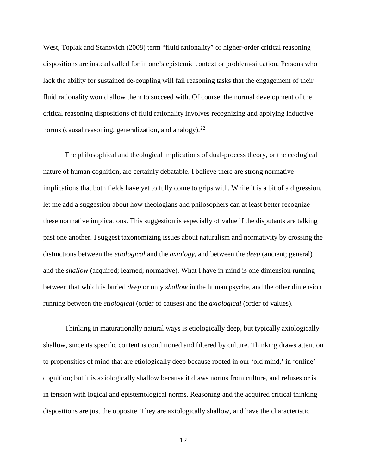West, Toplak and Stanovich (2008) term "fluid rationality" or higher-order critical reasoning dispositions are instead called for in one's epistemic context or problem-situation. Persons who lack the ability for sustained de-coupling will fail reasoning tasks that the engagement of their fluid rationality would allow them to succeed with. Of course, the normal development of the critical reasoning dispositions of fluid rationality involves recognizing and applying inductive norms (causal reasoning, generalization, and analogy).<sup>[22](#page-95-0)</sup>

The philosophical and theological implications of dual-process theory, or the ecological nature of human cognition, are certainly debatable. I believe there are strong normative implications that both fields have yet to fully come to grips with. While it is a bit of a digression, let me add a suggestion about how theologians and philosophers can at least better recognize these normative implications. This suggestion is especially of value if the disputants are talking past one another. I suggest taxonomizing issues about naturalism and normativity by crossing the distinctions between the *etiological* and the *axiology*, and between the *deep* (ancient; general) and the *shallow* (acquired; learned; normative). What I have in mind is one dimension running between that which is buried *deep* or only *shallow* in the human psyche, and the other dimension running between the *etiological* (order of causes) and the *axiological* (order of values).

Thinking in maturationally natural ways is etiologically deep, but typically axiologically shallow, since its specific content is conditioned and filtered by culture. Thinking draws attention to propensities of mind that are etiologically deep because rooted in our 'old mind,' in 'online' cognition; but it is axiologically shallow because it draws norms from culture, and refuses or is in tension with logical and epistemological norms. Reasoning and the acquired critical thinking dispositions are just the opposite. They are axiologically shallow, and have the characteristic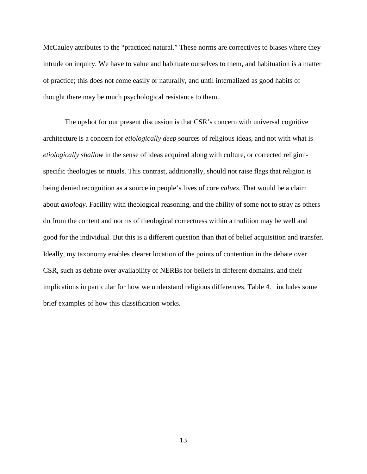McCauley attributes to the "practiced natural." These norms are correctives to biases where they intrude on inquiry. We have to value and habituate ourselves to them, and habituation is a matter of practice; this does not come easily or naturally, and until internalized as good habits of thought there may be much psychological resistance to them.

The upshot for our present discussion is that CSR's concern with universal cognitive architecture is a concern for *etiologically deep* sources of religious ideas, and not with what is *etiologically shallow* in the sense of ideas acquired along with culture, or corrected religionspecific theologies or rituals. This contrast, additionally, should not raise flags that religion is being denied recognition as a source in people's lives of core *values*. That would be a claim about *axiology.* Facility with theological reasoning, and the ability of some not to stray as others do from the content and norms of theological correctness within a tradition may be well and good for the individual. But this is a different question than that of belief acquisition and transfer. Ideally, my taxonomy enables clearer location of the points of contention in the debate over CSR, such as debate over availability of NERBs for beliefs in different domains, and their implications in particular for how we understand religious differences. Table 4.1 includes some brief examples of how this classification works.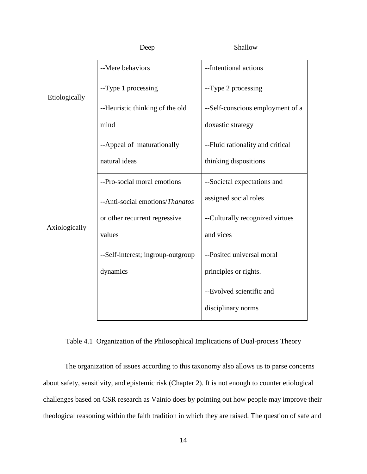|               | Deep                              | Shallow                          |
|---------------|-----------------------------------|----------------------------------|
| Etiologically | --Mere behaviors                  | --Intentional actions            |
|               | --Type 1 processing               | --Type 2 processing              |
|               | --Heuristic thinking of the old   | --Self-conscious employment of a |
|               | mind                              | doxastic strategy                |
| Axiologically | --Appeal of maturationally        | --Fluid rationality and critical |
|               | natural ideas                     | thinking dispositions            |
|               | --Pro-social moral emotions       | --Societal expectations and      |
|               | -- Anti-social emotions/Thanatos  | assigned social roles            |
|               | or other recurrent regressive     | --Culturally recognized virtues  |
|               | values                            | and vices                        |
|               | --Self-interest; ingroup-outgroup | --Posited universal moral        |
|               | dynamics                          | principles or rights.            |
|               |                                   | --Evolved scientific and         |
|               |                                   | disciplinary norms               |

Table 4.1 Organization of the Philosophical Implications of Dual-process Theory

The organization of issues according to this taxonomy also allows us to parse concerns about safety, sensitivity, and epistemic risk (Chapter 2). It is not enough to counter etiological challenges based on CSR research as Vainio does by pointing out how people may improve their theological reasoning within the faith tradition in which they are raised. The question of safe and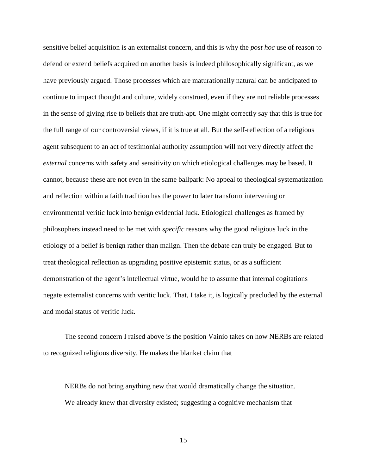sensitive belief acquisition is an externalist concern, and this is why the *post hoc* use of reason to defend or extend beliefs acquired on another basis is indeed philosophically significant, as we have previously argued. Those processes which are maturationally natural can be anticipated to continue to impact thought and culture, widely construed, even if they are not reliable processes in the sense of giving rise to beliefs that are truth-apt. One might correctly say that this is true for the full range of our controversial views, if it is true at all. But the self-reflection of a religious agent subsequent to an act of testimonial authority assumption will not very directly affect the *external* concerns with safety and sensitivity on which etiological challenges may be based. It cannot, because these are not even in the same ballpark: No appeal to theological systematization and reflection within a faith tradition has the power to later transform intervening or environmental veritic luck into benign evidential luck. Etiological challenges as framed by philosophers instead need to be met with *specific* reasons why the good religious luck in the etiology of a belief is benign rather than malign. Then the debate can truly be engaged. But to treat theological reflection as upgrading positive epistemic status, or as a sufficient demonstration of the agent's intellectual virtue, would be to assume that internal cogitations negate externalist concerns with veritic luck. That, I take it, is logically precluded by the external and modal status of veritic luck.

The second concern I raised above is the position Vainio takes on how NERBs are related to recognized religious diversity. He makes the blanket claim that

NERBs do not bring anything new that would dramatically change the situation. We already knew that diversity existed; suggesting a cognitive mechanism that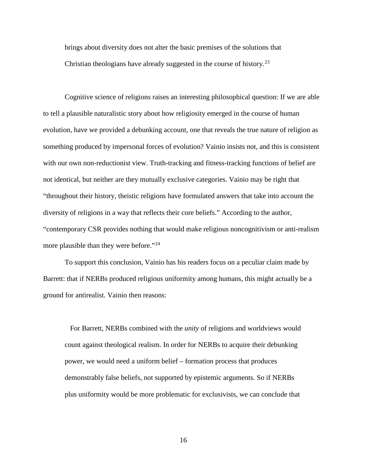brings about diversity does not alter the basic premises of the solutions that Christian theologians have already suggested in the course of history.<sup>[23](#page-96-0)</sup>

Cognitive science of religions raises an interesting philosophical question: If we are able to tell a plausible naturalistic story about how religiosity emerged in the course of human evolution, have we provided a debunking account, one that reveals the true nature of religion as something produced by impersonal forces of evolution? Vainio insists not, and this is consistent with our own non-reductionist view. Truth-tracking and fitness-tracking functions of belief are not identical, but neither are they mutually exclusive categories. Vainio may be right that "throughout their history, theistic religions have formulated answers that take into account the diversity of religions in a way that reflects their core beliefs." According to the author, "contemporary CSR provides nothing that would make religious noncognitivism or anti-realism more plausible than they were before."<sup>[24](#page-96-1)</sup>

To support this conclusion, Vainio has his readers focus on a peculiar claim made by Barrett: that if NERBs produced religious uniformity among humans, this might actually be a ground for antirealist. Vainio then reasons:

 For Barrett, NERBs combined with the *unity* of religions and worldviews would count against theological realism. In order for NERBs to acquire their debunking power, we would need a uniform belief – formation process that produces demonstrably false beliefs, not supported by epistemic arguments. So if NERBs plus uniformity would be more problematic for exclusivists, we can conclude that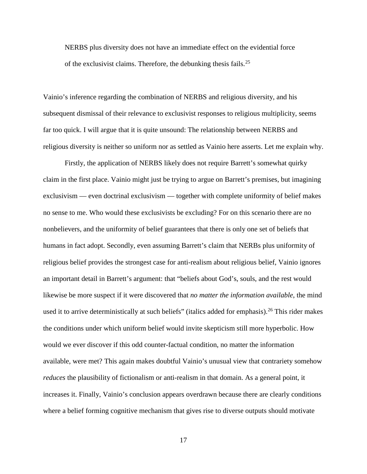NERBS plus diversity does not have an immediate effect on the evidential force of the exclusivist claims. Therefore, the debunking thesis fails.<sup>[25](#page-96-2)</sup>

Vainio's inference regarding the combination of NERBS and religious diversity, and his subsequent dismissal of their relevance to exclusivist responses to religious multiplicity, seems far too quick. I will argue that it is quite unsound: The relationship between NERBS and religious diversity is neither so uniform nor as settled as Vainio here asserts. Let me explain why.

Firstly, the application of NERBS likely does not require Barrett's somewhat quirky claim in the first place. Vainio might just be trying to argue on Barrett's premises, but imagining exclusivism — even doctrinal exclusivism — together with complete uniformity of belief makes no sense to me. Who would these exclusivists be excluding? For on this scenario there are no nonbelievers, and the uniformity of belief guarantees that there is only one set of beliefs that humans in fact adopt. Secondly, even assuming Barrett's claim that NERBs plus uniformity of religious belief provides the strongest case for anti-realism about religious belief, Vainio ignores an important detail in Barrett's argument: that "beliefs about God's, souls, and the rest would likewise be more suspect if it were discovered that *no matter the information available*, the mind used it to arrive deterministically at such beliefs" (italics added for emphasis).<sup>[26](#page-96-3)</sup> This rider makes the conditions under which uniform belief would invite skepticism still more hyperbolic. How would we ever discover if this odd counter-factual condition, no matter the information available, were met? This again makes doubtful Vainio's unusual view that contrariety somehow *reduces* the plausibility of fictionalism or anti-realism in that domain. As a general point, it increases it. Finally, Vainio's conclusion appears overdrawn because there are clearly conditions where a belief forming cognitive mechanism that gives rise to diverse outputs should motivate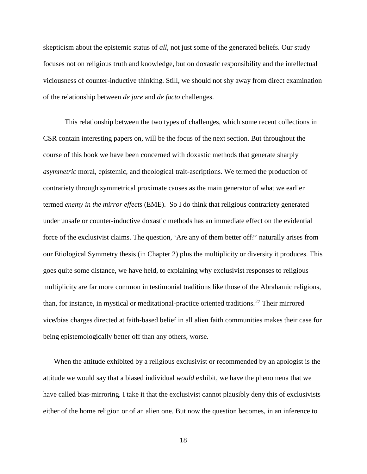skepticism about the epistemic status of *all*, not just some of the generated beliefs. Our study focuses not on religious truth and knowledge, but on doxastic responsibility and the intellectual viciousness of counter-inductive thinking. Still, we should not shy away from direct examination of the relationship between *de jure* and *de facto* challenges.

This relationship between the two types of challenges, which some recent collections in CSR contain interesting papers on, will be the focus of the next section. But throughout the course of this book we have been concerned with doxastic methods that generate sharply *asymmetric* moral, epistemic, and theological trait-ascriptions. We termed the production of contrariety through symmetrical proximate causes as the main generator of what we earlier termed *enemy in the mirror effects* (EME). So I do think that religious contrariety generated under unsafe or counter-inductive doxastic methods has an immediate effect on the evidential force of the exclusivist claims. The question, 'Are any of them better off?' naturally arises from our Etiological Symmetry thesis (in Chapter 2) plus the multiplicity or diversity it produces. This goes quite some distance, we have held, to explaining why exclusivist responses to religious multiplicity are far more common in testimonial traditions like those of the Abrahamic religions, than, for instance, in mystical or meditational-practice oriented traditions.<sup>[27](#page-96-4)</sup> Their mirrored vice/bias charges directed at faith-based belief in all alien faith communities makes their case for being epistemologically better off than any others, worse.

When the attitude exhibited by a religious exclusivist or recommended by an apologist is the attitude we would say that a biased individual *would* exhibit, we have the phenomena that we have called bias-mirroring. I take it that the exclusivist cannot plausibly deny this of exclusivists either of the home religion or of an alien one. But now the question becomes, in an inference to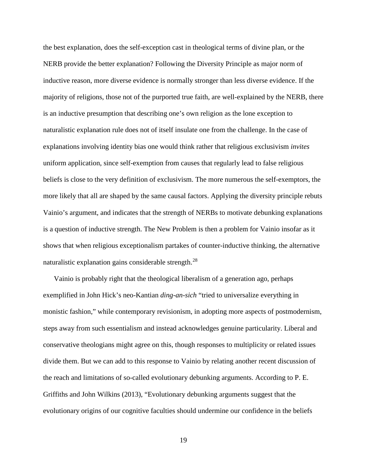the best explanation, does the self-exception cast in theological terms of divine plan, or the NERB provide the better explanation? Following the Diversity Principle as major norm of inductive reason, more diverse evidence is normally stronger than less diverse evidence. If the majority of religions, those not of the purported true faith, are well-explained by the NERB, there is an inductive presumption that describing one's own religion as the lone exception to naturalistic explanation rule does not of itself insulate one from the challenge. In the case of explanations involving identity bias one would think rather that religious exclusivism *invites*  uniform application, since self-exemption from causes that regularly lead to false religious beliefs is close to the very definition of exclusivism. The more numerous the self-exemptors, the more likely that all are shaped by the same causal factors. Applying the diversity principle rebuts Vainio's argument, and indicates that the strength of NERBs to motivate debunking explanations is a question of inductive strength. The New Problem is then a problem for Vainio insofar as it shows that when religious exceptionalism partakes of counter-inductive thinking, the alternative naturalistic explanation gains considerable strength.<sup>[28](#page-97-0)</sup>

Vainio is probably right that the theological liberalism of a generation ago, perhaps exemplified in John Hick's neo-Kantian *ding-an-sich* "tried to universalize everything in monistic fashion," while contemporary revisionism, in adopting more aspects of postmodernism, steps away from such essentialism and instead acknowledges genuine particularity. Liberal and conservative theologians might agree on this, though responses to multiplicity or related issues divide them. But we can add to this response to Vainio by relating another recent discussion of the reach and limitations of so-called evolutionary debunking arguments. According to P. E. Griffiths and John Wilkins (2013), "Evolutionary debunking arguments suggest that the evolutionary origins of our cognitive faculties should undermine our confidence in the beliefs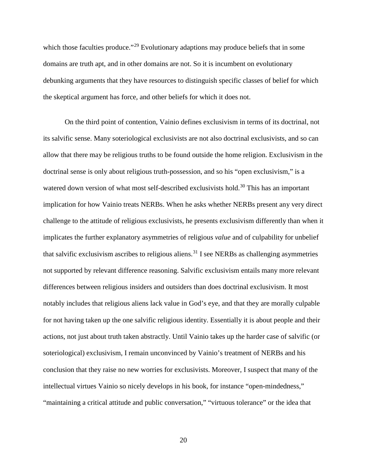which those faculties produce."<sup>[29](#page-97-1)</sup> Evolutionary adaptions may produce beliefs that in some domains are truth apt, and in other domains are not. So it is incumbent on evolutionary debunking arguments that they have resources to distinguish specific classes of belief for which the skeptical argument has force, and other beliefs for which it does not.

On the third point of contention, Vainio defines exclusivism in terms of its doctrinal, not its salvific sense. Many soteriological exclusivists are not also doctrinal exclusivists, and so can allow that there may be religious truths to be found outside the home religion. Exclusivism in the doctrinal sense is only about religious truth-possession, and so his "open exclusivism," is a watered down version of what most self-described exclusivists hold.<sup>[30](#page-97-2)</sup> This has an important implication for how Vainio treats NERBs. When he asks whether NERBs present any very direct challenge to the attitude of religious exclusivists, he presents exclusivism differently than when it implicates the further explanatory asymmetries of religious *value* and of culpability for unbelief that salvific exclusivism ascribes to religious aliens.<sup>[31](#page-98-0)</sup> I see NERBs as challenging asymmetries not supported by relevant difference reasoning. Salvific exclusivism entails many more relevant differences between religious insiders and outsiders than does doctrinal exclusivism. It most notably includes that religious aliens lack value in God's eye, and that they are morally culpable for not having taken up the one salvific religious identity. Essentially it is about people and their actions, not just about truth taken abstractly. Until Vainio takes up the harder case of salvific (or soteriological) exclusivism, I remain unconvinced by Vainio's treatment of NERBs and his conclusion that they raise no new worries for exclusivists. Moreover, I suspect that many of the intellectual virtues Vainio so nicely develops in his book, for instance "open-mindedness," "maintaining a critical attitude and public conversation," "virtuous tolerance" or the idea that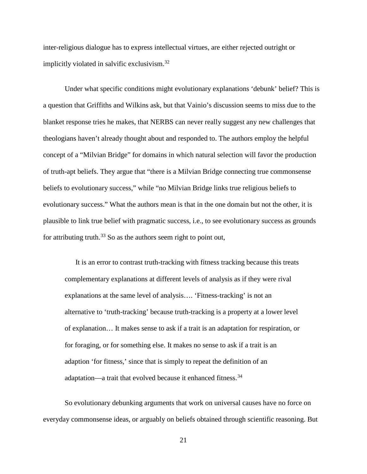inter-religious dialogue has to express intellectual virtues, are either rejected outright or implicitly violated in salvific exclusivism.[32](#page-98-1)

Under what specific conditions might evolutionary explanations 'debunk' belief? This is a question that Griffiths and Wilkins ask, but that Vainio's discussion seems to miss due to the blanket response tries he makes, that NERBS can never really suggest any new challenges that theologians haven't already thought about and responded to. The authors employ the helpful concept of a "Milvian Bridge" for domains in which natural selection will favor the production of truth-apt beliefs. They argue that "there is a Milvian Bridge connecting true commonsense beliefs to evolutionary success," while "no Milvian Bridge links true religious beliefs to evolutionary success." What the authors mean is that in the one domain but not the other, it is plausible to link true belief with pragmatic success, i.e., to see evolutionary success as grounds for attributing truth.<sup>[33](#page-99-0)</sup> So as the authors seem right to point out,

It is an error to contrast truth-tracking with fitness tracking because this treats complementary explanations at different levels of analysis as if they were rival explanations at the same level of analysis…. 'Fitness-tracking' is not an alternative to 'truth-tracking' because truth-tracking is a property at a lower level of explanation… It makes sense to ask if a trait is an adaptation for respiration, or for foraging, or for something else. It makes no sense to ask if a trait is an adaption 'for fitness,' since that is simply to repeat the definition of an adaptation—a trait that evolved because it enhanced fitness.<sup>[34](#page-99-1)</sup>

So evolutionary debunking arguments that work on universal causes have no force on everyday commonsense ideas, or arguably on beliefs obtained through scientific reasoning. But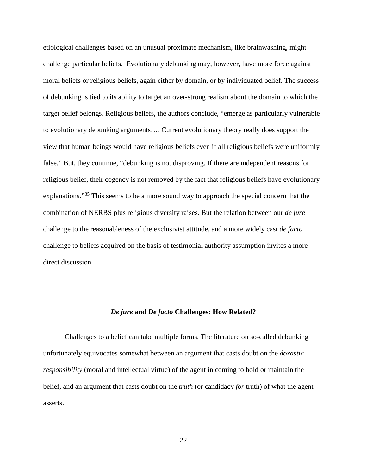etiological challenges based on an unusual proximate mechanism, like brainwashing, might challenge particular beliefs. Evolutionary debunking may, however, have more force against moral beliefs or religious beliefs, again either by domain, or by individuated belief. The success of debunking is tied to its ability to target an over-strong realism about the domain to which the target belief belongs. Religious beliefs, the authors conclude, "emerge as particularly vulnerable to evolutionary debunking arguments…. Current evolutionary theory really does support the view that human beings would have religious beliefs even if all religious beliefs were uniformly false." But, they continue, "debunking is not disproving. If there are independent reasons for religious belief, their cogency is not removed by the fact that religious beliefs have evolutionary explanations."<sup>[35](#page-99-2)</sup> This seems to be a more sound way to approach the special concern that the combination of NERBS plus religious diversity raises. But the relation between our *de jure*  challenge to the reasonableness of the exclusivist attitude, and a more widely cast *de facto*  challenge to beliefs acquired on the basis of testimonial authority assumption invites a more direct discussion.

#### *De jure* **and** *De facto* **Challenges: How Related?**

Challenges to a belief can take multiple forms. The literature on so-called debunking unfortunately equivocates somewhat between an argument that casts doubt on the *doxastic responsibility* (moral and intellectual virtue) of the agent in coming to hold or maintain the belief, and an argument that casts doubt on the *truth* (or candidacy *for* truth) of what the agent asserts.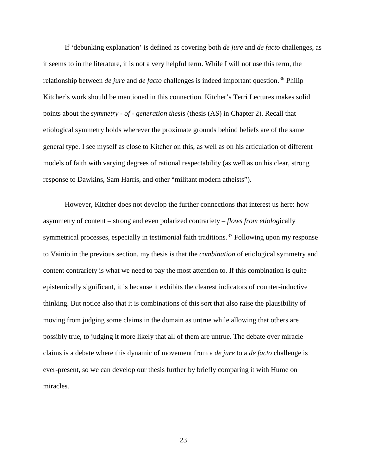If 'debunking explanation' is defined as covering both *de jure* and *de facto* challenges, as it seems to in the literature, it is not a very helpful term. While I will not use this term, the relationship between *de jure* and *de facto* challenges is indeed important question.<sup>[36](#page-99-3)</sup> Philip Kitcher's work should be mentioned in this connection. Kitcher's Terri Lectures makes solid points about the *symmetry - of - generation thesis* (thesis (AS) in Chapter 2). Recall that etiological symmetry holds wherever the proximate grounds behind beliefs are of the same general type. I see myself as close to Kitcher on this, as well as on his articulation of different models of faith with varying degrees of rational respectability (as well as on his clear, strong response to Dawkins, Sam Harris, and other "militant modern atheists").

However, Kitcher does not develop the further connections that interest us here: how asymmetry of content – strong and even polarized contrariety – *flows from etiolog*ically symmetrical processes, especially in testimonial faith traditions.<sup>[37](#page-100-0)</sup> Following upon my response to Vainio in the previous section, my thesis is that the *combination* of etiological symmetry and content contrariety is what we need to pay the most attention to. If this combination is quite epistemically significant, it is because it exhibits the clearest indicators of counter-inductive thinking. But notice also that it is combinations of this sort that also raise the plausibility of moving from judging some claims in the domain as untrue while allowing that others are possibly true, to judging it more likely that all of them are untrue. The debate over miracle claims is a debate where this dynamic of movement from a *de jure* to a *de facto* challenge is ever-present, so we can develop our thesis further by briefly comparing it with Hume on miracles.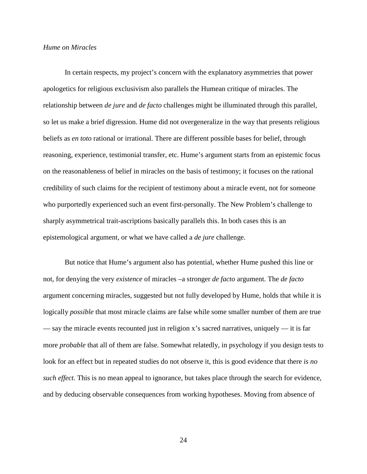#### *Hume on Miracles*

In certain respects, my project's concern with the explanatory asymmetries that power apologetics for religious exclusivism also parallels the Humean critique of miracles. The relationship between *de jure* and *de facto* challenges might be illuminated through this parallel, so let us make a brief digression. Hume did not overgeneralize in the way that presents religious beliefs as *en toto* rational or irrational. There are different possible bases for belief, through reasoning, experience, testimonial transfer, etc. Hume's argument starts from an epistemic focus on the reasonableness of belief in miracles on the basis of testimony; it focuses on the rational credibility of such claims for the recipient of testimony about a miracle event, not for someone who purportedly experienced such an event first-personally. The New Problem's challenge to sharply asymmetrical trait-ascriptions basically parallels this. In both cases this is an epistemological argument, or what we have called a *de jure* challenge.

But notice that Hume's argument also has potential, whether Hume pushed this line or not, for denying the very *existence* of miracles –a stronger *de facto* argument. The *de facto*  argument concerning miracles, suggested but not fully developed by Hume, holds that while it is logically *possible* that most miracle claims are false while some smaller number of them are true — say the miracle events recounted just in religion x's sacred narratives, uniquely — it is far more *probable* that all of them are false. Somewhat relatedly, in psychology if you design tests to look for an effect but in repeated studies do not observe it, this is good evidence that there *is no such effect*. This is no mean appeal to ignorance, but takes place through the search for evidence, and by deducing observable consequences from working hypotheses. Moving from absence of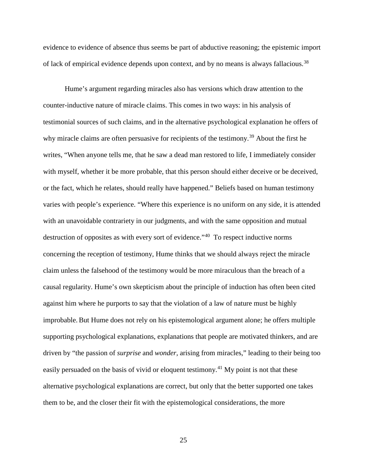evidence to evidence of absence thus seems be part of abductive reasoning; the epistemic import of lack of empirical evidence depends upon context, and by no means is always fallacious.<sup>[38](#page-100-1)</sup>

Hume's argument regarding miracles also has versions which draw attention to the counter-inductive nature of miracle claims. This comes in two ways: in his analysis of testimonial sources of such claims, and in the alternative psychological explanation he offers of why miracle claims are often persuasive for recipients of the testimony.<sup>[39](#page-101-0)</sup> About the first he writes, "When anyone tells me, that he saw a dead man restored to life, I immediately consider with myself, whether it be more probable, that this person should either deceive or be deceived, or the fact, which he relates, should really have happened." Beliefs based on human testimony varies with people's experience. "Where this experience is no uniform on any side, it is attended with an unavoidable contrariety in our judgments, and with the same opposition and mutual destruction of opposites as with every sort of evidence."[40](#page-101-1) To respect inductive norms concerning the reception of testimony, Hume thinks that we should always reject the miracle claim unless the falsehood of the testimony would be more miraculous than the breach of a causal regularity. Hume's own skepticism about the principle of induction has often been cited against him where he purports to say that the violation of a law of nature must be highly improbable. But Hume does not rely on his epistemological argument alone; he offers multiple supporting psychological explanations, explanations that people are motivated thinkers, and are driven by "the passion of *surprise* and *wonder,* arising from miracles," leading to their being too easily persuaded on the basis of vivid or eloquent testimony.<sup>[41](#page-101-2)</sup> My point is not that these alternative psychological explanations are correct, but only that the better supported one takes them to be, and the closer their fit with the epistemological considerations, the more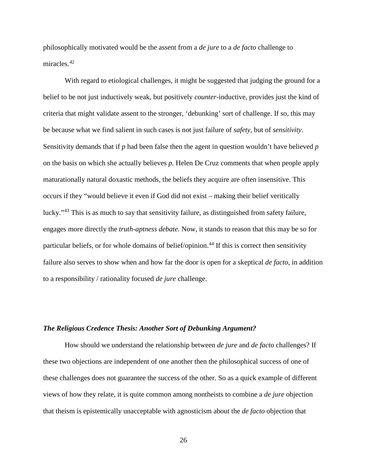philosophically motivated would be the assent from a *de jure* to a *de facto* challenge to miracles.<sup>[42](#page-102-0)</sup>

With regard to etiological challenges, it might be suggested that judging the ground for a belief to be not just inductively weak, but positively *counter*-inductive, provides just the kind of criteria that might validate assent to the stronger, 'debunking' sort of challenge. If so, this may be because what we find salient in such cases is not just failure of *safety*, but of *sensitivity*. Sensitivity demands that if *p* had been false then the agent in question wouldn't have believed *p*  on the basis on which she actually believes *p.* Helen De Cruz comments that when people apply maturationally natural doxastic methods, the beliefs they acquire are often insensitive. This occurs if they "would believe it even if God did not exist – making their belief veritically lucky."[43](#page-102-1) This is as much to say that sensitivity failure, as distinguished from safety failure, engages more directly the *truth-aptness debate.* Now, it stands to reason that this may be so for particular beliefs, or for whole domains of belief/opinion.<sup>[44](#page-102-2)</sup> If this is correct then sensitivity failure also serves to show when and how far the door is open for a skeptical *de facto,* in addition to a responsibility / rationality focused *de jure* challenge.

#### *The Religious Credence Thesis: Another Sort of Debunking Argument?*

How should we understand the relationship between *de jure* and *de facto* challenges? If these two objections are independent of one another then the philosophical success of one of these challenges does not guarantee the success of the other. So as a quick example of different views of how they relate, it is quite common among nontheists to combine a *de jure* objection that theism is epistemically unacceptable with agnosticism about the *de facto* objection that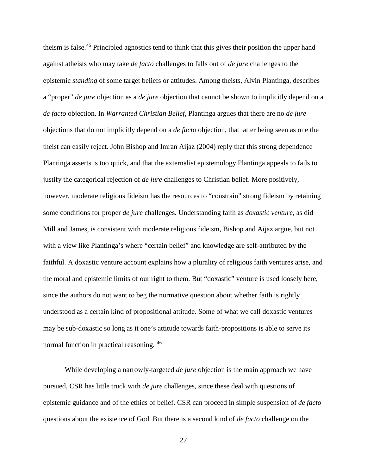theism is false.[45](#page-103-0) Principled agnostics tend to think that this gives their position the upper hand against atheists who may take *de facto* challenges to falls out of *de jure* challenges to the epistemic *standing* of some target beliefs or attitudes. Among theists, Alvin Plantinga, describes a "proper" *de jure* objection as a *de jure* objection that cannot be shown to implicitly depend on a *de facto* objection. In *Warranted Christian Belief,* Plantinga argues that there are no *de jure* objections that do not implicitly depend on a *de facto* objection, that latter being seen as one the theist can easily reject. John Bishop and Imran Aijaz (2004) reply that this strong dependence Plantinga asserts is too quick, and that the externalist epistemology Plantinga appeals to fails to justify the categorical rejection of *de jure* challenges to Christian belief. More positively, however, moderate religious fideism has the resources to "constrain" strong fideism by retaining some conditions for proper *de jure* challenges. Understanding faith as *doxastic venture,* as did Mill and James, is consistent with moderate religious fideism, Bishop and Aijaz argue, but not with a view like Plantinga's where "certain belief" and knowledge are self-attributed by the faithful. A doxastic venture account explains how a plurality of religious faith ventures arise, and the moral and epistemic limits of our right to them. But "doxastic" venture is used loosely here, since the authors do not want to beg the normative question about whether faith is rightly understood as a certain kind of propositional attitude. Some of what we call doxastic ventures may be sub-doxastic so long as it one's attitude towards faith-propositions is able to serve its normal function in practical reasoning. [46](#page-104-0)

While developing a narrowly-targeted *de jure* objection is the main approach we have pursued, CSR has little truck with *de jure* challenges, since these deal with questions of epistemic guidance and of the ethics of belief. CSR can proceed in simple suspension of *de facto*  questions about the existence of God. But there is a second kind of *de facto* challenge on the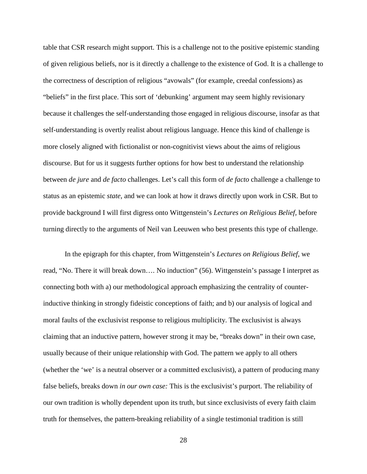table that CSR research might support. This is a challenge not to the positive epistemic standing of given religious beliefs, nor is it directly a challenge to the existence of God. It is a challenge to the correctness of description of religious "avowals" (for example, creedal confessions) as "beliefs" in the first place. This sort of 'debunking' argument may seem highly revisionary because it challenges the self-understanding those engaged in religious discourse, insofar as that self-understanding is overtly realist about religious language. Hence this kind of challenge is more closely aligned with fictionalist or non-cognitivist views about the aims of religious discourse. But for us it suggests further options for how best to understand the relationship between *de jure* and *de facto* challenges. Let's call this form of *de facto* challenge a challenge to status as an epistemic *state*, and we can look at how it draws directly upon work in CSR. But to provide background I will first digress onto Wittgenstein's *Lectures on Religious Belief,* before turning directly to the arguments of Neil van Leeuwen who best presents this type of challenge.

In the epigraph for this chapter, from Wittgenstein's *Lectures on Religious Belief*, we read, "No. There it will break down…. No induction" (56). Wittgenstein's passage I interpret as connecting both with a) our methodological approach emphasizing the centrality of counterinductive thinking in strongly fideistic conceptions of faith; and b) our analysis of logical and moral faults of the exclusivist response to religious multiplicity. The exclusivist is always claiming that an inductive pattern, however strong it may be, "breaks down" in their own case, usually because of their unique relationship with God. The pattern we apply to all others (whether the 'we' is a neutral observer or a committed exclusivist), a pattern of producing many false beliefs, breaks down *in our own case:* This is the exclusivist's purport. The reliability of our own tradition is wholly dependent upon its truth, but since exclusivists of every faith claim truth for themselves, the pattern-breaking reliability of a single testimonial tradition is still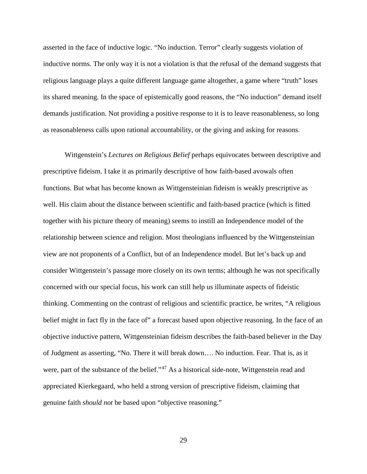asserted in the face of inductive logic. "No induction. Terror" clearly suggests violation of inductive norms. The only way it is not a violation is that the refusal of the demand suggests that religious language plays a quite different language game altogether, a game where "truth" loses its shared meaning. In the space of epistemically good reasons, the "No induction" demand itself demands justification. Not providing a positive response to it is to leave reasonableness, so long as reasonableness calls upon rational accountability, or the giving and asking for reasons.

Wittgenstein's *Lectures on Religious Belief* perhaps equivocates between descriptive and prescriptive fideism. I take it as primarily descriptive of how faith-based avowals often functions. But what has become known as Wittgensteinian fideism is weakly prescriptive as well. His claim about the distance between scientific and faith-based practice (which is fitted together with his picture theory of meaning) seems to instill an Independence model of the relationship between science and religion. Most theologians influenced by the Wittgensteinian view are not proponents of a Conflict, but of an Independence model. But let's back up and consider Wittgenstein's passage more closely on its own terms; although he was not specifically concerned with our special focus, his work can still help us illuminate aspects of fideistic thinking. Commenting on the contrast of religious and scientific practice, he writes, "A religious belief might in fact fly in the face of" a forecast based upon objective reasoning. In the face of an objective inductive pattern, Wittgensteinian fideism describes the faith-based believer in the Day of Judgment as asserting, "No. There it will break down…. No induction. Fear. That is, as it were, part of the substance of the belief."<sup>[47](#page-104-1)</sup> As a historical side-note, Wittgenstein read and appreciated Kierkegaard, who held a strong version of prescriptive fideism, claiming that genuine faith *should not* be based upon "objective reasoning."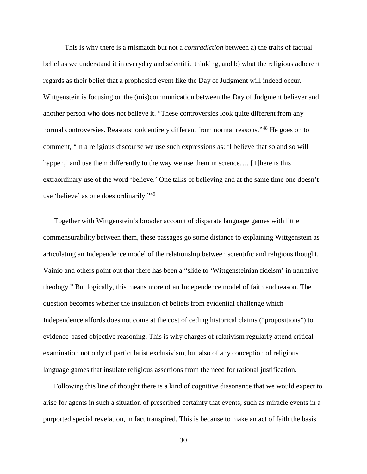This is why there is a mismatch but not a *contradiction* between a) the traits of factual belief as we understand it in everyday and scientific thinking, and b) what the religious adherent regards as their belief that a prophesied event like the Day of Judgment will indeed occur. Wittgenstein is focusing on the (mis)communication between the Day of Judgment believer and another person who does not believe it. "These controversies look quite different from any normal controversies. Reasons look entirely different from normal reasons."<sup>[48](#page-104-2)</sup> He goes on to comment, "In a religious discourse we use such expressions as: 'I believe that so and so will happen,' and use them differently to the way we use them in science.... [T]here is this extraordinary use of the word 'believe.' One talks of believing and at the same time one doesn't use 'believe' as one does ordinarily."[49](#page-105-0)

Together with Wittgenstein's broader account of disparate language games with little commensurability between them, these passages go some distance to explaining Wittgenstein as articulating an Independence model of the relationship between scientific and religious thought. Vainio and others point out that there has been a "slide to 'Wittgensteinian fideism' in narrative theology." But logically, this means more of an Independence model of faith and reason. The question becomes whether the insulation of beliefs from evidential challenge which Independence affords does not come at the cost of ceding historical claims ("propositions") to evidence-based objective reasoning. This is why charges of relativism regularly attend critical examination not only of particularist exclusivism, but also of any conception of religious language games that insulate religious assertions from the need for rational justification.

Following this line of thought there is a kind of cognitive dissonance that we would expect to arise for agents in such a situation of prescribed certainty that events, such as miracle events in a purported special revelation, in fact transpired. This is because to make an act of faith the basis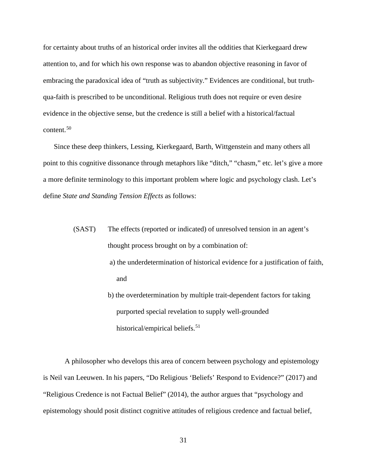for certainty about truths of an historical order invites all the oddities that Kierkegaard drew attention to, and for which his own response was to abandon objective reasoning in favor of embracing the paradoxical idea of "truth as subjectivity." Evidences are conditional, but truthqua-faith is prescribed to be unconditional. Religious truth does not require or even desire evidence in the objective sense, but the credence is still a belief with a historical/factual content. $50$ 

Since these deep thinkers, Lessing, Kierkegaard, Barth, Wittgenstein and many others all point to this cognitive dissonance through metaphors like "ditch," "chasm," etc. let's give a more a more definite terminology to this important problem where logic and psychology clash. Let's define *State and Standing Tension Effects* as follows:

- (SAST) The effects (reported or indicated) of unresolved tension in an agent's thought process brought on by a combination of: a) the underdetermination of historical evidence for a justification of faith,
	- and
	- b) the overdetermination by multiple trait-dependent factors for taking purported special revelation to supply well-grounded historical/empirical beliefs.<sup>[51](#page-105-2)</sup>

A philosopher who develops this area of concern between psychology and epistemology is Neil van Leeuwen. In his papers, "Do Religious 'Beliefs' Respond to Evidence?" (2017) and "Religious Credence is not Factual Belief" (2014), the author argues that "psychology and epistemology should posit distinct cognitive attitudes of religious credence and factual belief,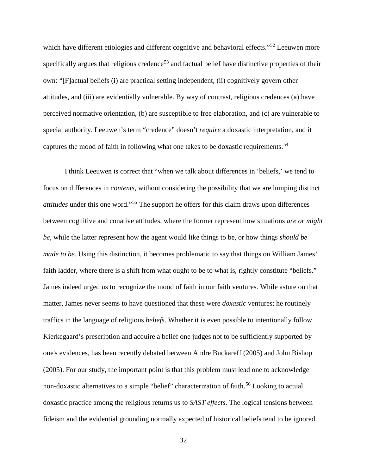which have different etiologies and different cognitive and behavioral effects."<sup>[52](#page-105-3)</sup> Leeuwen more specifically argues that religious credence<sup>[53](#page-106-0)</sup> and factual belief have distinctive properties of their own: "[F]actual beliefs (i) are practical setting independent, (ii) cognitively govern other attitudes, and (iii) are evidentially vulnerable. By way of contrast, religious credences (a) have perceived normative orientation, (b) are susceptible to free elaboration, and (c) are vulnerable to special authority. Leeuwen's term "credence" doesn't *require* a doxastic interpretation, and it captures the mood of faith in following what one takes to be doxastic requirements.<sup>[54](#page-106-1)</sup>

I think Leeuwen is correct that "when we talk about differences in 'beliefs,' we tend to focus on differences in *contents,* without considering the possibility that we are lumping distinct *attitudes* under this one word."[55](#page-107-0) The support he offers for this claim draws upon differences between cognitive and conative attitudes, where the former represent how situations *are or might be*, while the latter represent how the agent would like things to be, or how things *should be made to be.* Using this distinction, it becomes problematic to say that things on William James' faith ladder, where there is a shift from what ought to be to what is, rightly constitute "beliefs." James indeed urged us to recognize the mood of faith in our faith ventures. While astute on that matter, James never seems to have questioned that these were *doxastic* ventures; he routinely traffics in the language of religious *beliefs*. Whether it is even possible to intentionally follow Kierkegaard's prescription and acquire a belief one judges not to be sufficiently supported by one's evidences, has been recently debated between Andre Buckareff (2005) and John Bishop (2005). For our study, the important point is that this problem must lead one to acknowledge non-doxastic alternatives to a simple "belief" characterization of faith.<sup>[56](#page-107-1)</sup> Looking to actual doxastic practice among the religious returns us to *SAST effects*. The logical tensions between fideism and the evidential grounding normally expected of historical beliefs tend to be ignored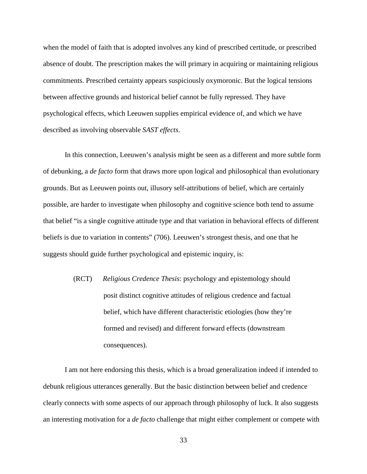when the model of faith that is adopted involves any kind of prescribed certitude, or prescribed absence of doubt. The prescription makes the will primary in acquiring or maintaining religious commitments. Prescribed certainty appears suspiciously oxymoronic. But the logical tensions between affective grounds and historical belief cannot be fully repressed. They have psychological effects, which Leeuwen supplies empirical evidence of, and which we have described as involving observable *SAST effects*.

In this connection, Leeuwen's analysis might be seen as a different and more subtle form of debunking, a *de facto* form that draws more upon logical and philosophical than evolutionary grounds. But as Leeuwen points out, illusory self-attributions of belief, which are certainly possible, are harder to investigate when philosophy and cognitive science both tend to assume that belief "is a single cognitive attitude type and that variation in behavioral effects of different beliefs is due to variation in contents" (706). Leeuwen's strongest thesis, and one that he suggests should guide further psychological and epistemic inquiry, is:

> (RCT) *Religious Credence Thesis*: psychology and epistemology should posit distinct cognitive attitudes of religious credence and factual belief, which have different characteristic etiologies (how they're formed and revised) and different forward effects (downstream consequences).

I am not here endorsing this thesis, which is a broad generalization indeed if intended to debunk religious utterances generally. But the basic distinction between belief and credence clearly connects with some aspects of our approach through philosophy of luck. It also suggests an interesting motivation for a *de facto* challenge that might either complement or compete with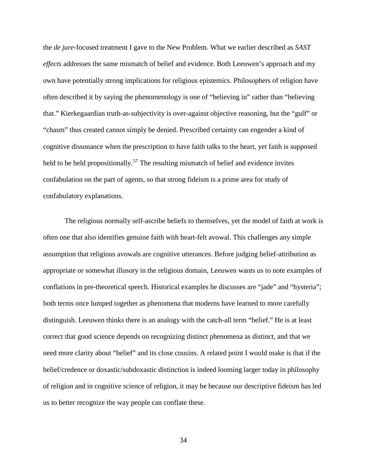the *de jure-*focused treatment I gave to the New Problem. What we earlier described as *SAST effects* addresses the same mismatch of belief and evidence. Both Leeuwen's approach and my own have potentially strong implications for religious epistemics. Philosophers of religion have often described it by saying the phenomenology is one of "believing in" rather than "believing that." Kierkegaardian truth-as-subjectivity is over-against objective reasoning, but the "gulf" or "chasm" thus created cannot simply be denied. Prescribed certainty can engender a kind of cognitive dissonance when the prescription to have faith talks to the heart, yet faith is supposed held to be held propositionally.<sup>[57](#page-107-2)</sup> The resulting mismatch of belief and evidence invites confabulation on the part of agents, so that strong fideism is a prime area for study of confabulatory explanations.

The religious normally self-ascribe beliefs to themselves, yet the model of faith at work is often one that also identifies genuine faith with heart-felt avowal. This challenges any simple assumption that religious avowals are cognitive utterances. Before judging belief-attribution as appropriate or somewhat illusory in the religious domain, Leeuwen wants us to note examples of conflations in pre-theoretical speech. Historical examples he discusses are "jade" and "hysteria"; both terms once lumped together as phenomena that moderns have learned to more carefully distinguish. Leeuwen thinks there is an analogy with the catch-all term "belief." He is at least correct that good science depends on recognizing distinct phenomena as distinct, and that we need more clarity about "belief" and its close cousins. A related point I would make is that if the belief/credence or doxastic/subdoxastic distinction is indeed looming larger today in philosophy of religion and in cognitive science of religion, it may be because our descriptive fideism has led us to better recognize the way people can conflate these.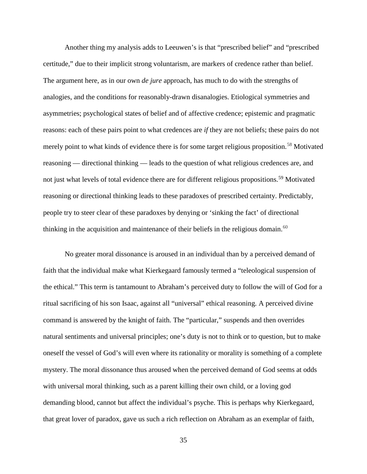Another thing my analysis adds to Leeuwen's is that "prescribed belief" and "prescribed certitude," due to their implicit strong voluntarism, are markers of credence rather than belief. The argument here, as in our own *de jure* approach, has much to do with the strengths of analogies, and the conditions for reasonably-drawn disanalogies. Etiological symmetries and asymmetries; psychological states of belief and of affective credence; epistemic and pragmatic reasons: each of these pairs point to what credences are *if* they are not beliefs; these pairs do not merely point to what kinds of evidence there is for some target religious proposition.<sup>[58](#page-108-0)</sup> Motivated reasoning — directional thinking — leads to the question of what religious credences are, and not just what levels of total evidence there are for different religious propositions.<sup>[59](#page-108-1)</sup> Motivated reasoning or directional thinking leads to these paradoxes of prescribed certainty. Predictably, people try to steer clear of these paradoxes by denying or 'sinking the fact' of directional thinking in the acquisition and maintenance of their beliefs in the religious domain. $60$ 

No greater moral dissonance is aroused in an individual than by a perceived demand of faith that the individual make what Kierkegaard famously termed a "teleological suspension of the ethical." This term is tantamount to Abraham's perceived duty to follow the will of God for a ritual sacrificing of his son Isaac, against all "universal" ethical reasoning. A perceived divine command is answered by the knight of faith. The "particular," suspends and then overrides natural sentiments and universal principles; one's duty is not to think or to question, but to make oneself the vessel of God's will even where its rationality or morality is something of a complete mystery. The moral dissonance thus aroused when the perceived demand of God seems at odds with universal moral thinking, such as a parent killing their own child, or a loving god demanding blood, cannot but affect the individual's psyche. This is perhaps why Kierkegaard, that great lover of paradox, gave us such a rich reflection on Abraham as an exemplar of faith,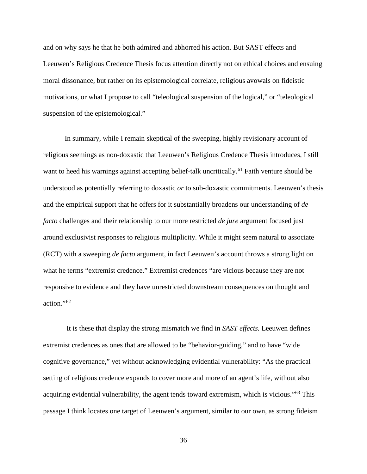and on why says he that he both admired and abhorred his action. But SAST effects and Leeuwen's Religious Credence Thesis focus attention directly not on ethical choices and ensuing moral dissonance, but rather on its epistemological correlate, religious avowals on fideistic motivations, or what I propose to call "teleological suspension of the logical," or "teleological suspension of the epistemological."

In summary, while I remain skeptical of the sweeping, highly revisionary account of religious seemings as non-doxastic that Leeuwen's Religious Credence Thesis introduces, I still want to heed his warnings against accepting belief-talk uncritically.<sup>[61](#page-109-0)</sup> Faith venture should be understood as potentially referring to doxastic *or* to sub-doxastic commitments. Leeuwen's thesis and the empirical support that he offers for it substantially broadens our understanding of *de facto* challenges and their relationship to our more restricted *de jure* argument focused just around exclusivist responses to religious multiplicity. While it might seem natural to associate (RCT) with a sweeping *de facto* argument, in fact Leeuwen's account throws a strong light on what he terms "extremist credence." Extremist credences "are vicious because they are not responsive to evidence and they have unrestricted downstream consequences on thought and action."[62](#page-109-1)

It is these that display the strong mismatch we find in *SAST effects.* Leeuwen defines extremist credences as ones that are allowed to be "behavior-guiding," and to have "wide cognitive governance," yet without acknowledging evidential vulnerability: "As the practical setting of religious credence expands to cover more and more of an agent's life, without also acquiring evidential vulnerability, the agent tends toward extremism, which is vicious."[63](#page-109-2) This passage I think locates one target of Leeuwen's argument, similar to our own, as strong fideism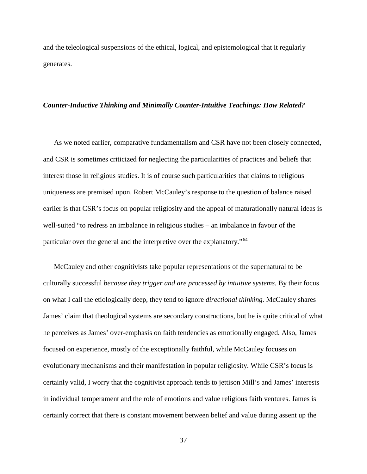and the teleological suspensions of the ethical, logical, and epistemological that it regularly generates.

## *Counter-Inductive Thinking and Minimally Counter-Intuitive Teachings: How Related?*

As we noted earlier, comparative fundamentalism and CSR have not been closely connected, and CSR is sometimes criticized for neglecting the particularities of practices and beliefs that interest those in religious studies. It is of course such particularities that claims to religious uniqueness are premised upon. Robert McCauley's response to the question of balance raised earlier is that CSR's focus on popular religiosity and the appeal of maturationally natural ideas is well-suited "to redress an imbalance in religious studies – an imbalance in favour of the particular over the general and the interpretive over the explanatory."[64](#page-109-0)

McCauley and other cognitivists take popular representations of the supernatural to be culturally successful *because they trigger and are processed by intuitive systems.* By their focus on what I call the etiologically deep, they tend to ignore *directional thinking.* McCauley shares James' claim that theological systems are secondary constructions, but he is quite critical of what he perceives as James' over-emphasis on faith tendencies as emotionally engaged. Also, James focused on experience, mostly of the exceptionally faithful, while McCauley focuses on evolutionary mechanisms and their manifestation in popular religiosity. While CSR's focus is certainly valid, I worry that the cognitivist approach tends to jettison Mill's and James' interests in individual temperament and the role of emotions and value religious faith ventures. James is certainly correct that there is constant movement between belief and value during assent up the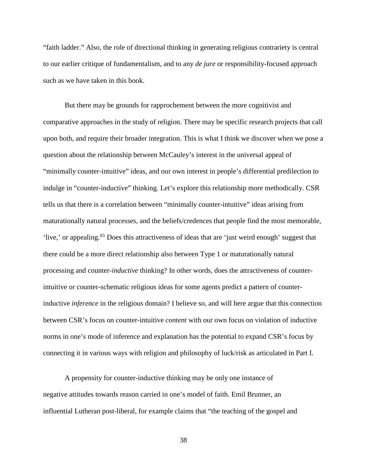"faith ladder." Also, the role of directional thinking in generating religious contrariety is central to our earlier critique of fundamentalism, and to any *de jure* or responsibility-focused approach such as we have taken in this book.

But there may be grounds for rapprochement between the more cognitivist and comparative approaches in the study of religion. There may be specific research projects that call upon both, and require their broader integration. This is what I think we discover when we pose a question about the relationship between McCauley's interest in the universal appeal of "minimally counter-intuitive" ideas, and our own interest in people's differential predilection to indulge in "counter-inductive" thinking. Let's explore this relationship more methodically. CSR tells us that there is a correlation between "minimally counter-intuitive" ideas arising from maturationally natural processes, and the beliefs/credences that people find the most memorable, 'live,' or appealing.<sup>[65](#page-110-0)</sup> Does this attractiveness of ideas that are 'just weird enough' suggest that there could be a more direct relationship also between Type 1 or maturationally natural processing and counter-*inductive* thinking? In other words, does the attractiveness of counterintuitive or counter-schematic religious ideas for some agents predict a pattern of counterinductive *inference* in the religious domain? I believe so, and will here argue that this connection between CSR's focus on counter-intuitive *content* with our own focus on violation of inductive norms in one's mode of inference and explanation has the potential to expand CSR's focus by connecting it in various ways with religion and philosophy of luck/risk as articulated in Part I.

A propensity for counter-inductive thinking may be only one instance of negative attitudes towards reason carried in one's model of faith. Emil Brunner, an influential Lutheran post-liberal, for example claims that "the teaching of the gospel and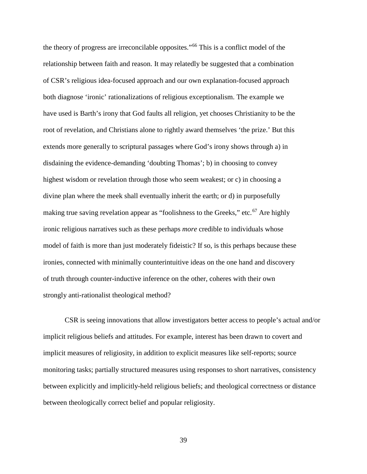the theory of progress are irreconcilable opposites."[66](#page-110-1) This is a conflict model of the relationship between faith and reason. It may relatedly be suggested that a combination of CSR's religious idea-focused approach and our own explanation-focused approach both diagnose 'ironic' rationalizations of religious exceptionalism. The example we have used is Barth's irony that God faults all religion, yet chooses Christianity to be the root of revelation, and Christians alone to rightly award themselves 'the prize.' But this extends more generally to scriptural passages where God's irony shows through a) in disdaining the evidence-demanding 'doubting Thomas'; b) in choosing to convey highest wisdom or revelation through those who seem weakest; or c) in choosing a divine plan where the meek shall eventually inherit the earth; or d) in purposefully making true saving revelation appear as "foolishness to the Greeks," etc.<sup>[67](#page-110-2)</sup> Are highly ironic religious narratives such as these perhaps *more* credible to individuals whose model of faith is more than just moderately fideistic? If so, is this perhaps because these ironies, connected with minimally counterintuitive ideas on the one hand and discovery of truth through counter-inductive inference on the other, coheres with their own strongly anti-rationalist theological method?

CSR is seeing innovations that allow investigators better access to people's actual and/or implicit religious beliefs and attitudes. For example, interest has been drawn to covert and implicit measures of religiosity, in addition to explicit measures like self-reports; source monitoring tasks; partially structured measures using responses to short narratives, consistency between explicitly and implicitly-held religious beliefs; and theological correctness or distance between theologically correct belief and popular religiosity.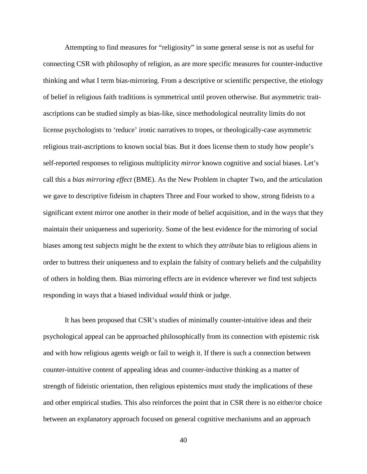Attempting to find measures for "religiosity" in some general sense is not as useful for connecting CSR with philosophy of religion, as are more specific measures for counter-inductive thinking and what I term bias-mirroring. From a descriptive or scientific perspective, the etiology of belief in religious faith traditions is symmetrical until proven otherwise. But asymmetric traitascriptions can be studied simply as bias-like, since methodological neutrality limits do not license psychologists to 'reduce' ironic narratives to tropes, or theologically-case asymmetric religious trait-ascriptions to known social bias. But it does license them to study how people's self-reported responses to religious multiplicity *mirror* known cognitive and social biases. Let's call this a *bias mirroring effect* (BME). As the New Problem in chapter Two, and the articulation we gave to descriptive fideism in chapters Three and Four worked to show, strong fideists to a significant extent mirror one another in their mode of belief acquisition, and in the ways that they maintain their uniqueness and superiority. Some of the best evidence for the mirroring of social biases among test subjects might be the extent to which they *attribute* bias to religious aliens in order to buttress their uniqueness and to explain the falsity of contrary beliefs and the culpability of others in holding them. Bias mirroring effects are in evidence wherever we find test subjects responding in ways that a biased individual *would* think or judge.

It has been proposed that CSR's studies of minimally counter-intuitive ideas and their psychological appeal can be approached philosophically from its connection with epistemic risk and with how religious agents weigh or fail to weigh it. If there is such a connection between counter-intuitive content of appealing ideas and counter-inductive thinking as a matter of strength of fideistic orientation, then religious epistemics must study the implications of these and other empirical studies. This also reinforces the point that in CSR there is no either/or choice between an explanatory approach focused on general cognitive mechanisms and an approach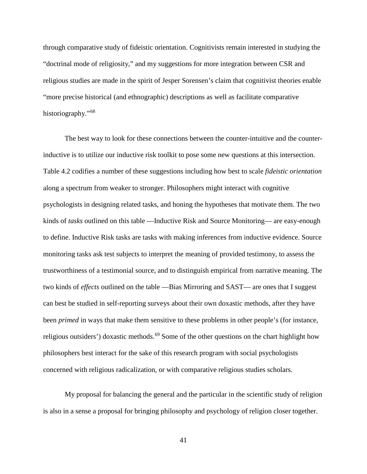through comparative study of fideistic orientation. Cognitivists remain interested in studying the "doctrinal mode of religiosity," and my suggestions for more integration between CSR and religious studies are made in the spirit of Jesper Sorensen's claim that cognitivist theories enable "more precise historical (and ethnographic) descriptions as well as facilitate comparative historiography."<sup>[68](#page-110-3)</sup>

The best way to look for these connections between the counter-intuitive and the counterinductive is to utilize our inductive risk toolkit to pose some new questions at this intersection. Table 4.2 codifies a number of these suggestions including how best to scale *fideistic orientation*  along a spectrum from weaker to stronger. Philosophers might interact with cognitive psychologists in designing related tasks, and honing the hypotheses that motivate them. The two kinds of *tasks* outlined on this table —Inductive Risk and Source Monitoring— are easy-enough to define. Inductive Risk tasks are tasks with making inferences from inductive evidence. Source monitoring tasks ask test subjects to interpret the meaning of provided testimony, to assess the trustworthiness of a testimonial source, and to distinguish empirical from narrative meaning. The two kinds of *effects* outlined on the table —Bias Mirroring and SAST— are ones that I suggest can best be studied in self-reporting surveys about their own doxastic methods, after they have been *primed* in ways that make them sensitive to these problems in other people's (for instance, religious outsiders') doxastic methods.<sup>[69](#page-110-4)</sup> Some of the other questions on the chart highlight how philosophers best interact for the sake of this research program with social psychologists concerned with religious radicalization, or with comparative religious studies scholars.

My proposal for balancing the general and the particular in the scientific study of religion is also in a sense a proposal for bringing philosophy and psychology of religion closer together.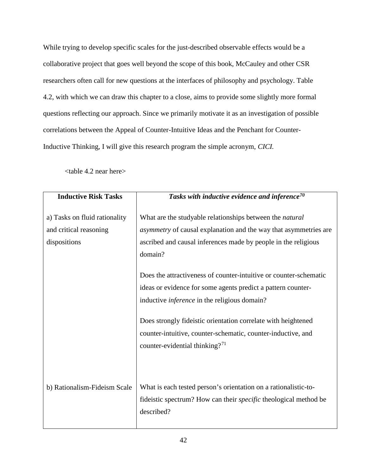While trying to develop specific scales for the just-described observable effects would be a collaborative project that goes well beyond the scope of this book, McCauley and other CSR researchers often call for new questions at the interfaces of philosophy and psychology. Table 4.2, with which we can draw this chapter to a close, aims to provide some slightly more formal questions reflecting our approach. Since we primarily motivate it as an investigation of possible correlations between the Appeal of Counter-Intuitive Ideas and the Penchant for Counter-Inductive Thinking, I will give this research program the simple acronym, *CICI.*

| <b>Inductive Risk Tasks</b>                                             | Tasks with inductive evidence and inference <sup>70</sup>                                                                                                                                                                                                                                                                                                                                                                                                                            |
|-------------------------------------------------------------------------|--------------------------------------------------------------------------------------------------------------------------------------------------------------------------------------------------------------------------------------------------------------------------------------------------------------------------------------------------------------------------------------------------------------------------------------------------------------------------------------|
| a) Tasks on fluid rationality<br>and critical reasoning<br>dispositions | What are the studyable relationships between the <i>natural</i><br><i>asymmetry</i> of causal explanation and the way that asymmetries are<br>ascribed and causal inferences made by people in the religious<br>domain?<br>Does the attractiveness of counter-intuitive or counter-schematic<br>ideas or evidence for some agents predict a pattern counter-<br>inductive <i>inference</i> in the religious domain?<br>Does strongly fideistic orientation correlate with heightened |
|                                                                         | counter-intuitive, counter-schematic, counter-inductive, and<br>counter-evidential thinking? <sup>71</sup>                                                                                                                                                                                                                                                                                                                                                                           |
| b) Rationalism-Fideism Scale                                            | What is each tested person's orientation on a rationalistic-to-<br>fideistic spectrum? How can their <i>specific</i> theological method be<br>described?                                                                                                                                                                                                                                                                                                                             |

<table 4.2 near here>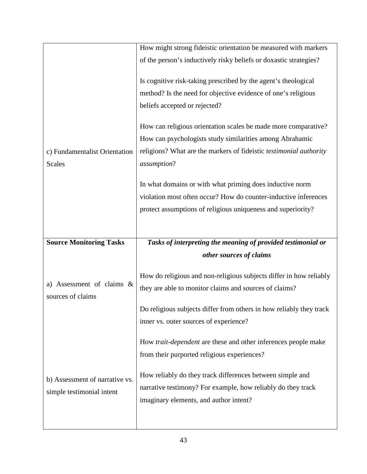|                                                | How might strong fideistic orientation be measured with markers           |
|------------------------------------------------|---------------------------------------------------------------------------|
|                                                | of the person's inductively risky beliefs or doxastic strategies?         |
| c) Fundamentalist Orientation<br><b>Scales</b> | Is cognitive risk-taking prescribed by the agent's theological            |
|                                                | method? Is the need for objective evidence of one's religious             |
|                                                | beliefs accepted or rejected?                                             |
|                                                | How can religious orientation scales be made more comparative?            |
|                                                | How can psychologists study similarities among Abrahamic                  |
|                                                | religions? What are the markers of fideistic <i>testimonial authority</i> |
|                                                | assumption?                                                               |
|                                                | In what domains or with what priming does inductive norm                  |
|                                                | violation most often occur? How do counter-inductive inferences           |
|                                                |                                                                           |
|                                                | protect assumptions of religious uniqueness and superiority?              |
|                                                |                                                                           |
|                                                |                                                                           |
| <b>Source Monitoring Tasks</b>                 | Tasks of interpreting the meaning of provided testimonial or              |
|                                                | other sources of claims                                                   |
|                                                | How do religious and non-religious subjects differ in how reliably        |
| a) Assessment of claims $\&$                   | they are able to monitor claims and sources of claims?                    |
| sources of claims                              |                                                                           |
|                                                | Do religious subjects differ from others in how reliably they track       |
|                                                | inner vs. outer sources of experience?                                    |
|                                                | How <i>trait-dependent</i> are these and other inferences people make     |
|                                                | from their purported religious experiences?                               |
|                                                | How reliably do they track differences between simple and                 |
| b) Assessment of narrative vs.                 | narrative testimony? For example, how reliably do they track              |
| simple testimonial intent                      | imaginary elements, and author intent?                                    |
|                                                |                                                                           |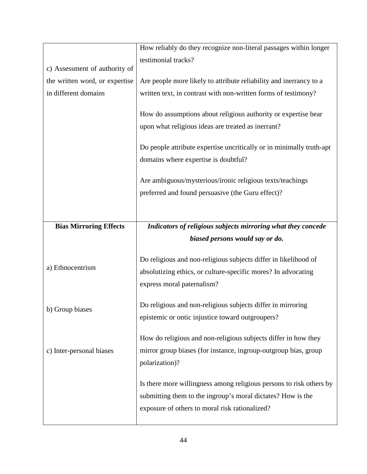|                                | How reliably do they recognize non-literal passages within longer<br>testimonial tracks?                      |
|--------------------------------|---------------------------------------------------------------------------------------------------------------|
| c) Assessment of authority of  |                                                                                                               |
| the written word, or expertise | Are people more likely to attribute reliability and inerrancy to a                                            |
| in different domains           | written text, in contrast with non-written forms of testimony?                                                |
|                                |                                                                                                               |
|                                | How do assumptions about religious authority or expertise bear                                                |
|                                | upon what religious ideas are treated as inerrant?                                                            |
|                                | Do people attribute expertise uncritically or in minimally truth-apt                                          |
|                                | domains where expertise is doubtful?                                                                          |
|                                | Are ambiguous/mysterious/ironic religious texts/teachings                                                     |
|                                | preferred and found persuasive (the Guru effect)?                                                             |
|                                |                                                                                                               |
|                                |                                                                                                               |
| <b>Bias Mirroring Effects</b>  | Indicators of religious subjects mirroring what they concede                                                  |
|                                |                                                                                                               |
|                                | biased persons would say or do.                                                                               |
|                                |                                                                                                               |
| a) Ethnocentrism               | Do religious and non-religious subjects differ in likelihood of                                               |
|                                | absolutizing ethics, or culture-specific mores? In advocating                                                 |
|                                | express moral paternalism?                                                                                    |
|                                | Do religious and non-religious subjects differ in mirroring                                                   |
| b) Group biases                | epistemic or ontic injustice toward outgroupers?                                                              |
|                                |                                                                                                               |
|                                | How do religious and non-religious subjects differ in how they                                                |
| c) Inter-personal biases       | mirror group biases (for instance, ingroup-outgroup bias, group                                               |
|                                | polarization)?                                                                                                |
|                                |                                                                                                               |
|                                | Is there more willingness among religious persons to risk others by                                           |
|                                | submitting them to the ingroup's moral dictates? How is the<br>exposure of others to moral risk rationalized? |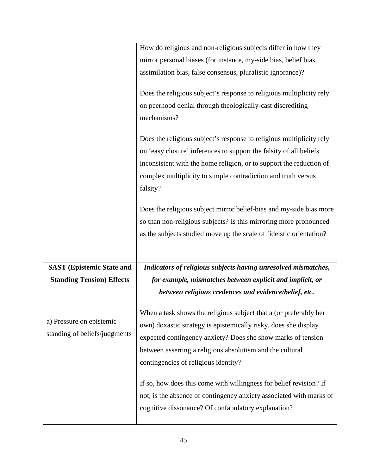|                                  | How do religious and non-religious subjects differ in how they       |
|----------------------------------|----------------------------------------------------------------------|
|                                  | mirror personal biases (for instance, my-side bias, belief bias,     |
|                                  | assimilation bias, false consensus, pluralistic ignorance)?          |
|                                  |                                                                      |
|                                  | Does the religious subject's response to religious multiplicity rely |
|                                  | on peerhood denial through theologically-cast discrediting           |
|                                  | mechanisms?                                                          |
|                                  | Does the religious subject's response to religious multiplicity rely |
|                                  | on 'easy closure' inferences to support the falsity of all beliefs   |
|                                  | inconsistent with the home religion, or to support the reduction of  |
|                                  | complex multiplicity to simple contradiction and truth versus        |
|                                  | falsity?                                                             |
|                                  |                                                                      |
|                                  | Does the religious subject mirror belief-bias and my-side bias more  |
|                                  | so than non-religious subjects? Is this mirroring more pronounced    |
|                                  |                                                                      |
|                                  | as the subjects studied move up the scale of fideistic orientation?  |
|                                  |                                                                      |
|                                  |                                                                      |
| <b>SAST (Epistemic State and</b> | Indicators of religious subjects having unresolved mismatches,       |
| <b>Standing Tension) Effects</b> | for example, mismatches between explicit and implicit, or            |
|                                  | between religious credences and evidence/belief, etc.                |
|                                  | When a task shows the religious subject that a (or preferably her    |
| a) Pressure on epistemic         | own) doxastic strategy is epistemically risky, does she display      |
| standing of beliefs/judgments    | expected contingency anxiety? Does she show marks of tension         |
|                                  | between asserting a religious absolutism and the cultural            |
|                                  | contingencies of religious identity?                                 |
|                                  |                                                                      |
|                                  | If so, how does this come with willingness for belief revision? If   |
|                                  | not, is the absence of contingency anxiety associated with marks of  |
|                                  | cognitive dissonance? Of confabulatory explanation?                  |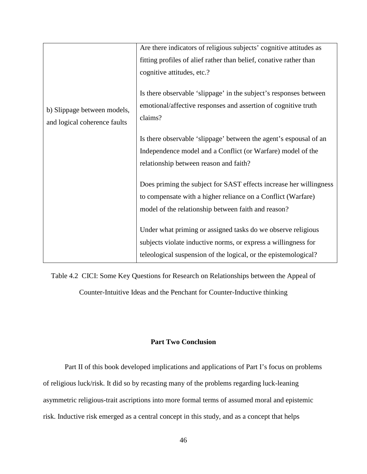|                                                             | Are there indicators of religious subjects' cognitive attitudes as<br>fitting profiles of alief rather than belief, conative rather than<br>cognitive attitudes, etc.?                            |
|-------------------------------------------------------------|---------------------------------------------------------------------------------------------------------------------------------------------------------------------------------------------------|
| b) Slippage between models,<br>and logical coherence faults | Is there observable 'slippage' in the subject's responses between<br>emotional/affective responses and assertion of cognitive truth<br>claims?                                                    |
|                                                             | Is there observable 'slippage' between the agent's espousal of an<br>Independence model and a Conflict (or Warfare) model of the<br>relationship between reason and faith?                        |
|                                                             | Does priming the subject for SAST effects increase her willingness<br>to compensate with a higher reliance on a Conflict (Warfare)<br>model of the relationship between faith and reason?         |
|                                                             | Under what priming or assigned tasks do we observe religious<br>subjects violate inductive norms, or express a willingness for<br>teleological suspension of the logical, or the epistemological? |

Table 4.2 CICI: Some Key Questions for Research on Relationships between the Appeal of Counter-Intuitive Ideas and the Penchant for Counter-Inductive thinking

## **Part Two Conclusion**

Part II of this book developed implications and applications of Part I's focus on problems of religious luck/risk. It did so by recasting many of the problems regarding luck-leaning asymmetric religious-trait ascriptions into more formal terms of assumed moral and epistemic risk. Inductive risk emerged as a central concept in this study, and as a concept that helps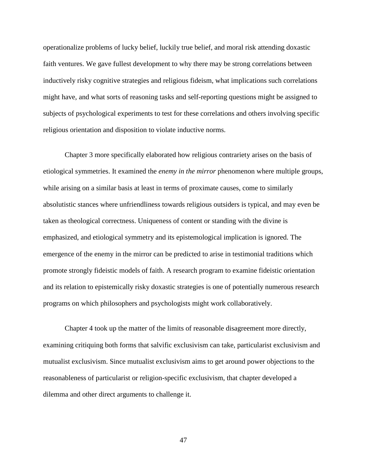operationalize problems of lucky belief, luckily true belief, and moral risk attending doxastic faith ventures. We gave fullest development to why there may be strong correlations between inductively risky cognitive strategies and religious fideism, what implications such correlations might have, and what sorts of reasoning tasks and self-reporting questions might be assigned to subjects of psychological experiments to test for these correlations and others involving specific religious orientation and disposition to violate inductive norms.

Chapter 3 more specifically elaborated how religious contrariety arises on the basis of etiological symmetries. It examined the *enemy in the mirror* phenomenon where multiple groups, while arising on a similar basis at least in terms of proximate causes, come to similarly absolutistic stances where unfriendliness towards religious outsiders is typical, and may even be taken as theological correctness. Uniqueness of content or standing with the divine is emphasized, and etiological symmetry and its epistemological implication is ignored. The emergence of the enemy in the mirror can be predicted to arise in testimonial traditions which promote strongly fideistic models of faith. A research program to examine fideistic orientation and its relation to epistemically risky doxastic strategies is one of potentially numerous research programs on which philosophers and psychologists might work collaboratively.

Chapter 4 took up the matter of the limits of reasonable disagreement more directly, examining critiquing both forms that salvific exclusivism can take, particularist exclusivism and mutualist exclusivism. Since mutualist exclusivism aims to get around power objections to the reasonableness of particularist or religion-specific exclusivism, that chapter developed a dilemma and other direct arguments to challenge it.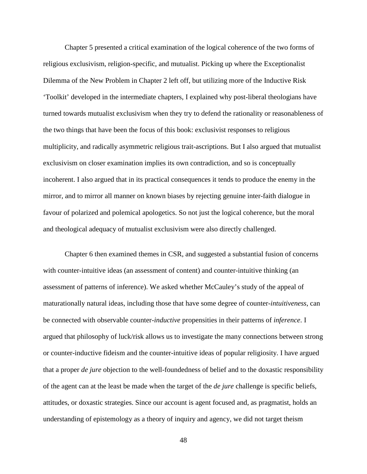Chapter 5 presented a critical examination of the logical coherence of the two forms of religious exclusivism, religion-specific, and mutualist. Picking up where the Exceptionalist Dilemma of the New Problem in Chapter 2 left off, but utilizing more of the Inductive Risk 'Toolkit' developed in the intermediate chapters, I explained why post-liberal theologians have turned towards mutualist exclusivism when they try to defend the rationality or reasonableness of the two things that have been the focus of this book: exclusivist responses to religious multiplicity, and radically asymmetric religious trait-ascriptions. But I also argued that mutualist exclusivism on closer examination implies its own contradiction, and so is conceptually incoherent. I also argued that in its practical consequences it tends to produce the enemy in the mirror, and to mirror all manner on known biases by rejecting genuine inter-faith dialogue in favour of polarized and polemical apologetics. So not just the logical coherence, but the moral and theological adequacy of mutualist exclusivism were also directly challenged.

Chapter 6 then examined themes in CSR, and suggested a substantial fusion of concerns with counter-intuitive ideas (an assessment of content) and counter-intuitive thinking (an assessment of patterns of inference). We asked whether McCauley's study of the appeal of maturationally natural ideas, including those that have some degree of counter-*intuitiveness*, can be connected with observable counter-*inductive* propensities in their patterns of *inference*. I argued that philosophy of luck/risk allows us to investigate the many connections between strong or counter-inductive fideism and the counter-intuitive ideas of popular religiosity. I have argued that a proper *de jure* objection to the well-foundedness of belief and to the doxastic responsibility of the agent can at the least be made when the target of the *de jure* challenge is specific beliefs, attitudes, or doxastic strategies. Since our account is agent focused and, as pragmatist, holds an understanding of epistemology as a theory of inquiry and agency, we did not target theism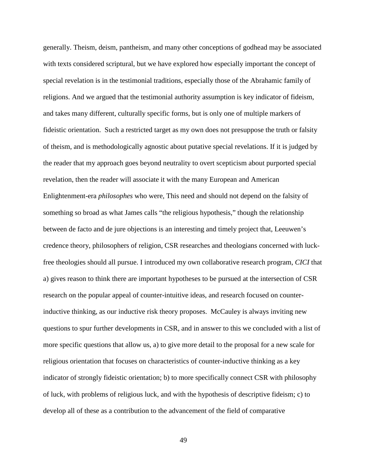generally. Theism, deism, pantheism, and many other conceptions of godhead may be associated with texts considered scriptural, but we have explored how especially important the concept of special revelation is in the testimonial traditions, especially those of the Abrahamic family of religions. And we argued that the testimonial authority assumption is key indicator of fideism, and takes many different, culturally specific forms, but is only one of multiple markers of fideistic orientation. Such a restricted target as my own does not presuppose the truth or falsity of theism, and is methodologically agnostic about putative special revelations. If it is judged by the reader that my approach goes beyond neutrality to overt scepticism about purported special revelation, then the reader will associate it with the many European and American Enlightenment-era *philosophes* who were*,* This need and should not depend on the falsity of something so broad as what James calls "the religious hypothesis," though the relationship between de facto and de jure objections is an interesting and timely project that, Leeuwen's credence theory, philosophers of religion, CSR researches and theologians concerned with luckfree theologies should all pursue. I introduced my own collaborative research program, *CICI* that a) gives reason to think there are important hypotheses to be pursued at the intersection of CSR research on the popular appeal of counter-intuitive ideas, and research focused on counterinductive thinking, as our inductive risk theory proposes. McCauley is always inviting new questions to spur further developments in CSR, and in answer to this we concluded with a list of more specific questions that allow us, a) to give more detail to the proposal for a new scale for religious orientation that focuses on characteristics of counter-inductive thinking as a key indicator of strongly fideistic orientation; b) to more specifically connect CSR with philosophy of luck, with problems of religious luck, and with the hypothesis of descriptive fideism; c) to develop all of these as a contribution to the advancement of the field of comparative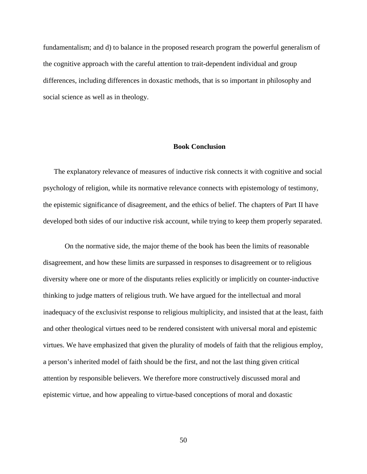fundamentalism; and d) to balance in the proposed research program the powerful generalism of the cognitive approach with the careful attention to trait-dependent individual and group differences, including differences in doxastic methods, that is so important in philosophy and social science as well as in theology.

## **Book Conclusion**

The explanatory relevance of measures of inductive risk connects it with cognitive and social psychology of religion, while its normative relevance connects with epistemology of testimony, the epistemic significance of disagreement, and the ethics of belief. The chapters of Part II have developed both sides of our inductive risk account, while trying to keep them properly separated.

On the normative side, the major theme of the book has been the limits of reasonable disagreement, and how these limits are surpassed in responses to disagreement or to religious diversity where one or more of the disputants relies explicitly or implicitly on counter-inductive thinking to judge matters of religious truth. We have argued for the intellectual and moral inadequacy of the exclusivist response to religious multiplicity, and insisted that at the least, faith and other theological virtues need to be rendered consistent with universal moral and epistemic virtues. We have emphasized that given the plurality of models of faith that the religious employ, a person's inherited model of faith should be the first, and not the last thing given critical attention by responsible believers. We therefore more constructively discussed moral and epistemic virtue, and how appealing to virtue-based conceptions of moral and doxastic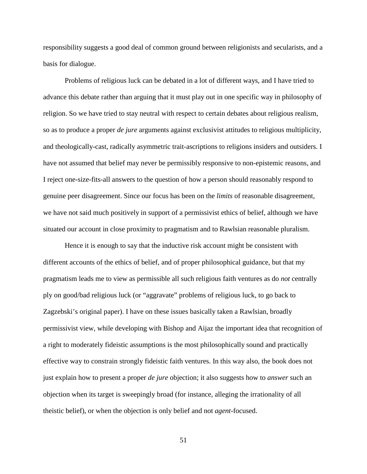responsibility suggests a good deal of common ground between religionists and secularists, and a basis for dialogue.

Problems of religious luck can be debated in a lot of different ways, and I have tried to advance this debate rather than arguing that it must play out in one specific way in philosophy of religion. So we have tried to stay neutral with respect to certain debates about religious realism, so as to produce a proper *de jure* arguments against exclusivist attitudes to religious multiplicity, and theologically-cast, radically asymmetric trait-ascriptions to religions insiders and outsiders. I have not assumed that belief may never be permissibly responsive to non-epistemic reasons, and I reject one-size-fits-all answers to the question of how a person should reasonably respond to genuine peer disagreement. Since our focus has been on the *limits* of reasonable disagreement, we have not said much positively in support of a permissivist ethics of belief, although we have situated our account in close proximity to pragmatism and to Rawlsian reasonable pluralism.

Hence it is enough to say that the inductive risk account might be consistent with different accounts of the ethics of belief, and of proper philosophical guidance, but that my pragmatism leads me to view as permissible all such religious faith ventures as do *not* centrally ply on good/bad religious luck (or "aggravate" problems of religious luck, to go back to Zagzebski's original paper). I have on these issues basically taken a Rawlsian, broadly permissivist view, while developing with Bishop and Aijaz the important idea that recognition of a right to moderately fideistic assumptions is the most philosophically sound and practically effective way to constrain strongly fideistic faith ventures. In this way also, the book does not just explain how to present a proper *de jure* objection; it also suggests how to *answer* such an objection when its target is sweepingly broad (for instance, alleging the irrationality of all theistic belief), or when the objection is only belief and not *agent*-focused.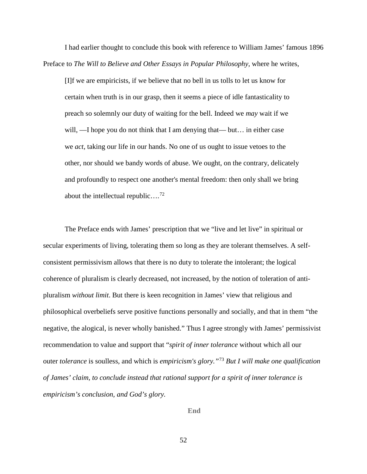I had earlier thought to conclude this book with reference to William James' famous 1896 Preface to *The Will to Believe and Other Essays in Popular Philosophy*, where he writes,

[I]f we are empiricists, if we believe that no bell in us tolls to let us know for certain when truth is in our grasp, then it seems a piece of idle fantasticality to preach so solemnly our duty of waiting for the bell. Indeed we *may* wait if we will, —I hope you do not think that I am denying that— but... in either case we *act*, taking our life in our hands. No one of us ought to issue vetoes to the other, nor should we bandy words of abuse. We ought, on the contrary, delicately and profoundly to respect one another's mental freedom: then only shall we bring about the intellectual republic....<sup>[72](#page-111-2)</sup>

The Preface ends with James' prescription that we "live and let live" in spiritual or secular experiments of living, tolerating them so long as they are tolerant themselves. A selfconsistent permissivism allows that there is no duty to tolerate the intolerant; the logical coherence of pluralism is clearly decreased, not increased, by the notion of toleration of antipluralism *without limit*. But there is keen recognition in James' view that religious and philosophical overbeliefs serve positive functions personally and socially, and that in them "the negative, the alogical, is never wholly banished." Thus I agree strongly with James' permissivist recommendation to value and support that "*spirit of inner tolerance* without which all our outer *tolerance* is soulless, and which is *empiricism's glory."*[73](#page-111-3) *But I will make one qualification of James' claim, to conclude instead that rational support for a spirit of inner tolerance is empiricism's conclusion, and God's glory.*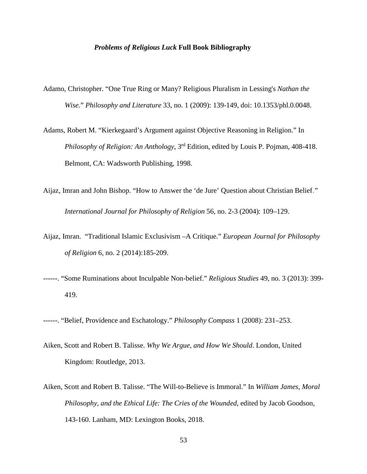## *Problems of Religious Luck* **Full Book Bibliography**

- Adamo, Christopher. "One True Ring or Many? Religious Pluralism in Lessing's *Nathan the Wise*." *Philosophy and Literature* 33, no. 1 (2009): 139-149, doi: 10.1353/phl.0.0048.
- Adams, Robert M. "Kierkegaard's Argument against Objective Reasoning in Religion." In *Philosophy of Religion: An Anthology*, 3rd Edition, edited by Louis P. Pojman, 408-418. Belmont, CA: Wadsworth Publishing, 1998.
- Aijaz, Imran and John Bishop. ["How to Answer the 'de Jure' Question about Christian Belief](https://philpapers.org/go.pl?id=BISHTA&proxyId=&u=http%3A%2F%2Fdx.doi.org%2F10.1007%2Fs11153-004-5814-x)." *[International Journal for Philosophy of Religion](https://philpapers.org/asearch.pl?pub=430)* 56, no. 2-3 (2004): 109–129.
- Aijaz, Imran. "Traditional Islamic Exclusivism –A Critique." *European Journal for Philosophy of Religion* 6, no. 2 (2014):185-209.
- ------. ["Some Ruminations about Inculpable Non-belief.](https://philpapers.org/go.pl?id=AIJSRA&proxyId=&u=http%3A%2F%2Fdx.doi.org%2F10.1017%2FS0034412512000339)" *[Religious Studies](https://philpapers.org/asearch.pl?pub=977)* 49, no. 3 (2013): 399- 419.
- ------. "Belief, Providence and Eschatology." *Philosophy Compass* 1 (2008): 231–253.
- Aiken, Scott and Robert B. Talisse. *Why We Argue, and How We Should*. London, United Kingdom: Routledge, 2013.
- Aiken, Scott and Robert B. Talisse. "The Will-to-Believe is Immoral." In *William James, Moral Philosophy, and the Ethical Life: The Cries of the Wounded*, edited by Jacob Goodson, 143-160. Lanham, MD: Lexington Books, 2018.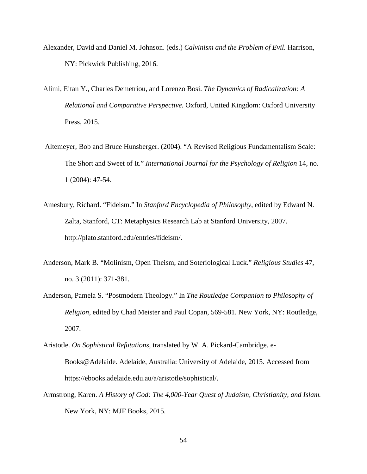- Alexander, David and Daniel M. Johnson. (eds.) *Calvinism and the Problem of Evil.* Harrison, NY: Pickwick Publishing, 2016.
- Alimi, Eitan Y., Charles Demetriou, and Lorenzo Bosi. *The Dynamics of Radicalization: A Relational and Comparative Perspective.* Oxford, United Kingdom: Oxford University Press, 2015.
- Altemeyer, Bob and Bruce Hunsberger. (2004). "A Revised Religious Fundamentalism Scale: The Short and Sweet of It." *International Journal for the Psychology of Religion* 14, no. 1 (2004): 47-54.
- Amesbury, Richard. "Fideism." In *Stanford Encyclopedia of Philosophy*, edited by Edward N. Zalta, Stanford, CT: Metaphysics Research Lab at Stanford University, 2007. [http://plato.stanford.edu/entries/fideism/.](http://plato.stanford.edu/entries/fideism/)
- Anderson, Mark B. "Molinism, Open Theism, and Soteriological Luck." *Religious Studies* 47, no. 3 (2011): 371-381.
- Anderson, Pamela S. "Postmodern Theology." In *The Routledge Companion to Philosophy of Religion*, edited by Chad Meister and Paul Copan, 569-581. New York, NY: Routledge, 2007.
- Aristotle. *On Sophistical Refutations*, translated by W. A. Pickard-Cambridge. e-Books@Adelaide. Adelaide, Australia: University of Adelaide, 2015. Accessed from https://ebooks.adelaide.edu.au/a/aristotle/sophistical/.
- Armstrong, Karen. *A History of God: The 4,000-Year Quest of Judaism, Christianity, and Islam.*  New York, NY: MJF Books, 2015.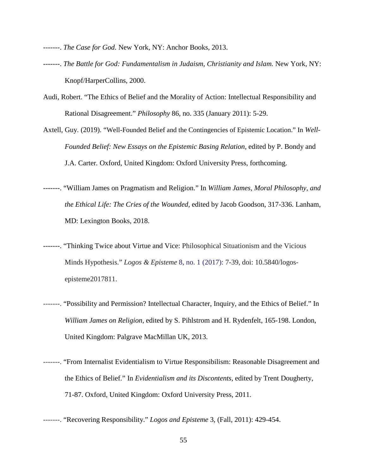-------. *The Case for God*. New York, NY: Anchor Books, 2013.

- -------. *The Battle for God: Fundamentalism in Judaism, Christianity and Islam.* New York, NY: Knopf/HarperCollins, 2000.
- Audi, Robert. "The Ethics of Belief and the Morality of Action: Intellectual Responsibility and Rational Disagreement." *Philosophy* 86, no. 335 (January 2011): 5-29.
- Axtell, Guy. (2019). "Well-Founded Belief and the Contingencies of Epistemic Location." In *Well-Founded Belief: New Essays on the Epistemic Basing Relation*, edited by P. Bondy and J.A. Carter*.* Oxford, United Kingdom: Oxford University Press, forthcoming.
- -------. "William James on Pragmatism and Religion." In *William James, Moral Philosophy, and the Ethical Life: The Cries of the Wounded*, edited by Jacob Goodson, 317-336. Lanham, MD: Lexington Books, 2018.
- -------. "Thinking Twice about Virtue and Vice: Philosophical Situationism and the Vicious Minds Hypothesis." *Logos & Episteme* 8, no. 1 (2017): 7-39, doi: 10.5840/logosepisteme2017811.
- -------. "Possibility and Permission? Intellectual Character, Inquiry, and the Ethics of Belief." In *William James on Religion,* edited by S. Pihlstrom and H. Rydenfelt, 165-198. London, United Kingdom: Palgrave MacMillan UK, 2013.
- -------. "From Internalist Evidentialism to Virtue Responsibilism: Reasonable Disagreement and the Ethics of Belief." In *Evidentialism and its Discontents,* edited by Trent Dougherty, 71-87. Oxford, United Kingdom: Oxford University Press, 2011.

-------. "Recovering Responsibility." *Logos and Episteme* 3, (Fall, 2011): 429-454.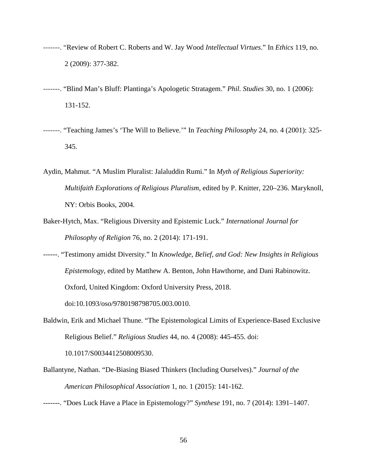- -------. "Review of Robert C. Roberts and W. Jay Wood *Intellectual Virtues*." In *Ethics* 119, no. 2 (2009): 377-382.
- -------. "Blind Man's Bluff: Plantinga's Apologetic Stratagem." *Phil. Studies* 30, no. 1 (2006): 131-152.
- -------. "Teaching James's 'The Will to Believe.'" In *Teaching Philosophy* 24, no. 4 (2001): 325- 345.
- Aydin, Mahmut. "A Muslim Pluralist: Jalaluddin Rumi." In *Myth of Religious Superiority: Multifaith Explorations of Religious Pluralism*, edited by P. Knitter, 220–236. Maryknoll, NY: Orbis Books, 2004.
- Baker-Hytch, Max. "Religious Diversity and Epistemic Luck." *International Journal for Philosophy of Religion* 76, no. 2 (2014): 171-191.
- ------. "Testimony amidst Diversity." In *[Knowledge, Belief, and God: New Insights in Religious](https://philpapers.org/rec/BENKBA-2)  [Epistemology](https://philpapers.org/rec/BENKBA-2)*, edited by Matthew A. Benton, John Hawthorne, and Dani Rabinowitz. Oxford, United Kingdom: Oxford University Press, 2018. doi:10.1093/oso/9780198798705.003.0010.
- Baldwin, Erik and Michael Thune. "The Epistemological Limits of Experience-Based Exclusive Religious Belief." *Religious Studies* 44, no. 4 (2008): 445-455. doi:

10.1017/S0034412508009530.

Ballantyne, Nathan. "De-Biasing Biased Thinkers (Including Ourselves)." *Journal of the American Philosophical Association* 1, no. 1 (2015): 141-162.

-------. "Does Luck Have a Place in Epistemology?" *Synthese* 191, no. 7 (2014): 1391–1407.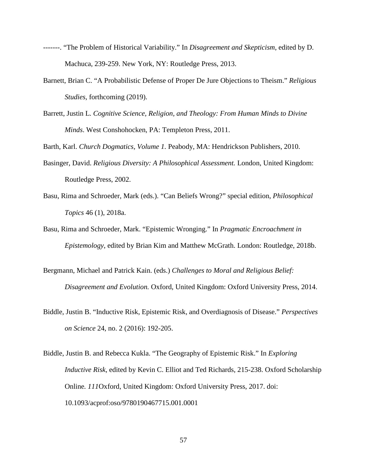- -------. "The Problem of Historical Variability." In *Disagreement and Skepticism*, edited by D. Machuca, 239-259. New York, NY: Routledge Press, 2013.
- Barnett, Brian C. ["A Probabilistic Defense of Proper De Jure Objections to Theism.](https://philpapers.org/rec/BARAPD-14)" *Religious Studies,* forthcoming (2019).
- Barrett, Justin L. *Cognitive Science, Religion, and Theology: From Human Minds to Divine Minds*. West Conshohocken, PA: Templeton Press, 2011.

Barth, Karl. *Church Dogmatics, Volume 1.* Peabody, MA: Hendrickson Publishers, 2010.

- Basinger, David. *Religious Diversity: A Philosophical Assessment.* London, United Kingdom: Routledge Press, 2002.
- Basu, Rima and Schroeder, Mark (eds.). "Can Beliefs Wrong?" special edition, *Philosophical Topics* 46 (1), 2018a.
- Basu, Rima and Schroeder, Mark. "Epistemic Wronging." In *Pragmatic Encroachment in Epistemology*, edited by Brian Kim and Matthew McGrath. London: Routledge, 2018b.
- Bergmann, Michael and Patrick Kain. (eds.) *Challenges to Moral and Religious Belief: Disagreement and Evolution.* Oxford, United Kingdom: Oxford University Press, 2014.
- Biddle, Justin B. ["Inductive Risk, Epistemic Risk, and Overdiagnosis of Disease.](https://philpapers.org/go.pl?id=BIDIRE&proxyId=&u=http%3A%2F%2Fdx.doi.org%2F10.1162%2FPOSC_a_00200)" *[Perspectives](https://philpapers.org/asearch.pl?pub=766)  [on Science](https://philpapers.org/asearch.pl?pub=766)* 24, no. 2 (2016): 192-205.
- Biddle, Justin B. and Rebecca Kukla. "The Geography of Epistemic Risk." In *Exploring Inductive Risk*, edited by Kevin C. Elliot and Ted Richards, 215-238. Oxford Scholarship Online*. 111*Oxford, United Kingdom: Oxford University Press, 2017. doi: 10.1093/acprof:oso/9780190467715.001.0001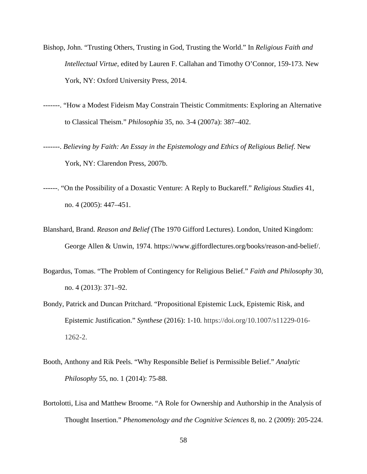- Bishop, John. "Trusting Others, Trusting in God, Trusting the World." In *Religious Faith and Intellectual Virtue*, edited by Lauren F. Callahan and Timothy O'Connor, 159-173. New York, NY: Oxford University Press, 2014.
- -------. "How a Modest Fideism May Constrain Theistic Commitments: Exploring an Alternative to Classical Theism." *Philosophia* 35, no. 3-4 (2007a): 387–402.
- -------. *Believing by Faith: An Essay in the Epistemology and Ethics of Religious Belief*. New York, NY: Clarendon Press, 2007b.
- ------. "On the Possibility of a Doxastic Venture: A Reply to Buckareff." *Religious Studies* 41, no. 4 (2005): 447–451.
- Blanshard, Brand. *Reason and Belief* (The 1970 Gifford Lectures). London, United Kingdom: George Allen & Unwin, 1974. https://www.giffordlectures.org/books/reason-and-belief/.
- Bogardus, Tomas. "The Problem of Contingency for Religious Belief." *Faith and Philosophy* 30, no. 4 (2013): 371–92.
- Bondy, Patrick and Duncan Pritchard. "Propositional Epistemic Luck, Epistemic Risk, and Epistemic Justification." *Synthese* (2016): 1-10*.* https://doi.org/10.1007/s11229-016- 1262-2.
- Booth, Anthony and Rik Peels. "Why Responsible Belief is Permissible Belief." *Analytic Philosophy* 55, no. 1 (2014): 75-88.
- [Bortolotti,](https://philpapers.org/s/Lisa%20Bortolotti) Lisa and Matthew Broome. "A Role for Ownership and Authorship in the Analysis of Thought Insertion." *Phenomenology and the Cognitive Sciences* 8, no. 2 (2009): 205-224.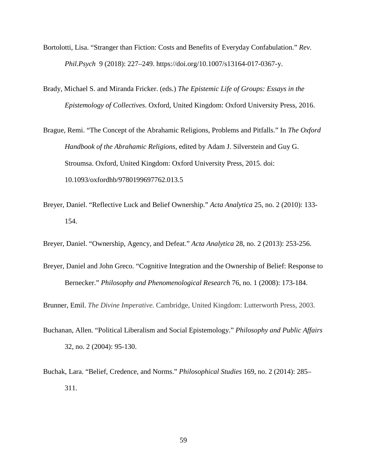- Bortolotti, Lisa. "Stranger than Fiction: Costs and Benefits of Everyday Confabulation." *Rev. Phil.Psych* 9 (2018): 227–249. https://doi.org/10.1007/s13164-017-0367-y.
- Brady, Michael S. and Miranda Fricker. (eds.) *The Epistemic Life of Groups: Essays in the Epistemology of Collectives*. Oxford, United Kingdom: Oxford University Press, 2016.
- Brague, Remi. "The Concept of the Abrahamic Religions, Problems and Pitfalls." In *The Oxford Handbook of the Abrahamic Religions*, edited by Adam J. Silverstein and Guy G. Stroumsa. Oxford, United Kingdom: Oxford University Press, 2015. doi: 10.1093/oxfordhb/9780199697762.013.5
- Breyer, Daniel. "Reflective Luck and Belief Ownership." *Acta Analytica* 25, no. 2 (2010): 133- 154.
- Breyer, Daniel. "Ownership, Agency, and Defeat." *Acta Analytica* 28, no. 2 (2013): 253-256.
- Breyer, Daniel and John Greco. "Cognitive Integration and the Ownership of Belief: Response to Bernecker." *Philosophy and Phenomenological Research* 76, no. 1 (2008): 173-184.

Brunner, Emil. *The Divine Imperative.* Cambridge, United Kingdom: Lutterworth Press, 2003.

- Buchanan, Allen. "Political Liberalism and Social Epistemology." *Philosophy and Public Affairs* 32, no. 2 (2004): 95-130.
- Buchak, Lara. "Belief, Credence, and Norms." *Philosophical Studies* 169, no. 2 (2014): 285– 311.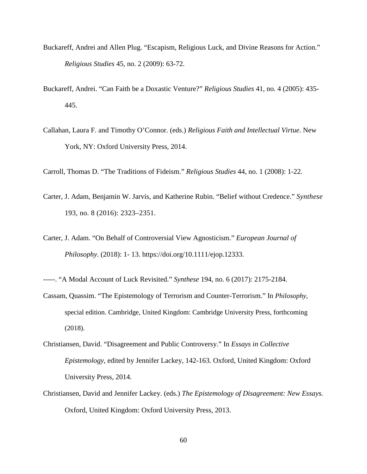- Buckareff, Andrei and Allen Plug. "Escapism, Religious Luck, and Divine Reasons for Action." *Religious Studies* 45, no. 2 (2009): 63-72.
- Buckareff, Andrei. "Can Faith be a Doxastic Venture?" *Religious Studies* 41, no. 4 (2005): 435- 445.
- Callahan, Laura F. and Timothy O'Connor. (eds.) *Religious Faith and Intellectual Virtue*. New York, NY: Oxford University Press, 2014.
- Carroll, Thomas D. "The Traditions of Fideism." *Religious Studies* 44, no. 1 (2008): 1-22.
- Carter, J. Adam, Benjamin W. Jarvis, and Katherine Rubin. "Belief without Credence." *[Synthese](https://link.springer.com/journal/11229)* 193, no. 8 (2016): 2323–2351.
- Carter, J. Adam. "On Behalf of Controversial View Agnosticism." *European Journal of Philosophy*. (2018): 1- 13. https://doi.org/10.1111/ejop.12333.

- Cassam, Quassim. "The Epistemology of Terrorism and Counter-Terrorism." In *Philosophy*, special edition. Cambridge, United Kingdom: Cambridge University Press, forthcoming (2018).
- Christiansen, David. "Disagreement and Public Controversy." In *Essays in Collective Epistemology*, edited by Jennifer Lackey, 142-163*.* Oxford, United Kingdom: Oxford University Press, 2014.
- Christiansen, David and Jennifer Lackey. (eds.) *The Epistemology of Disagreement: New Essays.*  Oxford, United Kingdom: Oxford University Press, 2013.

<sup>-----.</sup> "A Modal Account of Luck Revisited." *Synthese* 194, no. 6 (2017): 2175-2184.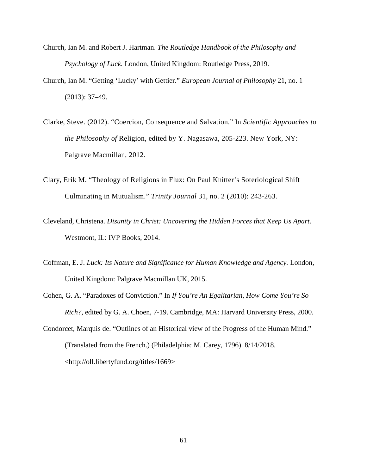- Church, Ian M. and Robert J. Hartman. *The Routledge Handbook of the Philosophy and Psychology of Luck.* London, United Kingdom: Routledge Press, 2019.
- Church, Ian M. "Getting 'Lucky' with Gettier." *European Journal of Philosophy* 21, no. 1 (2013): 37–49.
- Clarke, Steve. (2012). "Coercion, Consequence and Salvation." In *Scientific Approaches to the Philosophy of* Religion, edited by Y. Nagasawa, 205-223. New York, NY: Palgrave Macmillan, 2012.
- Clary, Erik M. "Theology of Religions in Flux: On Paul Knitter's Soteriological Shift Culminating in Mutualism." *Trinity Journal* 31, no. 2 (2010): 243-263.
- Cleveland, Christena. *Disunity in Christ: Uncovering the Hidden Forces that Keep Us Apart*. Westmont, IL: IVP Books, 2014.
- Coffman, E. J. *Luck: Its Nature and Significance for Human Knowledge and Agency.* London, United Kingdom: Palgrave Macmillan UK, 2015.
- Cohen, G. A. "Paradoxes of Conviction." In *If You're An Egalitarian, How Come You're So Rich?*, edited by G. A. Choen, 7-19. Cambridge, MA: Harvard University Press, 2000.
- Condorcet, Marquis de. "Outlines of an Historical view of the Progress of the Human Mind." (Translated from the French.) (Philadelphia: M. Carey, 1796). 8/14/2018. <http://oll.libertyfund.org/titles/1669>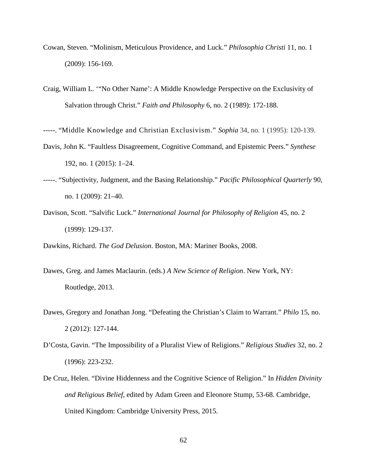- Cowan, Steven. "Molinism, Meticulous Providence, and Luck." *Philosophia Christi* 11, no. 1 (2009): 156-169.
- Craig, William L. '"No Other Name': A Middle Knowledge Perspective on the Exclusivity of Salvation through Christ." *Faith and Philosophy* 6, no. 2 (1989): 172-188.

-----. "Middle Knowledge and Christian Exclusivism." *Sophia* 34, no. 1 (1995): 120-139.

- Davis, John K. "Faultless Disagreement, Cognitive Command, and Epistemic Peers." *Synthese* 192, no. 1 (2015): 1–24.
- -----. "Subjectivity, Judgment, and the Basing Relationship." *Pacific Philosophical Quarterly* 90, no. 1 (2009): 21–40.
- Davison, Scott. "Salvific Luck." *International Journal for Philosophy of Religion* 45, no. 2 (1999): 129-137.

Dawkins, Richard. *The God Delusion*. Boston, MA: Mariner Books, 2008.

- Dawes, Greg. and James Maclaurin. (eds.) *A New Science of Religion*. New York, NY: Routledge, 2013.
- Dawes, Gregory and Jonathan Jong. "Defeating [the Christian's](https://philpapers.org/rec/DAWDTC) Claim to Warrant." *Philo* 15, no. 2 (2012): 127-144.
- D'Costa, Gavin. "The Impossibility of a Pluralist View of Religions." *Religious Studies* 32, no. 2 (1996): 223-232.
- De Cruz, Helen. "Divine Hiddenness and the Cognitive Science of Religion." In *Hidden Divinity and Religious Belief*, edited by Adam Green and Eleonore Stump, 53-68*.* Cambridge, United Kingdom: Cambridge University Press, 2015.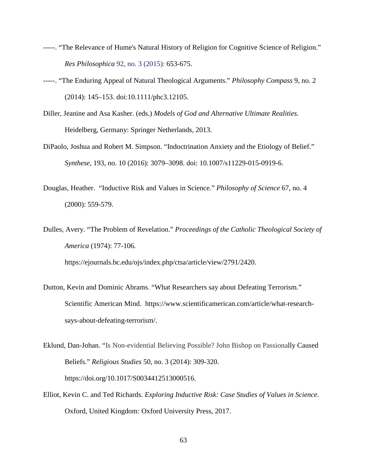- -----. "The Relevance of Hume's Natural History of Religion for Cognitive Science of Religion." *Res Philosophica* 92, no. 3 (2015): 653-675.
- -----. "The Enduring Appeal of Natural Theological Arguments." *Philosophy Compass* 9, no. 2 (2014): 145–153. doi:10.1111/phc3.12105.
- Diller, Jeanine and Asa Kasher. (eds.) *Models of God and Alternative Ultimate Realities.*  Heidelberg, Germany: Springer Netherlands, 2013.
- DiPaolo, Joshua and Robert M. Simpson. "Indoctrination Anxiety and the Etiology of Belief." *Synthese*, 193, no. 10 (2016): 3079–3098. doi: 10.1007/s11229-015-0919-6.
- Douglas, Heather. "Inductive Risk and Values in Science." *Philosophy of Science* 67, no. 4 (2000): 559-579.
- Dulles, Avery. "The Problem of Revelation." *Proceedings of the Catholic Theological Society of America* (1974): 77-106*.* https://ejournals.bc.edu/ojs/index.php/ctsa/article/view/2791/2420.
- Dutton, Kevin and Dominic Abrams. "What Researchers say about Defeating Terrorism." Scientific American Mind. [https://www.scientificamerican.com/article/what-research](https://www.scientificamerican.com/article/what-research-says-about-defeating-terrorism/)[says-about-defeating-terrorism/.](https://www.scientificamerican.com/article/what-research-says-about-defeating-terrorism/)
- Eklund, Dan-Johan. "Is Non-evidential Believing Possible? John Bishop on Passionally Caused Beliefs." *Religious Studies* 50, no. 3 (2014): 309-320. https://doi.org/10.1017/S0034412513000516.
- Elliot, Kevin C. and Ted Richards. *Exploring Inductive Risk: Case Studies of Values in Science*. Oxford, United Kingdom: Oxford University Press, 2017.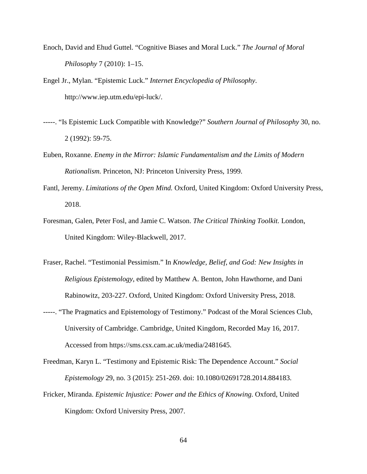- Enoch, David and Ehud Guttel. "Cognitive Biases and Moral Luck." *The Journal of Moral Philosophy* 7 (2010): 1–15.
- Engel Jr., Mylan. "Epistemic Luck." *Internet Encyclopedia of Philosophy*. http://www.iep.utm.edu/epi-luck/.
- -----. "Is Epistemic Luck Compatible with Knowledge?" *Southern Journal of Philosophy* 30, no. 2 (1992): 59-75.
- Euben, Roxanne. *Enemy in the Mirror: Islamic Fundamentalism and the Limits of Modern Rationalism.* Princeton, NJ: Princeton University Press, 1999.
- Fantl, Jeremy. *Limitations of the Open Mind.* Oxford, United Kingdom: Oxford University Press, 2018.
- Foresman, Galen, Peter Fosl, and Jamie C. Watson. *The Critical Thinking Toolkit.* London, United Kingdom: Wiley-Blackwell, 2017.
- Fraser, Rachel. "Testimonial Pessimism." In *Knowledge, Belief, and God: New Insights in Religious Epistemology*, edited by Matthew A. Benton, John Hawthorne, and Dani Rabinowitz, 203-227. Oxford, United Kingdom: Oxford University Press, 2018.
- -----. "The Pragmatics and Epistemology of Testimony." Podcast of the Moral Sciences Club, University of Cambridge. Cambridge, United Kingdom, Recorded May 16, 2017. Accessed from https://sms.csx.cam.ac.uk/media/2481645.
- Freedman, Karyn L. "Testimony and Epistemic Risk: The Dependence Account." *Social Epistemology* 29, no. 3 (2015): 251-269. doi: [10.1080/02691728.2014.884183.](https://doi.org/10.1080/02691728.2014.884183)
- Fricker, Miranda. *Epistemic Injustice: Power and the Ethics of Knowing.* Oxford, United Kingdom: Oxford University Press, 2007.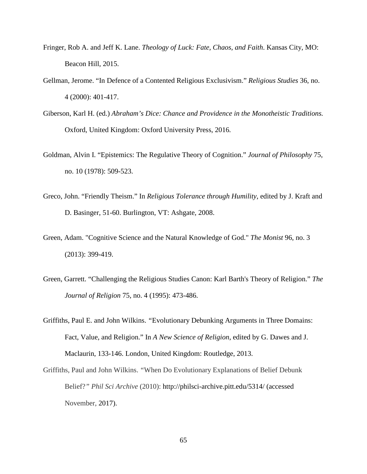- Fringer, Rob A. and Jeff K. Lane. *Theology of Luck: Fate, Chaos, and Faith*. Kansas City, MO: Beacon Hill, 2015.
- Gellman, Jerome. "In Defence of a Contented Religious Exclusivism." *Religious Studies* 36, no. 4 (2000): 401-417.
- Giberson, Karl H. (ed.) *Abraham's Dice: Chance and Providence in the Monotheistic Traditions.*  Oxford, United Kingdom: Oxford University Press, 2016*.*
- Goldman, Alvin I. "Epistemics: The Regulative Theory of Cognition." *Journal of Philosophy* 75, no. 10 (1978): 509-523.
- Greco, John. "Friendly Theism." In *Religious Tolerance through Humility*, edited by J. Kraft and D. Basinger, 51-60. Burlington, VT: Ashgate, 2008.
- Green, Adam. "Cognitive Science and the Natural Knowledge of God." *The Monist* 96, no. 3 (2013): 399-419.
- Green, Garrett. "Challenging the Religious Studies Canon: Karl Barth's Theory of Religion." *The Journal of Religion* 75, no. 4 (1995): 473-486.
- Griffiths, Paul E. and John Wilkins. *"*Evolutionary Debunking Arguments in Three Domains: Fact, Value, and Religion." In *A New Science of Religion*, edited by G. Dawes and J. Maclaurin, 133-146. London, United Kingdom: Routledge, 2013.
- Griffiths, Paul and John Wilkins. *"*When Do Evolutionary Explanations of Belief Debunk Belief?*" Phil Sci Archive* (2010): http://philsci-archive.pitt.edu/5314/ (accessed November, 2017).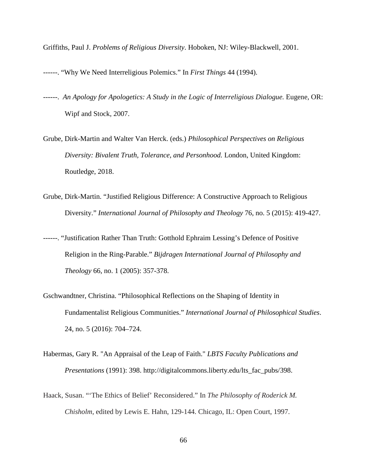Griffiths, Paul J. *Problems of Religious Diversity*. Hoboken, NJ: Wiley-Blackwell, 2001.

------. "Why We Need Interreligious Polemics." In *First Things* 44 (1994).

- ------. *An Apology for Apologetics: A Study in the Logic of Interreligious Dialogue.* Eugene, OR: Wipf and Stock, 2007.
- Grube, Dirk-Martin and Walter Van Herck. (eds.) *Philosophical Perspectives on Religious Diversity: Bivalent Truth, Tolerance, and Personhood.* London, United Kingdom: Routledge, 2018.
- Grube, Dirk-Martin. "Justified Religious Difference: A Constructive Approach to Religious Diversity." *International Journal of Philosophy and Theology* 76, no. 5 (2015): 419-427.
- ------. "Justification Rather Than Truth: Gotthold Ephraim Lessing's Defence of Positive Religion in the Ring-Parable." *Bijdragen International Journal of Philosophy and Theology* 66, no. 1 (2005): 357-378.
- Gschwandtner, Christina. "Philosophical Reflections on the Shaping of Identity in Fundamentalist Religious Communities." *International Journal of Philosophical Studies*. 24, no. 5 (2016): 704–724.
- Habermas, Gary R. "An Appraisal of the Leap of Faith." *LBTS Faculty Publications and Presentations* (1991): 398. http://digitalcommons.liberty.edu/lts\_fac\_pubs/398.
- Haack, Susan. "'The Ethics of Belief' Reconsidered." In *The Philosophy of Roderick M. Chisholm*, edited by Lewis E. Hahn, 129-144. Chicago, IL: Open Court, 1997.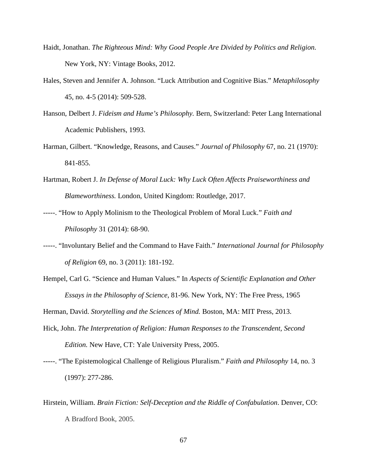- Haidt, Jonathan. *The Righteous Mind: Why Good People Are Divided by Politics and Religion.* New York, NY: Vintage Books, 2012.
- Hales, Steven and Jennifer A. Johnson. "Luck Attribution and Cognitive Bias." *Metaphilosophy*  45, no. 4-5 (2014): 509-528.
- Hanson, Delbert J. *Fideism and Hume's Philosophy.* Bern, Switzerland: Peter Lang International Academic Publishers, 1993.
- Harman, Gilbert. "Knowledge, Reasons, and Causes." *Journal of Philosophy* 67, no. 21 (1970): 841-855.
- Hartman, Robert J. *In Defense of Moral Luck: Why Luck Often Affects Praiseworthiness and Blameworthiness.* London, United Kingdom: Routledge, 2017.
- -----. "How to Apply Molinism to the Theological Problem of Moral Luck." *Faith and Philosophy* 31 (2014): 68-90.
- -----. ["Involuntary Belief and the Command to Have Faith."](https://philpapers.org/rec/HARIBA) *International Journal for Philosophy of Religion* 69, no. 3 (2011): 181-192.
- [Hempel,](https://philpapers.org/s/Carl%20G.%20Hempel) Carl G. "Science and Human Values." In *Aspects of Scientific Explanation and Other Essays in the Philosophy of Science*, 81-96. New York, NY: The Free Press, 1965

Herman, David. *Storytelling and the Sciences of Mind.* Boston, MA: MIT Press, 2013.

- Hick, John. *The Interpretation of Religion: Human Responses to the Transcendent, Second Edition.* New Have, CT: Yale University Press, 2005.
- -----. "The Epistemological Challenge of Religious Pluralism." *Faith and Philosophy* 14, no. 3 (1997): 277-286.
- Hirstein, William. *Brain Fiction: Self-Deception and the Riddle of Confabulation*. Denver, CO: A Bradford Book, 2005.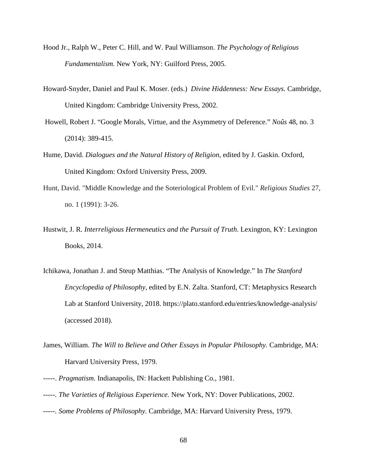- Hood Jr., Ralph W., Peter C. Hill, and W. Paul Williamson. *The Psychology of Religious Fundamentalism.* New York, NY: Guilford Press, 2005.
- Howard-Snyder, Daniel and Paul K. Moser. (eds.) *Divine Hiddenness: New Essays.* Cambridge, United Kingdom: Cambridge University Press, 2002.
- Howell, Robert J. "Google Morals, Virtue, and the Asymmetry of Deference." *Noûs* 48, no. 3 (2014): 389-415.
- Hume, David. *Dialogues and the Natural History of Religion*, edited by J. Gaskin. Oxford, United Kingdom: Oxford University Press, 2009.
- Hunt, David. "Middle Knowledge and the Soteriological Problem of Evil." *Religious Studies* 27, no. 1 (1991): 3-26.
- Hustwit, J. R. *Interreligious Hermeneutics and the Pursuit of Truth*. Lexington, KY: Lexington Books, 2014.
- Ichikawa, Jonathan J. and Steup Matthias. "The Analysis of Knowledge." In *The Stanford Encyclopedia of Philosophy*, edited by E.N. Zalta. Stanford, CT: Metaphysics Research Lab at Stanford University, 2018. https://plato.stanford.edu/entries/knowledge-analysis/ (accessed 2018).
- James, William. *The Will to Believe and Other Essays in Popular Philosophy.* Cambridge, MA: Harvard University Press, 1979.
- *-----*. *Pragmatism.* Indianapolis, IN: Hackett Publishing Co., 1981.
- *-----. The Varieties of Religious Experience.* New York, NY: Dover Publications, 2002.
- *-----. Some Problems of Philosophy.* Cambridge, MA: Harvard University Press, 1979.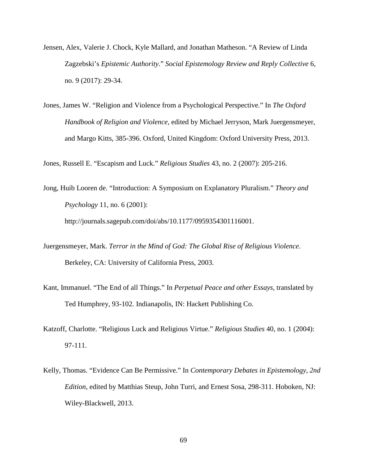- Jensen, Alex, Valerie J. Chock, Kyle Mallard, and Jonathan Matheson. "A Review of Linda Zagzebski's *Epistemic Authority*." *Social Epistemology Review and Reply Collective* 6, no. 9 (2017): 29-34.
- Jones, James W. "Religion and Violence from a Psychological Perspective." In *The Oxford Handbook of Religion and Violence*, edited by Michael Jerryson, Mark Juergensmeyer, and Margo Kitts, 385-396. Oxford, United Kingdom: Oxford University Press, 2013.

Jones, Russell E. "Escapism and Luck." *Religious Studies* 43, no. 2 (2007): 205-216.

[Jong,](http://journals.sagepub.com/author/de+Jong%2C+Huib+Looren) Huib Looren de. "Introduction: A Symposium on Explanatory Pluralism." *Theory and Psychology* 11, no. 6 (2001):

http://journals.sagepub.com/doi/abs/10.1177/0959354301116001.

- Juergensmeyer, Mark. *Terror in the Mind of God: The Global Rise of Religious Violence*. Berkeley, CA: University of California Press, 2003.
- Kant, Immanuel. "The End of all Things." In *Perpetual Peace and other Essays*, translated by Ted Humphrey, 93-102*.* Indianapolis, IN: Hackett Publishing Co.
- Katzoff, Charlotte. "Religious Luck and Religious Virtue." *Religious Studies* 40, no. 1 (2004): 97-111.
- Kelly, Thomas. "Evidence Can Be Permissive." In *Contemporary Debates in Epistemology*, *2nd Edition*, edited by Matthias Steup, John Turri, and Ernest Sosa, 298-311. Hoboken, NJ: Wiley-Blackwell, 2013.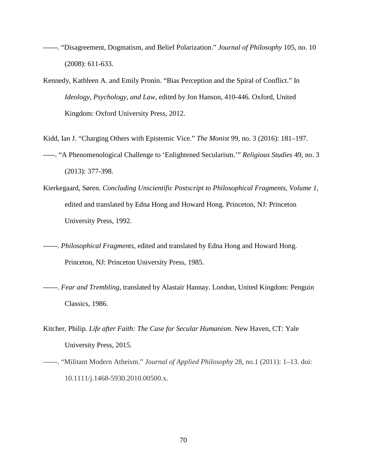- ------. "Disagreement, Dogmatism, and Belief Polarization." *Journal of Philosophy* 105, no. 10 (2008): 611-633.
- Kennedy, Kathleen A. and Emily Pronin. "Bias Perception and the Spiral of Conflict." In *Ideology, Psychology, and Law*, edited by Jon Hanson, 410-446*.* Oxford, United Kingdom: Oxford University Press, 2012.
- Kidd, Ian J. "Charging Others with Epistemic Vice." *The Monist* 99, no. 3 (2016): 181–197.
- -----. "A Phenomenological Challenge to 'Enlightened Secularism.'" *Religious Studies* 49, no. 3 (2013): 377-398.
- Kierkegaard, Søren. *Concluding Unscientific Postscript to Philosophical Fragments, Volume 1*, edited and translated by Edna Hong and Howard Hong. Princeton, NJ: Princeton University Press, 1992.
- ------. *Philosophical Fragments*, edited and translated by Edna Hong and Howard Hong. Princeton, NJ: Princeton University Press, 1985.
- ------. *Fear and Trembling*, translated by Alastair Hannay. London, United Kingdom: Penguin Classics, 1986.
- Kitcher, Philip. *Life after Faith: The Case for Secular Humanism*. New Haven, CT: Yale University Press, 2015.
- ------. "Militant Modern Atheism." *Journal of Applied Philosophy* 28, no.1 (2011): 1–13. doi: 10.1111/j.1468-5930.2010.00500.x.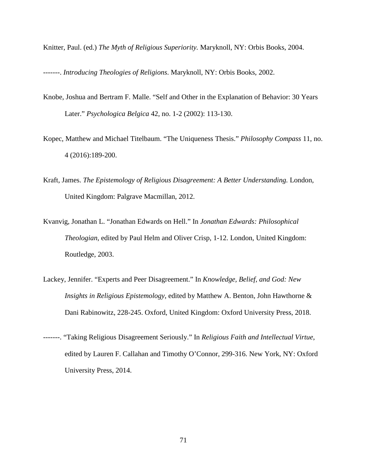Knitter, Paul. (ed.) *The Myth of Religious Superiority.* Maryknoll, NY: Orbis Books, 2004.

-------. *Introducing Theologies of Religions*. Maryknoll, NY: Orbis Books, 2002.

- Knobe, Joshua and Bertram F. Malle. "Self and Other in the Explanation of Behavior: 30 Years Later." *Psychologica Belgica* 42, no. 1-2 (2002): 113-130.
- [Kopec,](https://philpapers.org/s/Matthew%20Kopec) Matthew and Michael Titelbaum. "The Uniqueness Thesis." *Philosophy Compass* 11, no. 4 (2016):189-200.
- Kraft, James. *The Epistemology of Religious Disagreement: A Better Understanding.* London*,* United Kingdom: Palgrave Macmillan, 2012.
- Kvanvig, Jonathan L. "Jonathan Edwards on Hell." In *Jonathan Edwards: Philosophical Theologian*, edited by Paul Helm and Oliver Crisp, 1-12. London, United Kingdom: Routledge, 2003.
- Lackey, Jennifer. "Experts and Peer Disagreement." In *Knowledge, Belief, and God: New Insights in Religious Epistemology*, edited by Matthew A. Benton, John Hawthorne & Dani Rabinowitz, 228-245. Oxford, United Kingdom: Oxford University Press, 2018.
- -------. "Taking Religious Disagreement Seriously." In *Religious Faith and Intellectual Virtue*, edited by Lauren F. Callahan and Timothy O'Connor, 299-316. New York, NY: Oxford University Press, 2014.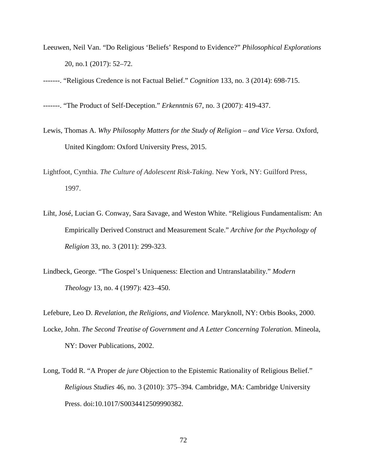- Leeuwen, Neil Van. "Do Religious 'Beliefs' Respond to Evidence?" *Philosophical Explorations*  20, no.1 (2017): 52–72.
- -------. "Religious Credence is not Factual Belief." *Cognition* 133, no. 3 (2014): 698‐715.
- -------. "[The Product of Self-Deception.](https://www.academia.edu/1808194/The_Product_of_Self-Deception)" *Erkenntnis* 67, no. 3 (2007): 419-437.
- Lewis, Thomas A. *Why Philosophy Matters for the Study of Religion – and Vice Versa.* Oxford, United Kingdom: Oxford University Press, 2015.
- Lightfoot, Cynthia. *The Culture of Adolescent Risk-Taking*. New York, NY: Guilford Press, 1997.
- Liht, José, Lucian G. Conway, Sara Savage, and Weston White. "Religious Fundamentalism: An Empirically Derived Construct and Measurement Scale." *Archive for the Psychology of Religion* 33, no. 3 (2011): 299-323.
- Lindbeck, George. "The Gospel's Uniqueness: Election and Untranslatability." *Modern Theology* 13, no. 4 (1997): 423–450.
- Lefebure, Leo D. *Revelation, the Religions, and Violence.* Maryknoll, NY: Orbis Books, 2000. Locke, John. *The Second Treatise of Government and A Letter Concerning Toleration.* Mineola, NY: Dover Publications, 2002.
- Long, Todd R. "A Proper *de jure* Objection to the Epistemic Rationality of Religious Belief." *Religious Studies* 46, no. 3 (2010): 375–394*.* Cambridge, MA: Cambridge University Press. doi:10.1017/S0034412509990382.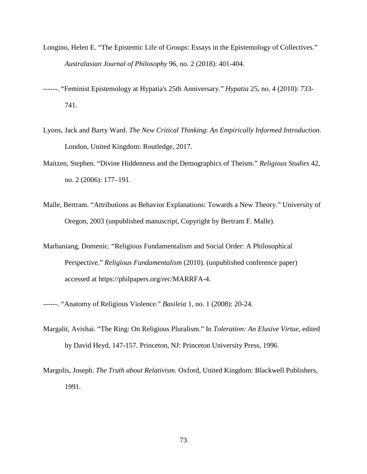- Longino, Helen E. "The Epistemic Life of Groups: Essays in the Epistemology of Collectives." *Australasian Journal of Philosophy* 96, no. 2 (2018): 401-404.
- ------. "Feminist Epistemology at Hypatia's 25th Anniversary." *[Hypatia](https://philpapers.org/asearch.pl?pub=404)* 25, no. 4 (2010): 733- 741.
- Lyons, Jack and Barry Ward. *The New Critical Thinking*: *An Empirically Informed Introduction.* London, United Kingdom: Routledge, 2017.
- Maitzen, Stephen. "Divine Hiddenness and the Demographics of Theism." *Religious Studies* 42, no. 2 (2006): 177–191.
- Malle, Bertram. "Attributions as Behavior Explanations: Towards a New Theory." University of Oregon, 2003 (unpublished manuscript, Copyright by Bertram F. Malle).
- Marbaniang, Domenic. "Religious Fundamentalism and Social Order: A Philosophical Perspective." *Religious Fundamentalism* (2010). (unpublished conference paper) accessed at https://philpapers.org/rec/MARRFA-4.

------. "Anatomy of Religious Violence." *Basileia* 1, no. 1 (2008): 20-24.

- Margalit, Avishai. "The Ring: On Religious Pluralism." In *Toleration: An Elusive Virtue*, edited by David Heyd, 147-157. Princeton, NJ: Princeton University Press, 1996.
- Margolis, Joseph. *The Truth about Relativism.* Oxford, United Kingdom: Blackwell Publishers, 1991.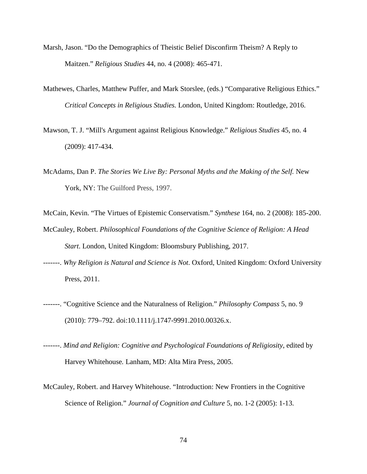- Marsh, Jason. "Do the Demographics of Theistic Belief Disconfirm Theism? A Reply to Maitzen." *Religious Studies* 44, no. 4 (2008): 465-471.
- Mathewes, Charles, Matthew Puffer, and Mark Storslee, (eds.) "Comparative Religious Ethics." *Critical Concepts in Religious Studies.* London, United Kingdom: Routledge, 2016.
- Mawson, T. J. "Mill's Argument against Religious Knowledge." *Religious Studies* 45, no. 4 (2009): 417-434.
- McAdams, Dan P. *The Stories We Live By: Personal Myths and the Making of the Self.* New York, NY: The Guilford Press, 1997.
- McCain, Kevin. ["The Virtues of Epistemic Conservatism.](https://philpapers.org/rec/MCCTVO-10)" *Synthese* 164, no. 2 (2008): 185-200. McCauley, Robert. *Philosophical Foundations of the Cognitive Science of Religion: A Head Start*. London, United Kingdom: Bloomsbury Publishing, 2017.
- -------. *Why Religion is [Natural and Science is Not](http://www.robertmccauley.com/books/why-religion-is-natural-and-science-is-not)*. Oxford, United Kingdom: Oxford University Press, 2011.
- -------. "Cognitive Science and the Naturalness of Religion." *Philosophy Compass* 5, no. 9 (2010): 779–792. doi:10.1111/j.1747-9991.2010.00326.x.
- -------. *Mind and Religion: Cognitive and Psychological Foundations of Religiosity*, edited by Harvey Whitehouse*.* Lanham, MD: Alta Mira Press, 2005.
- McCauley, Robert. and Harvey Whitehouse. "Introduction: New Frontiers in the Cognitive Science of Religion." *Journal of Cognition and Culture* 5, no. 1-2 (2005): 1-13.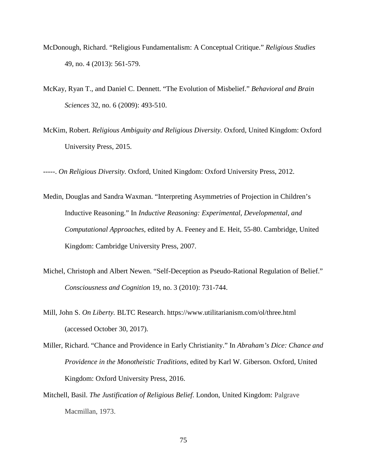- McDonough, Richard. "Religious Fundamentalism: A Conceptual Critique." *Religious Studies*  49, no. 4 (2013): 561-579.
- McKay, Ryan T., and Daniel C. Dennett. "The Evolution of Misbelief." *Behavioral and Brain Sciences* 32, no. 6 (2009): 493-510.
- McKim, Robert. *Religious Ambiguity and Religious Diversity.* Oxford, United Kingdom: Oxford University Press, 2015.

-----. *On Religious Diversity.* Oxford, United Kingdom: Oxford University Press, 2012.

- Medin, Douglas and Sandra Waxman. "Interpreting Asymmetries of Projection in Children's Inductive Reasoning." In *Inductive Reasoning: Experimental, Developmental, and Computational Approaches*, edited by A. Feeney and E. Heit, 55-80. Cambridge, United Kingdom: Cambridge University Press, 2007.
- [Michel,](https://philpapers.org/s/Christoph%20Michel) Christoph and Albert Newen. "Self-Deception as Pseudo-Rational Regulation of Belief." *[Consciousness and Cognition](https://philpapers.org/asearch.pl?pub=235)* 19, no. 3 (2010): 731-744.
- Mill, John S. *On Liberty.* BLTC Research.<https://www.utilitarianism.com/ol/three.html> (accessed October 30, 2017).
- Miller, Richard. "Chance and Providence in Early Christianity." In *Abraham's Dice: Chance and Providence in the Monotheistic Traditions*, edited by Karl W. Giberson. Oxford, United Kingdom: Oxford University Press, 2016.
- Mitchell, Basil. *The Justification of Religious Belief*. London, United Kingdom: Palgrave Macmillan, 1973.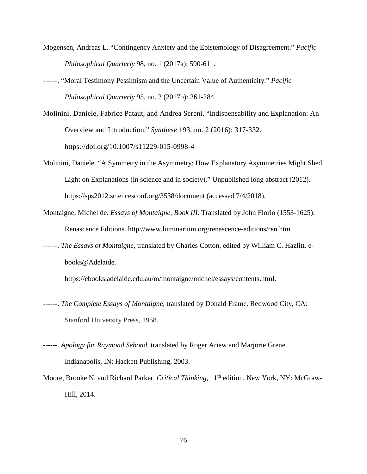- Mogensen, Andreas L. "Contingency Anxiety and the Epistemology of Disagreement." *Pacific Philosophical Quarterly* 98, no. 1 (2017a): 590-611.
- ------. "Moral Testimony Pessimism and the Uncertain Value of Authenticity." *Pacific Philosophical Quarterly* 95, no. 2 (2017b): 261-284.
- Molinini, Daniele, Fabrice Pataut, and Andrea Sereni. "Indispensability and Explanation: An Overview and Introduction." *Synthese* 193, no. 2 (2016): 317-332. https://doi.org/10.1007/s11229-015-0998-4
- Molinini, Daniele. "A Symmetry in the Asymmetry: How Explanatory Asymmetries Might Shed Light on Explanations (in science and in society)." Unpublished long abstract (2012). <https://sps2012.sciencesconf.org/3538/document> (accessed 7/4/2018).
- Montaigne, Michel de. *Essays of Montaigne, Book III*. Translated by John Florio (1553-1625). Renascence Editions. <http://www.luminarium.org/renascence-editions/ren.htm>
- ------. *The Essays of Montaigne*, translated by Charles Cotton, edited by William C. Hazlitt. ebooks@Adelaide.

https://ebooks.adelaide.edu.au/m/montaigne/michel/essays/contents.html.

- ------. *The Complete Essays of Montaigne,* translated by Donald Frame. Redwood City, CA: Stanford University Press, 1958.
- ------. *Apology for Raymond Sebond*, translated by Roger Ariew and Marjorie Grene. Indianapolis, IN: Hackett Publishing, 2003.
- Moore, Brooke N. and Richard Parker. *Critical Thinking*, 11<sup>th</sup> edition. New York, NY: McGraw-Hill, 2014.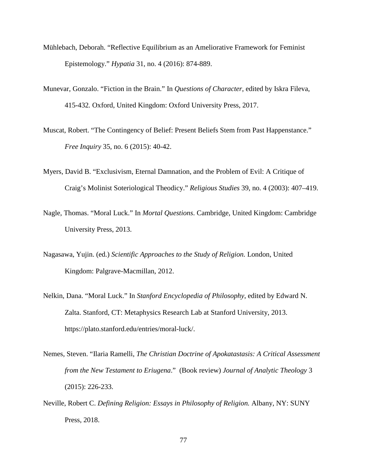- Mühlebach, Deborah. ["Reflective Equilibrium as an Ameliorative Framework for Feminist](https://philpapers.org/go.pl?id=MHLREA&proxyId=&u=http%3A%2F%2Fdx.doi.org%2F10.1111%2Fhypa.12270)  [Epistemology.](https://philpapers.org/go.pl?id=MHLREA&proxyId=&u=http%3A%2F%2Fdx.doi.org%2F10.1111%2Fhypa.12270)" *[Hypatia](https://philpapers.org/asearch.pl?pub=404)* 31, no. 4 (2016): 874-889.
- Munevar, Gonzalo. "Fiction in the Brain." In *Questions of Character*, edited by Iskra Fileva, 415-432*.* Oxford, United Kingdom: Oxford University Press, 2017.
- Muscat, Robert. "The Contingency of Belief: Present Beliefs Stem from Past Happenstance." *Free Inquiry* 35, no. 6 (2015): 40-42.
- Myers, David B. "Exclusivism, Eternal Damnation, and the Problem of Evil: A Critique of Craig's Molinist Soteriological Theodicy." *Religious Studies* 39, no. 4 (2003): 407–419.
- Nagle, Thomas. "Moral Luck." In *Mortal Questions*. Cambridge, United Kingdom: Cambridge University Press, 2013.
- Nagasawa, Yujin. (ed.) *Scientific Approaches to the Study of Religion.* London, United Kingdom: Palgrave-Macmillan, 2012.
- Nelkin, Dana. "Moral Luck." In *Stanford Encyclopedia of Philosophy*, edited by Edward N. Zalta. Stanford, CT: Metaphysics Research Lab at Stanford University, 2013. https://plato.stanford.edu/entries/moral-luck/.
- Nemes, Steven. "Ilaria Ramelli, *The Christian Doctrine of Apokatastasis: A Critical Assessment from the New Testament to Eriugena*." (Book review) *Journal of Analytic Theology* 3 (2015): 226-233.
- Neville, Robert C. *Defining Religion: Essays in Philosophy of Religion.* Albany, NY: SUNY Press, 2018.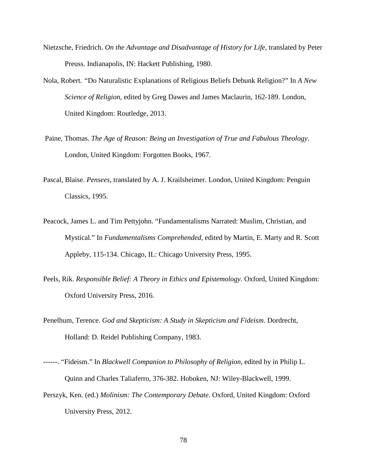- Nietzsche, Friedrich. *On the Advantage and Disadvantage of History for Life*, translated by Peter Preuss. Indianapolis, IN: Hackett Publishing, 1980.
- Nola, Robert. *"*Do Naturalistic Explanations of Religious Beliefs Debunk Religion?" In *A New Science of Religion*, edited by Greg Dawes and James Maclaurin, 162-189. London, United Kingdom: Routledge, 2013.
- Paine, Thomas. *The Age of Reason: Being an Investigation of True and Fabulous Theology*. London, United Kingdom: Forgotten Books, 1967.
- Pascal, Blaise. *Pensees*, translated by A. J. Krailsheimer. London, United Kingdom: Penguin Classics, 1995.
- Peacock, James L. and Tim Pettyjohn. "Fundamentalisms Narrated: Muslim, Christian, and Mystical." In *Fundamentalisms Comprehended*, edited by Martin, E. Marty and R. Scott Appleby, 115-134. Chicago, IL: Chicago University Press, 1995.
- Peels, Rik. *Responsible Belief: A Theory in Ethics and Epistemology*. Oxford, United Kingdom: Oxford University Press, 2016.
- Penelhum, Terence. *God and Skepticism: A Study in Skepticism and Fideism*. Dordrecht, Holland: D. Reidel Publishing Company, 1983.
- ------. "Fideism." In *Blackwell Companion to Philosophy of Religion*, edited by in Philip L. Quinn and Charles Taliaferro, 376-382. Hoboken, NJ: Wiley-Blackwell, 1999.
- Perszyk, Ken. (ed.) *Molinism: The Contemporary Debate*. Oxford, United Kingdom: Oxford University Press, 2012.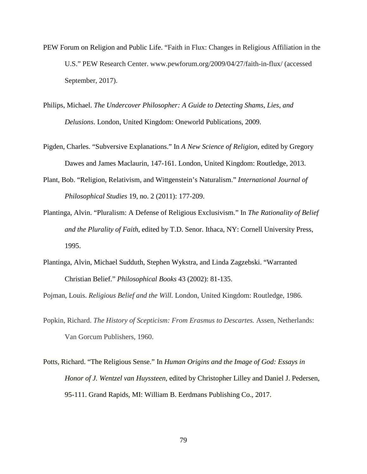- PEW Forum on Religion and Public Life. "Faith in Flux: Changes in Religious Affiliation in the U.S." PEW Research Center. www.pewforum.org/2009/04/27/faith-in-flux/ (accessed September, 2017).
- Philips, Michael. *The Undercover Philosopher: A Guide to Detecting Shams, Lies, and Delusions*. London, United Kingdom: Oneworld Publications, 2009.
- Pigden, Charles. "Subversive Explanations." In *A New Science of Religion*, edited by Gregory Dawes and James Maclaurin, 147-161. London, United Kingdom: Routledge, 2013.
- Plant, Bob. "Religion, Relativism, and Wittgenstein's Naturalism." *International Journal of Philosophical Studies* 19, no. 2 (2011): 177-209.
- Plantinga, Alvin. "Pluralism: A Defense of Religious Exclusivism." In *The Rationality of Belief and the Plurality of Faith*, edited by T.D. Senor. Ithaca, NY: Cornell University Press, 1995.
- Plantinga, Alvin, Michael Sudduth, Stephen Wykstra, and Linda Zagzebski. "Warranted Christian Belief." *Philosophical Books* 43 (2002): 81-135.

Pojman, Louis. *Religious Belief and the Will.* London, United Kingdom: Routledge, 1986.

- Popkin, Richard. *The History of Scepticism: From Erasmus to Descartes.* Assen, Netherlands: Van Gorcum Publishers, 1960.
- Potts, Richard. "The Religious Sense." In *Human Origins and the Image of God: Essays in Honor of J. Wentzel van Huyssteen*, edited by Christopher Lilley and Daniel J. Pedersen, 95-111. Grand Rapids, MI: William B. Eerdmans Publishing Co., 2017.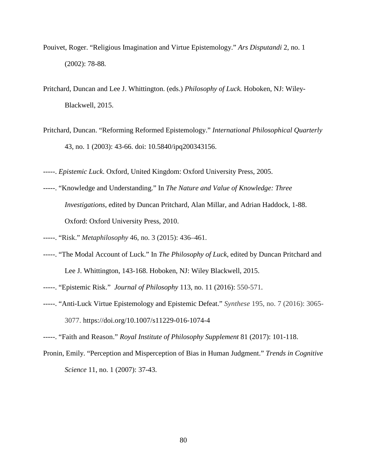- Pouivet, Roger. "Religious Imagination and Virtue Epistemology." *Ars Disputandi* 2, no. 1 (2002): 78-88*.*
- Pritchard, Duncan and Lee J. Whittington. (eds.) *Philosophy of Luck.* Hoboken, NJ: Wiley-Blackwell, 2015.
- Pritchard, Duncan. "Reforming Reformed Epistemology." *International Philosophical Quarterly*  43, no. 1 (2003): 43-66. doi: 10.5840/ipq200343156.
- -----. *Epistemic Luck*. Oxford, United Kingdom: Oxford University Press, 2005.
- -----. "Knowledge and Understanding." In *The Nature and Value of Knowledge: Three Investigations*, edited by Duncan Pritchard, Alan Millar, and Adrian Haddock, 1-88. Oxford: Oxford University Press, 2010.
- -----. "Risk." *Metaphilosophy* 46, no. 3 (2015): 436–461.
- -----. "The Modal Account of Luck." In *The Philosophy of Luck*, edited by Duncan Pritchard and Lee J. Whittington, 143-168. Hoboken, NJ: Wiley Blackwell, 2015.
- -----. "Epistemic Risk." *Journal of Philosophy* 113, no. 11 (2016): 550-571.
- -----. "Anti-Luck Virtue Epistemology and Epistemic Defeat." *Synthese* 195, no. 7 (2016): 3065- 3077.<https://doi.org/10.1007/s11229-016-1074-4>
- -----. "Faith and Reason." *[Royal Institute of Philosophy Supplement](https://philpapers.org/asearch.pl?pub=991)* 81 (2017): 101-118.
- Pronin, Emily. "Perception and Misperception of Bias in Human Judgment." *Trends in Cognitive Science* 11, no. 1 (2007): 37-43.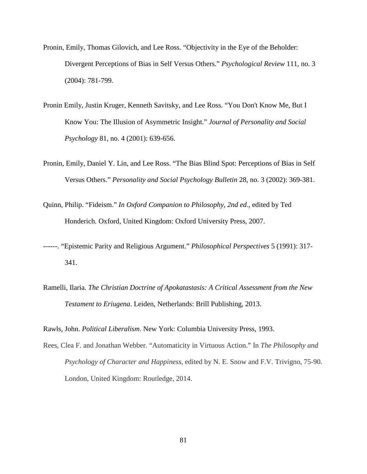- Pronin, Emily, Thomas Gilovich, and Lee Ross. "Objectivity in the Eye of the Beholder: Divergent Perceptions of Bias in Self Versus Others." *Psychological Review* 111, no. 3 (2004): 781-799.
- Pronin Emily, Justin Kruger, Kenneth Savitsky, and Lee Ross. "You Don't Know Me, But I Know You: The Illusion of Asymmetric Insight." *Journal of Personality and Social Psychology* 81, no. 4 (2001): 639-656.
- Pronin, Emily, Daniel Y. Lin, and Lee Ross. "The Bias Blind Spot: Perceptions of Bias in Self Versus Others." *Personality and Social Psychology Bulletin* 28, no. 3 (2002): 369-381.
- Quinn, Philip. "Fideism." *In Oxford Companion to Philosophy, 2nd ed*., edited by Ted Honderich. Oxford, United Kingdom: Oxford University Press, 2007.
- ------. "Epistemic Parity and Religious Argument." *Philosophical Perspectives* 5 (1991): 317- 341.
- Ramelli, Ilaria. *The Christian Doctrine of Apokatastasis: A Critical Assessment from the New Testament to Eriugena*. Leiden, Netherlands: Brill Publishing, 2013.

Rawls, John. *Political Liberalism*. New York: Columbia University Press, 1993.

Rees, Clea F. and Jonathan Webber. "Automaticity in Virtuous Action." In *The Philosophy and Psychology of Character and Happiness*, edited by N. E. Snow and F.V. Trivigno, 75-90. London, United Kingdom: Routledge, 2014.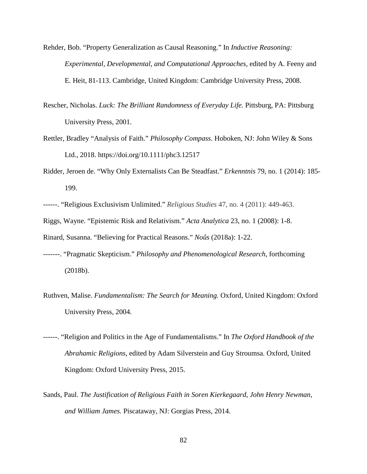- Rehder, Bob. "Property Generalization as Causal Reasoning." In *Inductive Reasoning: Experimental, Developmental, and Computational Approaches*, edited by A. Feeny and E. Heit, 81-113. Cambridge, United Kingdom: Cambridge University Press, 2008.
- Rescher, Nicholas. *Luck: The Brilliant Randomness of Everyday Life.* Pittsburg, PA: Pittsburg University Press, 2001.
- Rettler, Bradley "Analysis of Faith." *Philosophy Compass*. Hoboken, NJ: John Wiley & Sons Ltd., 2018. <https://doi.org/10.1111/phc3.12517>
- Ridder, Jeroen de. "Why Only Externalists Can Be Steadfast." *Erkenntnis* 79, no. 1 (2014): 185- 199.
- ------. "Religious Exclusivism Unlimited." *Religious Studies* 47, no. 4 (2011): 449-463.
- Riggs, Wayne. "Epistemic Risk and Relativism." *Acta Analytica* 23, no. 1 (2008): 1-8.

Rinard, Susanna. "Believing for Practical Reasons." *Noûs* (2018a): 1-22.

- -------. "Pragmatic Skepticism." *Philosophy and Phenomenological Research*, forthcoming (2018b).
- Ruthven, Malise. *Fundamentalism: The Search for Meaning.* Oxford, United Kingdom: Oxford University Press, 2004.
- ------. "Religion and Politics in the Age of Fundamentalisms." In *The Oxford Handbook of the Abrahamic Religions*, edited by Adam Silverstein and Guy Stroumsa. Oxford, United Kingdom: Oxford University Press, 2015.
- Sands, Paul. *The Justification of Religious Faith in Soren Kierkegaard, John Henry Newman, and William James.* Piscataway, NJ: Gorgias Press, 2014.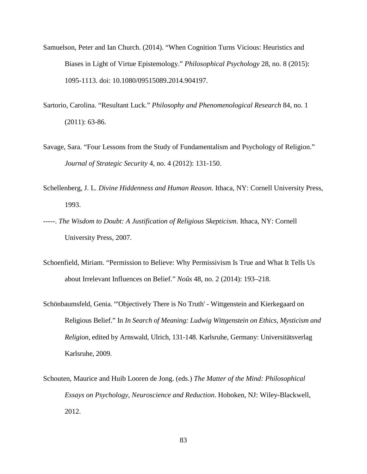- Samuelson, Peter and Ian Church. (2014). "When Cognition Turns Vicious: Heuristics and Biases in Light of Virtue Epistemology." *Philosophical Psychology* 28, no. 8 (2015): 1095-1113. doi: 10.1080/09515089.2014.904197.
- Sartorio, Carolina. "Resultant Luck." *Philosophy and Phenomenological Research* 84, no. 1 (2011): 63-86.
- Savage, Sara. "Four Lessons from the Study of Fundamentalism and Psychology of Religion." *Journal of Strategic Security* 4, no. 4 (2012): 131-150.
- Schellenberg, J. L. *Divine Hiddenness and Human Reason.* Ithaca, NY: Cornell University Press, 1993.
- -----. *The Wisdom to Doubt: A Justification of Religious Skepticism*. Ithaca, NY: Cornell University Press, 2007.
- Schoenfield, Miriam. "Permission to Believe: Why Permissivism Is True and What It Tells Us about Irrelevant Influences on Belief." *Noûs* 48, no. 2 (2014): 193–218.
- Schönbaumsfeld, Genia. "'Objectively There is No Truth' Wittgenstein and Kierkegaard on Religious Belief." In *In Search of Meaning: Ludwig Wittgenstein on Ethics, Mysticism and Religion*, edited by Arnswald, Ulrich, 131-148. Karlsruhe, Germany: Universitätsverlag Karlsruhe, 2009.
- Schouten, Maurice and Huib Looren de Jong. (eds.) *The Matter of the Mind: Philosophical Essays on Psychology, Neuroscience and Reduction*. Hoboken, NJ: Wiley-Blackwell, 2012.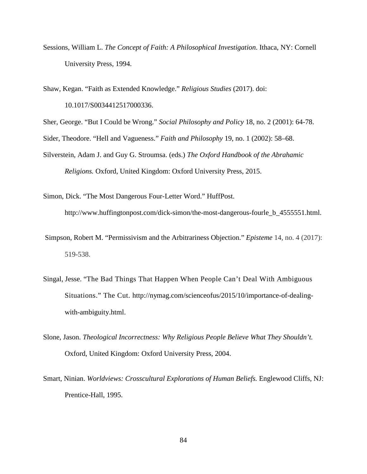Sessions, William L. *The Concept of Faith: A Philosophical Investigation*. Ithaca, NY: Cornell University Press, 1994.

Shaw, Kegan. "Faith as Extended Knowledge." *Religious Studies* (2017). doi:

10.1017/S0034412517000336.

Sher, George. "But I Could be Wrong." *Social Philosophy and Policy* 18, no. 2 (2001): 64-78. Sider, Theodore. "Hell and Vagueness." *Faith and Philosophy* 19, no. 1 (2002): 58–68. Silverstein, Adam J. and Guy G. Stroumsa. (eds.) *The Oxford Handbook of the Abrahamic Religions.* Oxford, United Kingdom: Oxford University Press, 2015.

Simon, Dick. "The Most Dangerous Four-Letter Word." HuffPost. http://www.huffingtonpost.com/dick-simon/the-most-dangerous-fourle\_b\_4555551.html.

- Simpson, Robert M. "Permissivism and the Arbitrariness Objection." *Episteme* 14, no. 4 (2017): 519-538.
- Singal, Jesse. "The Bad Things That Happen When People Can't Deal With Ambiguous Situations." The Cut. [http://nymag.com/scienceofus/2015/10/importance-of-dealing](http://nymag.com/scienceofus/2015/10/importance-of-dealing-with-ambiguity.html)[with-ambiguity.html.](http://nymag.com/scienceofus/2015/10/importance-of-dealing-with-ambiguity.html)
- Slone, Jason. *Theological Incorrectness: Why Religious People Believe What They Shouldn't.* Oxford, United Kingdom: Oxford University Press, 2004.
- Smart, Ninian. *Worldviews: Crosscultural Explorations of Human Beliefs.* Englewood Cliffs, NJ: Prentice-Hall, 1995.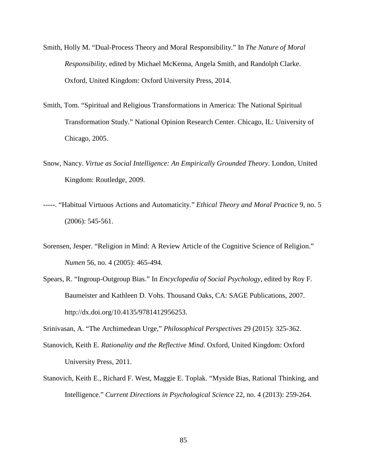- Smith, Holly M. "Dual-Process Theory and Moral Responsibility." In *The Nature of Moral Responsibility*, edited by Michael McKenna, Angela Smith, and Randolph Clarke. Oxford, United Kingdom: Oxford University Press, 2014.
- Smith, Tom. "Spiritual and Religious Transformations in America: The National Spiritual Transformation Study." National Opinion Research Center. Chicago, IL: University of Chicago, 2005.
- Snow, Nancy. *Virtue as Social Intelligence: An Empirically Grounded Theory*. London, United Kingdom: Routledge, 2009.
- -----. "Habitual Virtuous Actions and Automaticity." *Ethical Theory and Moral Practice* 9, no. 5 (2006): 545-561.
- Sorensen, Jesper. "Religion in Mind: A Review Article of the Cognitive Science of Religion." *Numen* 56, no. 4 (2005): 465-494.
- Spears, R. "Ingroup-Outgroup Bias." In *[Encyclopedia of Social Psychology](http://sk.sagepub.com/reference/socialpsychology)*, edited by Roy F. Baumeister and Kathleen D. Vohs. Thousand Oaks, CA: SAGE Publications, 2007. [http://dx.doi.org/10.4135/9781412956253.](http://dx.doi.org/10.4135/9781412956253)
- Srinivasan, A. "The Archimedean Urge," *Philosophical Perspectives* 29 (2015): 325-362.
- Stanovich, Keith E. *Rationality and the Reflective Mind*. Oxford, United Kingdom: Oxford University Press, 2011.
- Stanovich, Keith E., Richard F. West, Maggie E. Toplak. "Myside Bias, Rational Thinking, and Intelligence." *[Current Directions in Psychological Science](https://www.researchgate.net/journal/0963-7214_Current_Directions_in_Psychological_Science)* 22, no. 4 (2013): 259-264.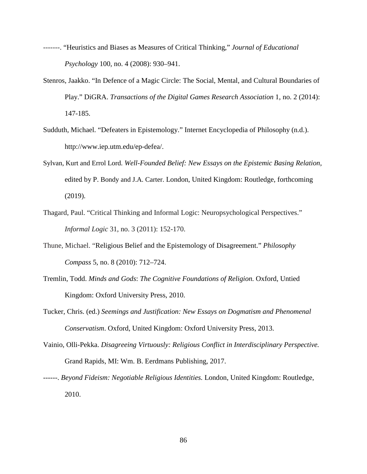- -------. "Heuristics and Biases as Measures of Critical Thinking," *Journal of Educational Psychology* 100*,* no. 4 (2008): 930–941.
- Stenros, Jaakko. "In Defence of a Magic Circle: The Social, Mental, and Cultural Boundaries of Play." DiGRA. *Transactions of the Digital Games Research Association* 1, no. 2 (2014): 147-185.
- Sudduth, Michael. "Defeaters in Epistemology." Internet Encyclopedia of Philosophy (n.d.). http://www.iep.utm.edu/ep-defea/.
- Sylvan, Kurt and Errol Lord. *Well-Founded Belief: New Essays on the Epistemic Basing Relation*, edited by P. Bondy and J.A. Carter. London, United Kingdom: Routledge, forthcoming (2019).
- Thagard, Paul. "Critical Thinking and Informal Logic: Neuropsychological Perspectives." *Informal Logic* 31, no. 3 (2011): 152-170.
- Thune, Michael. "Religious Belief and the Epistemology of Disagreement." *Philosophy Compass* 5, no. 8 (2010): 712–724.
- Tremlin, Todd. *Minds and Gods*: *The Cognitive Foundations of Religion.* Oxford, Untied Kingdom: Oxford University Press, 2010.
- Tucker, Chris. (ed.) *Seemings and Justification: New Essays on Dogmatism and Phenomenal Conservatism*. Oxford, United Kingdom: Oxford University Press, 2013.
- Vainio, Olli-Pekka. *Disagreeing Virtuously: Religious Conflict in Interdisciplinary Perspective.*  Grand Rapids, MI: Wm. B. Eerdmans Publishing, 2017.
- ------. *Beyond Fideism: Negotiable Religious Identities.* London, United Kingdom: Routledge, 2010.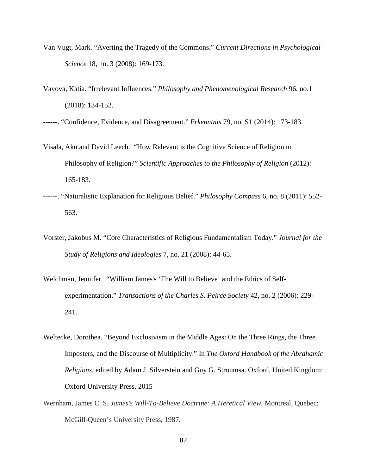- Van Vugt, Mark. "Averting the Tragedy of the Commons." *Current Directions in Psychological Science* 18, no. 3 (2008): 169-173.
- Vavova, Katia. "Irrelevant Influences." *Philosophy and Phenomenological Research* 96, no.1 (2018): 134-152.

------. "Confidence, Evidence, and Disagreement." *Erkenntnis* 79, no. S1 (2014): 173-183.

- Visala, Aku and David Leech. "How Relevant is the Cognitive Science of Religion to Philosophy of Religion?" *Scientific Approaches to the Philosophy of Religion* (2012): 165-183.
- ------. ["Naturalistic Explanation for Religious Belief.](https://philpapers.org/go.pl?id=LEENEF&proxyId=&u=http%3A%2F%2Fdx.doi.org%2F10.1111%2Fj.1747-9991.2011.00414.x)" *[Philosophy Compass](https://philpapers.org/asearch.pl?pub=822)* 6, no. 8 (2011): 552- 563.
- Vorster, Jakobus M. "Core Characteristics of Religious Fundamentalism Today." *Journal for the Study of Religions and Ideologies* 7, no. 21 (2008): 44-65.
- Welchman, Jennifer. "William James's 'The Will to Believe' and the Ethics of Selfexperimentation." *Transactions of the Charles S. Peirce Society* 42, no. 2 (2006): 229- 241.
- Weltecke, Dorothea. "Beyond Exclusivism in the Middle Ages: On the Three Rings, the Three Imposters, and the Discourse of Multiplicity." In *The Oxford Handbook of the Abrahamic Religions*, edited by Adam J. Silverstein and Guy G. Stroumsa*.* Oxford, United Kingdom: Oxford University Press, 2015
- Wernham, James C. S. *James's Will-To-Believe Doctrine: A Heretical View.* Montreal, Quebec: McGill-Queen's University Press, 1987.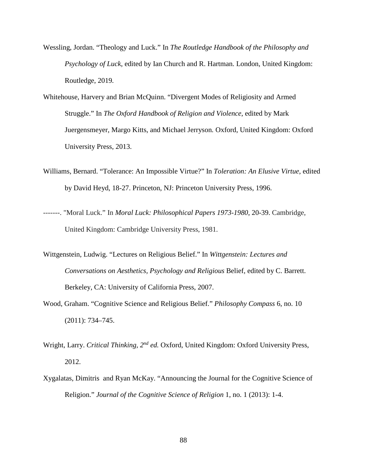- Wessling, Jordan. "Theology and Luck." In *The Routledge Handbook of the Philosophy and Psychology of Luck*, edited by Ian Church and R. Hartman. London, United Kingdom: Routledge, 2019*.*
- Whitehouse, Harvery and Brian McQuinn. "Divergent Modes of Religiosity and Armed Struggle." In *The Oxford Handbook of Religion and Violence*, edited by Mark Juergensmeyer, Margo Kitts, and Michael Jerryson*.* Oxford, United Kingdom: Oxford University Press, 2013.
- Williams, Bernard. "Tolerance: An Impossible Virtue?" In *Toleration: An Elusive Virtue*, edited by David Heyd, 18-27. Princeton, NJ: Princeton University Press, 1996.
- -------. "Moral Luck." In *Moral Luck: Philosophical Papers 1973-1980*, 20-39. Cambridge, United Kingdom: Cambridge University Press, 1981.
- Wittgenstein, Ludwig. "Lectures on Religious Belief." In *Wittgenstein: Lectures and Conversations on Aesthetics, Psychology and Religious* Belief, edited by C. Barrett. Berkeley, CA: University of California Press, 2007.
- Wood, Graham. "Cognitive Science and Religious Belief." *Philosophy Compass* 6, no. 10 (2011): 734–745.
- Wright, Larry. *Critical Thinking, 2nd ed.* Oxford, United Kingdom: Oxford University Press, 2012.
- Xygalatas, Dimitris and Ryan McKay. "Announcing the Journal for the Cognitive Science of Religion." *Journal of the Cognitive Science of Religion* 1, no. 1 (2013): 1-4.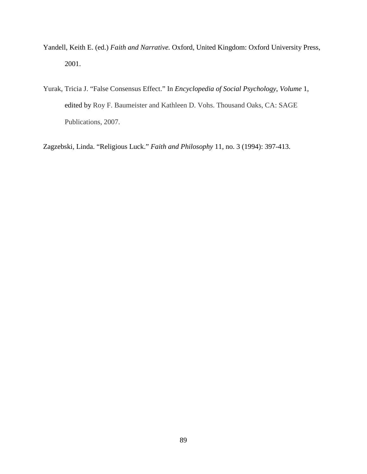- Yandell, Keith E. (ed.) *Faith and Narrative.* Oxford, United Kingdom: Oxford University Press, 2001.
- Yurak, Tricia J. "False Consensus Effect." In *Encyclopedia of Social Psychology*, *Volume* 1, edited by Roy F. Baumeister and Kathleen D. Vohs. Thousand Oaks, CA: SAGE Publications, 2007.

Zagzebski, Linda. "Religious Luck." *Faith and Philosophy* 11, no. 3 (1994): 397-413.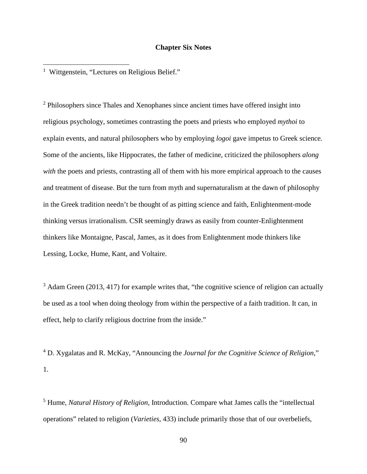## **Chapter Six Notes**

<sup>1</sup> Wittgenstein, "Lectures on Religious Belief."

 $\overline{a}$ 

<sup>2</sup> Philosophers since Thales and Xenophanes since ancient times have offered insight into religious psychology, sometimes contrasting the poets and priests who employed *mythoi* to explain events, and natural philosophers who by employing *logoi* gave impetus to Greek science*.*  Some of the ancients, like Hippocrates, the father of medicine, criticized the philosophers *along with* the poets and priests, contrasting all of them with his more empirical approach to the causes and treatment of disease. But the turn from myth and supernaturalism at the dawn of philosophy in the Greek tradition needn't be thought of as pitting science and faith, Enlightenment-mode thinking versus irrationalism. CSR seemingly draws as easily from counter-Enlightenment thinkers like Montaigne, Pascal, James, as it does from Enlightenment mode thinkers like Lessing, Locke, Hume, Kant, and Voltaire.

 $3$  Adam Green (2013, 417) for example writes that, "the cognitive science of religion can actually be used as a tool when doing theology from within the perspective of a faith tradition. It can, in effect, help to clarify religious doctrine from the inside."

<sup>4</sup> D. Xygalatas and R. McKay, "Announcing the *Journal for the Cognitive Science of Religion*," 1.

<sup>5</sup> Hume, *Natural History of Religion,* Introduction. Compare what James calls the "intellectual operations" related to religion (*Varieties,* 433) include primarily those that of our overbeliefs,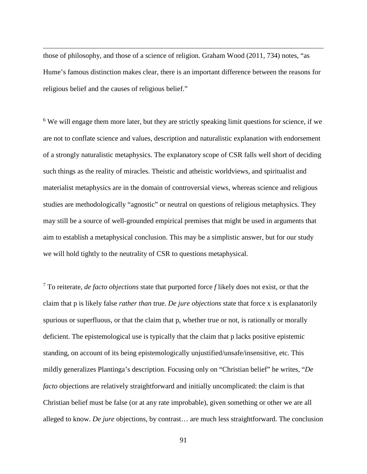those of philosophy, and those of a science of religion. Graham Wood (2011, 734) notes, "as Hume's famous distinction makes clear, there is an important difference between the reasons for religious belief and the causes of religious belief."

 $\overline{a}$ 

<sup>6</sup> We will engage them more later, but they are strictly speaking limit questions for science, if we are not to conflate science and values, description and naturalistic explanation with endorsement of a strongly naturalistic metaphysics. The explanatory scope of CSR falls well short of deciding such things as the reality of miracles. Theistic and atheistic worldviews, and spiritualist and materialist metaphysics are in the domain of controversial views, whereas science and religious studies are methodologically "agnostic" or neutral on questions of religious metaphysics. They may still be a source of well-grounded empirical premises that might be used in arguments that aim to establish a metaphysical conclusion. This may be a simplistic answer, but for our study we will hold tightly to the neutrality of CSR to questions metaphysical.

<sup>7</sup> To reiterate, *de facto objections* state that purported force *f* likely does not exist, or that the claim that p is likely false *rather than* true. *De jure objections* state that force x is explanatorily spurious or superfluous, or that the claim that p, whether true or not, is rationally or morally deficient. The epistemological use is typically that the claim that p lacks positive epistemic standing, on account of its being epistemologically unjustified/unsafe/insensitive, etc. This mildly generalizes Plantinga's description. Focusing only on "Christian belief" he writes, "*De facto* objections are relatively straightforward and initially uncomplicated: the claim is that Christian belief must be false (or at any rate improbable), given something or other we are all alleged to know. *De jure* objections, by contrast… are much less straightforward. The conclusion

91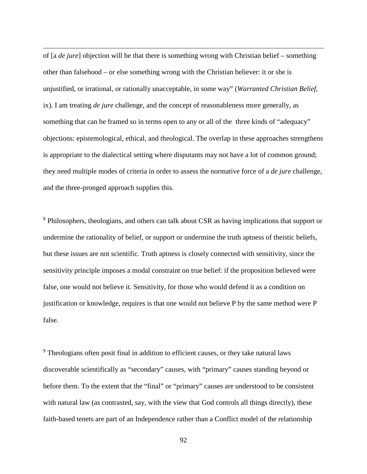of [a *de jure*] objection will be that there is something wrong with Christian belief – something other than falsehood – or else something wrong with the Christian believer: it or she is unjustified, or irrational, or rationally unacceptable, in some way" (*Warranted Christian Belief,*  ix). I am treating *de jure* challenge, and the concept of reasonableness more generally, as something that can be framed so in terms open to any or all of the three kinds of "adequacy" objections: epistemological, ethical, and theological. The overlap in these approaches strengthens is appropriate to the dialectical setting where disputants may not have a lot of common ground; they need multiple modes of criteria in order to assess the normative force of a *de jure* challenge, and the three-pronged approach supplies this.

 $\overline{a}$ 

<sup>8</sup> Philosophers, theologians, and others can talk about CSR as having implications that support or undermine the rationality of belief, or support or undermine the truth aptness of theistic beliefs, but these issues are not scientific. Truth aptness is closely connected with sensitivity, since the sensitivity principle imposes a modal constraint on true belief: if the proposition believed were false, one would not believe it. Sensitivity, for those who would defend it as a condition on justification or knowledge, requires is that one would not believe P by the same method were P false.

<sup>9</sup> Theologians often posit final in addition to efficient causes, or they take natural laws discoverable scientifically as "secondary" causes, with "primary" causes standing beyond or before them. To the extent that the "final" or "primary" causes are understood to be consistent with natural law (as contrasted, say, with the view that God controls all things directly), these faith-based tenets are part of an Independence rather than a Conflict model of the relationship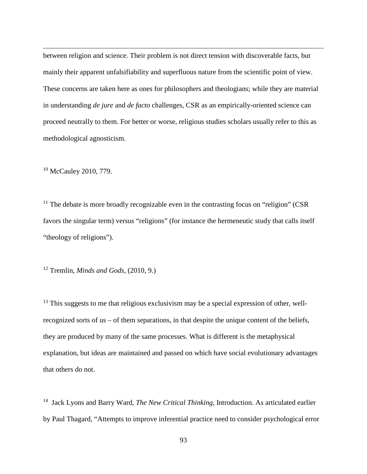between religion and science. Their problem is not direct tension with discoverable facts, but mainly their apparent unfalsifiability and superfluous nature from the scientific point of view. These concerns are taken here as ones for philosophers and theologians; while they are material in understanding *de jure* and *de facto* challenges, CSR as an empirically-oriented science can proceed neutrally to them. For better or worse, religious studies scholars usually refer to this as methodological agnosticism.

<sup>10</sup> McCauley 2010, 779.

 $\overline{a}$ 

<sup>11</sup> The debate is more broadly recognizable even in the contrasting focus on "religion" (CSR favors the singular term) versus "religions" (for instance the hermeneutic study that calls itself "theology of religions").

<sup>12</sup> Tremlin, *Minds and Gods*, (2010, 9.)

 $13$  This suggests to me that religious exclusivism may be a special expression of other, wellrecognized sorts of us – of them separations, in that despite the unique content of the beliefs, they are produced by many of the same processes. What is different is the metaphysical explanation, but ideas are maintained and passed on which have social evolutionary advantages that others do not.

14 Jack Lyons and Barry Ward, *The New Critical Thinking,* Introduction. As articulated earlier by Paul Thagard, "Attempts to improve inferential practice need to consider psychological error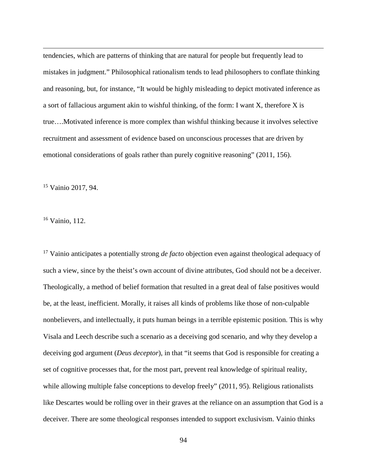tendencies, which are patterns of thinking that are natural for people but frequently lead to mistakes in judgment." Philosophical rationalism tends to lead philosophers to conflate thinking and reasoning, but, for instance, "It would be highly misleading to depict motivated inference as a sort of fallacious argument akin to wishful thinking, of the form: I want X, therefore X is true….Motivated inference is more complex than wishful thinking because it involves selective recruitment and assessment of evidence based on unconscious processes that are driven by emotional considerations of goals rather than purely cognitive reasoning" (2011, 156).

<sup>15</sup> Vainio 2017, 94.

 $\overline{a}$ 

<sup>16</sup> Vainio, 112.

<sup>17</sup> Vainio anticipates a potentially strong *de facto* objection even against theological adequacy of such a view, since by the theist's own account of divine attributes, God should not be a deceiver. Theologically, a method of belief formation that resulted in a great deal of false positives would be, at the least, inefficient. Morally, it raises all kinds of problems like those of non-culpable nonbelievers, and intellectually, it puts human beings in a terrible epistemic position. This is why Visala and Leech describe such a scenario as a deceiving god scenario, and why they develop a deceiving god argument (*Deus deceptor*), in that "it seems that God is responsible for creating a set of cognitive processes that, for the most part, prevent real knowledge of spiritual reality, while allowing multiple false conceptions to develop freely" (2011, 95). Religious rationalists like Descartes would be rolling over in their graves at the reliance on an assumption that God is a deceiver. There are some theological responses intended to support exclusivism. Vainio thinks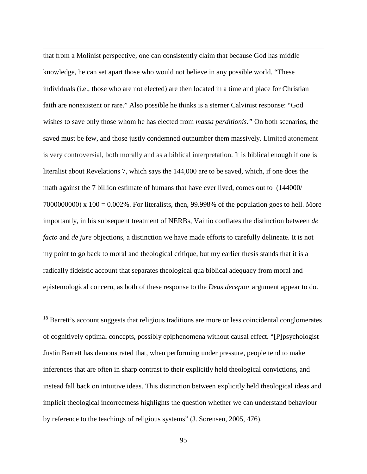that from a Molinist perspective, one can consistently claim that because God has middle knowledge, he can set apart those who would not believe in any possible world. "These individuals (i.e., those who are not elected) are then located in a time and place for Christian faith are nonexistent or rare." Also possible he thinks is a sterner Calvinist response: "God wishes to save only those whom he has elected from *massa perditionis."* On both scenarios, the saved must be few, and those justly condemned outnumber them massively. Limited atonement is very controversial, both morally and as a biblical interpretation. It is biblical enough if one is literalist about Revelations 7, which says the 144,000 are to be saved, which, if one does the math against the 7 billion estimate of humans that have ever lived, comes out to (144000/ 7000000000) x  $100 = 0.002\%$ . For literalists, then, 99.998% of the population goes to hell. More importantly, in his subsequent treatment of NERBs, Vainio conflates the distinction between *de facto* and *de jure* objections, a distinction we have made efforts to carefully delineate. It is not my point to go back to moral and theological critique, but my earlier thesis stands that it is a radically fideistic account that separates theological qua biblical adequacy from moral and epistemological concern, as both of these response to the *Deus deceptor* argument appear to do.

 $\overline{a}$ 

<sup>18</sup> Barrett's account suggests that religious traditions are more or less coincidental conglomerates of cognitively optimal concepts, possibly epiphenomena without causal effect. "[P]psychologist Justin Barrett has demonstrated that, when performing under pressure, people tend to make inferences that are often in sharp contrast to their explicitly held theological convictions, and instead fall back on intuitive ideas. This distinction between explicitly held theological ideas and implicit theological incorrectness highlights the question whether we can understand behaviour by reference to the teachings of religious systems" (J. Sorensen, 2005, 476).

95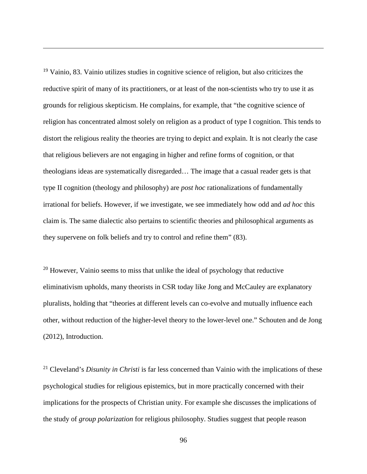<sup>19</sup> Vainio, 83. Vainio utilizes studies in cognitive science of religion, but also criticizes the reductive spirit of many of its practitioners, or at least of the non-scientists who try to use it as grounds for religious skepticism. He complains, for example, that "the cognitive science of religion has concentrated almost solely on religion as a product of type I cognition. This tends to distort the religious reality the theories are trying to depict and explain. It is not clearly the case that religious believers are not engaging in higher and refine forms of cognition, or that theologians ideas are systematically disregarded… The image that a casual reader gets is that type II cognition (theology and philosophy) are *post hoc* rationalizations of fundamentally irrational for beliefs. However, if we investigate, we see immediately how odd and *ad hoc* this claim is. The same dialectic also pertains to scientific theories and philosophical arguments as they supervene on folk beliefs and try to control and refine them" (83).

 $\overline{a}$ 

 $20$  However, Vainio seems to miss that unlike the ideal of psychology that reductive eliminativism upholds, many theorists in CSR today like Jong and McCauley are explanatory pluralists, holding that "theories at different levels can co-evolve and mutually influence each other, without reduction of the higher-level theory to the lower-level one." Schouten and [de Jong](http://journals.sagepub.com/author/de+Jong%2C+Huib+Looren) (2012), Introduction.

<sup>21</sup> Cleveland's *Disunity in Christi* is far less concerned than Vainio with the implications of these psychological studies for religious epistemics, but in more practically concerned with their implications for the prospects of Christian unity. For example she discusses the implications of the study of *group polarization* for religious philosophy. Studies suggest that people reason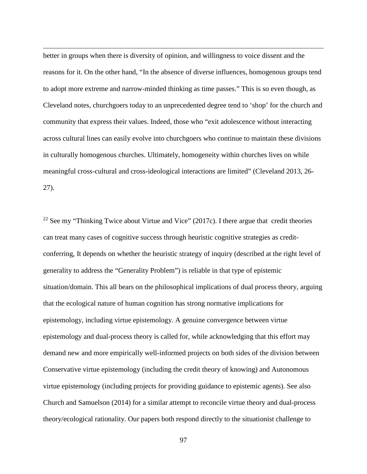better in groups when there is diversity of opinion, and willingness to voice dissent and the reasons for it. On the other hand, "In the absence of diverse influences, homogenous groups tend to adopt more extreme and narrow-minded thinking as time passes." This is so even though, as Cleveland notes, churchgoers today to an unprecedented degree tend to 'shop' for the church and community that express their values. Indeed, those who "exit adolescence without interacting across cultural lines can easily evolve into churchgoers who continue to maintain these divisions in culturally homogenous churches. Ultimately, homogeneity within churches lives on while meaningful cross-cultural and cross-ideological interactions are limited" (Cleveland 2013, 26- 27).

 $\overline{a}$ 

<sup>22</sup> See my "Thinking Twice about Virtue and Vice" (2017c). I there argue that credit theories can treat many cases of cognitive success through heuristic cognitive strategies as creditconferring, It depends on whether the heuristic strategy of inquiry (described at the right level of generality to address the "Generality Problem") is reliable in that type of epistemic situation/domain. This all bears on the philosophical implications of dual process theory, arguing that the ecological nature of human cognition has strong normative implications for epistemology, including virtue epistemology. A genuine convergence between virtue epistemology and dual-process theory is called for, while acknowledging that this effort may demand new and more empirically well-informed projects on both sides of the division between Conservative virtue epistemology (including the credit theory of knowing) and Autonomous virtue epistemology (including projects for providing guidance to epistemic agents). See also Church and Samuelson (2014) for a similar attempt to reconcile virtue theory and dual-process theory/ecological rationality. Our papers both respond directly to the situationist challenge to

97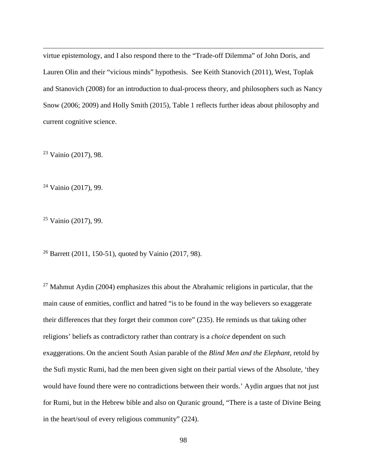virtue epistemology, and I also respond there to the "Trade-off Dilemma" of John Doris, and Lauren Olin and their "vicious minds" hypothesis. See Keith Stanovich (2011), West, Toplak and Stanovich (2008) for an introduction to dual-process theory, and philosophers such as Nancy Snow (2006; 2009) and Holly Smith (2015), Table 1 reflects further ideas about philosophy and current cognitive science.

<sup>23</sup> Vainio (2017), 98.

 $\overline{a}$ 

<sup>24</sup> Vainio (2017), 99.

 $25$  Vainio (2017), 99.

<sup>26</sup> Barrett (2011, 150-51), quoted by Vainio (2017, 98).

<sup>27</sup> Mahmut Aydin (2004) emphasizes this about the Abrahamic religions in particular, that the main cause of enmities, conflict and hatred "is to be found in the way believers so exaggerate their differences that they forget their common core" (235). He reminds us that taking other religions' beliefs as contradictory rather than contrary is a *choice* dependent on such exaggerations. On the ancient South Asian parable of the *Blind Men and the Elephant,* retold by the Sufi mystic Rumi, had the men been given sight on their partial views of the Absolute, 'they would have found there were no contradictions between their words.' Aydin argues that not just for Rumi, but in the Hebrew bible and also on Quranic ground, "There is a taste of Divine Being in the heart/soul of every religious community" (224).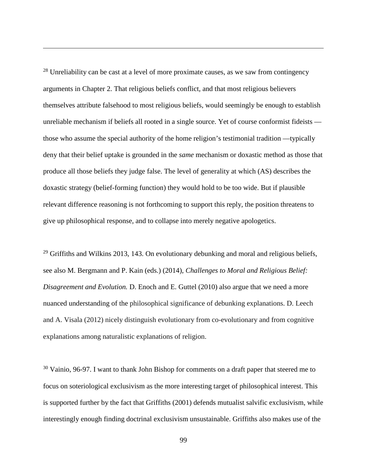$28$  Unreliability can be cast at a level of more proximate causes, as we saw from contingency arguments in Chapter 2. That religious beliefs conflict, and that most religious believers themselves attribute falsehood to most religious beliefs, would seemingly be enough to establish unreliable mechanism if beliefs all rooted in a single source. Yet of course conformist fideists those who assume the special authority of the home religion's testimonial tradition —typically deny that their belief uptake is grounded in the *same* mechanism or doxastic method as those that produce all those beliefs they judge false. The level of generality at which (AS) describes the doxastic strategy (belief-forming function) they would hold to be too wide. But if plausible relevant difference reasoning is not forthcoming to support this reply, the position threatens to give up philosophical response, and to collapse into merely negative apologetics.

 $\overline{a}$ 

 $29$  Griffiths and Wilkins 2013, 143. On evolutionary debunking and moral and religious beliefs, see also M. Bergmann and P. Kain (eds.) (2014), *Challenges to Moral and Religious Belief: Disagreement and Evolution.* D. Enoch and E. Guttel (2010) also argue that we need a more nuanced understanding of the philosophical significance of debunking explanations. D. Leech and A. Visala (2012) nicely distinguish evolutionary from co-evolutionary and from cognitive explanations among naturalistic explanations of religion.

 $30$  Vainio, 96-97. I want to thank John Bishop for comments on a draft paper that steered me to focus on soteriological exclusivism as the more interesting target of philosophical interest. This is supported further by the fact that Griffiths (2001) defends mutualist salvific exclusivism, while interestingly enough finding doctrinal exclusivism unsustainable. Griffiths also makes use of the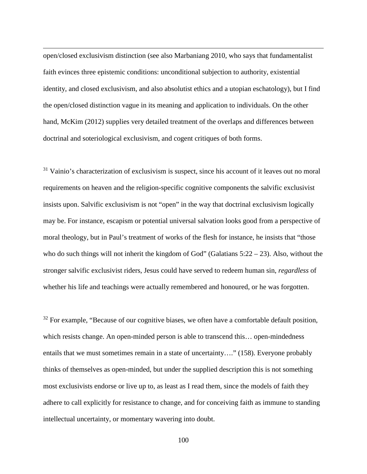open/closed exclusivism distinction (see also Marbaniang 2010, who says that fundamentalist faith evinces three epistemic conditions: unconditional subjection to authority, existential identity, and closed exclusivism, and also absolutist ethics and a utopian eschatology), but I find the open/closed distinction vague in its meaning and application to individuals. On the other hand, McKim (2012) supplies very detailed treatment of the overlaps and differences between doctrinal and soteriological exclusivism, and cogent critiques of both forms.

 $\overline{a}$ 

 $31$  Vainio's characterization of exclusivism is suspect, since his account of it leaves out no moral requirements on heaven and the religion-specific cognitive components the salvific exclusivist insists upon. Salvific exclusivism is not "open" in the way that doctrinal exclusivism logically may be. For instance, escapism or potential universal salvation looks good from a perspective of moral theology, but in Paul's treatment of works of the flesh for instance, he insists that "those who do such things will not inherit the kingdom of God" (Galatians 5:22 – 23). Also, without the stronger salvific exclusivist riders, Jesus could have served to redeem human sin, *regardless* of whether his life and teachings were actually remembered and honoured, or he was forgotten.

 $32$  For example, "Because of our cognitive biases, we often have a comfortable default position, which resists change. An open-minded person is able to transcend this… open-mindedness entails that we must sometimes remain in a state of uncertainty…." (158). Everyone probably thinks of themselves as open-minded, but under the supplied description this is not something most exclusivists endorse or live up to, as least as I read them, since the models of faith they adhere to call explicitly for resistance to change, and for conceiving faith as immune to standing intellectual uncertainty, or momentary wavering into doubt.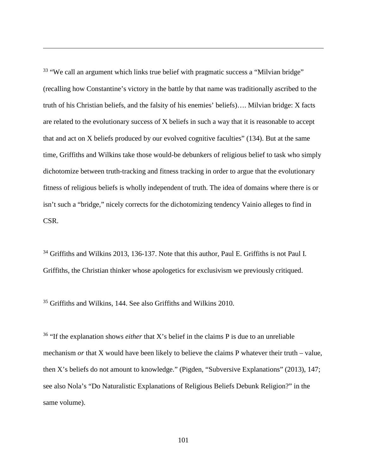<sup>33</sup> "We call an argument which links true belief with pragmatic success a "Milvian bridge" (recalling how Constantine's victory in the battle by that name was traditionally ascribed to the truth of his Christian beliefs, and the falsity of his enemies' beliefs)…. Milvian bridge: X facts are related to the evolutionary success of X beliefs in such a way that it is reasonable to accept that and act on X beliefs produced by our evolved cognitive faculties" (134). But at the same time, Griffiths and Wilkins take those would-be debunkers of religious belief to task who simply dichotomize between truth-tracking and fitness tracking in order to argue that the evolutionary fitness of religious beliefs is wholly independent of truth. The idea of domains where there is or isn't such a "bridge," nicely corrects for the dichotomizing tendency Vainio alleges to find in CSR.

<sup>34</sup> Griffiths and Wilkins 2013, 136-137. Note that this author, Paul E. Griffiths is not Paul I. Griffiths, the Christian thinker whose apologetics for exclusivism we previously critiqued.

<sup>35</sup> Griffiths and Wilkins, 144. See also Griffiths and Wilkins 2010.

 $\overline{a}$ 

<sup>36</sup> "If the explanation shows *either* that X's belief in the claims P is due to an unreliable mechanism *or* that X would have been likely to believe the claims P whatever their truth – value, then X's beliefs do not amount to knowledge." (Pigden, "Subversive Explanations" (2013), 147; see also Nola's "Do Naturalistic Explanations of Religious Beliefs Debunk Religion?" in the same volume).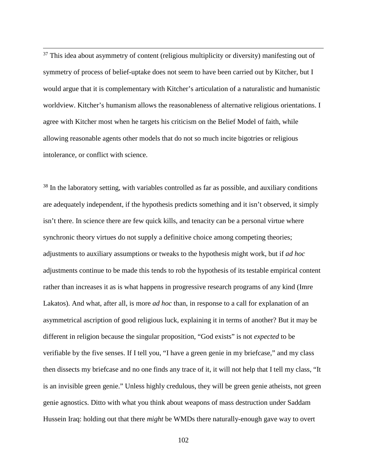$37$  This idea about asymmetry of content (religious multiplicity or diversity) manifesting out of symmetry of process of belief-uptake does not seem to have been carried out by Kitcher, but I would argue that it is complementary with Kitcher's articulation of a naturalistic and humanistic worldview. Kitcher's humanism allows the reasonableness of alternative religious orientations. I agree with Kitcher most when he targets his criticism on the Belief Model of faith, while allowing reasonable agents other models that do not so much incite bigotries or religious intolerance, or conflict with science.

<sup>38</sup> In the laboratory setting, with variables controlled as far as possible, and auxiliary conditions are adequately independent, if the hypothesis predicts something and it isn't observed, it simply isn't there. In science there are few quick kills, and tenacity can be a personal virtue where synchronic theory virtues do not supply a definitive choice among competing theories; adjustments to auxiliary assumptions or tweaks to the hypothesis might work, but if *ad hoc* adjustments continue to be made this tends to rob the hypothesis of its testable empirical content rather than increases it as is what happens in progressive research programs of any kind (Imre Lakatos). And what, after all, is more *ad hoc* than, in response to a call for explanation of an asymmetrical ascription of good religious luck, explaining it in terms of another? But it may be different in religion because the singular proposition, "God exists" is not *expected* to be verifiable by the five senses. If I tell you, "I have a green genie in my briefcase," and my class then dissects my briefcase and no one finds any trace of it, it will not help that I tell my class, "It is an invisible green genie." Unless highly credulous, they will be green genie atheists, not green genie agnostics. Ditto with what you think about weapons of mass destruction under Saddam Hussein Iraq: holding out that there *might* be WMDs there naturally-enough gave way to overt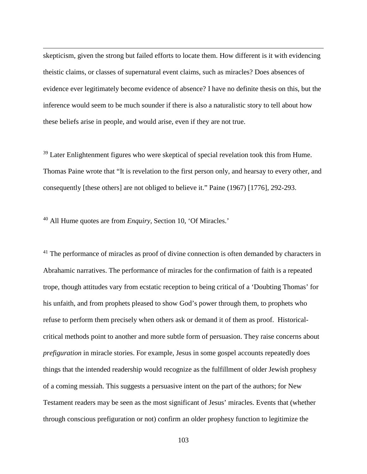skepticism, given the strong but failed efforts to locate them. How different is it with evidencing theistic claims, or classes of supernatural event claims, such as miracles? Does absences of evidence ever legitimately become evidence of absence? I have no definite thesis on this, but the inference would seem to be much sounder if there is also a naturalistic story to tell about how these beliefs arise in people, and would arise, even if they are not true.

<sup>39</sup> Later Enlightenment figures who were skeptical of special revelation took this from Hume. Thomas Paine wrote that "It is revelation to the first person only, and hearsay to every other, and consequently [these others] are not obliged to believe it." Paine (1967) [1776], 292-293.

<sup>40</sup> All Hume quotes are from *Enquiry,* Section 10, 'Of Miracles.'

 $\overline{a}$ 

<sup>41</sup> The performance of miracles as proof of divine connection is often demanded by characters in Abrahamic narratives. The performance of miracles for the confirmation of faith is a repeated trope, though attitudes vary from ecstatic reception to being critical of a 'Doubting Thomas' for his unfaith, and from prophets pleased to show God's power through them, to prophets who refuse to perform them precisely when others ask or demand it of them as proof. Historicalcritical methods point to another and more subtle form of persuasion. They raise concerns about *prefiguration* in miracle stories. For example, Jesus in some gospel accounts repeatedly does things that the intended readership would recognize as the fulfillment of older Jewish prophesy of a coming messiah. This suggests a persuasive intent on the part of the authors; for New Testament readers may be seen as the most significant of Jesus' miracles. Events that (whether through conscious prefiguration or not) confirm an older prophesy function to legitimize the

103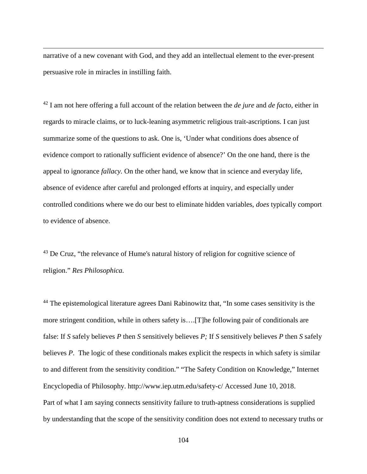narrative of a new covenant with God, and they add an intellectual element to the ever-present persuasive role in miracles in instilling faith.

 $\overline{a}$ 

<sup>42</sup> I am not here offering a full account of the relation between the *de jure* and *de facto,* either in regards to miracle claims, or to luck-leaning asymmetric religious trait-ascriptions. I can just summarize some of the questions to ask. One is, 'Under what conditions does absence of evidence comport to rationally sufficient evidence of absence?' On the one hand, there is the appeal to ignorance *fallacy.* On the other hand, we know that in science and everyday life, absence of evidence after careful and prolonged efforts at inquiry, and especially under controlled conditions where we do our best to eliminate hidden variables, *does* typically comport to evidence of absence.

<sup>43</sup> De Cruz, "the relevance of Hume's natural history of religion for cognitive science of religion." *Res Philosophica.*

<sup>44</sup> The epistemological literature agrees Dani Rabinowitz that, "In some cases sensitivity is the more stringent condition, while in others safety is….[T]he following pair of conditionals are false: If *S* safely believes *P* then *S* sensitively believes *P;* If *S* sensitively believes *P* then *S* safely believes *P*. The logic of these conditionals makes explicit the respects in which safety is similar to and different from the sensitivity condition." "The Safety Condition on Knowledge," Internet Encyclopedia of Philosophy.<http://www.iep.utm.edu/safety-c/> Accessed June 10, 2018. Part of what I am saying connects sensitivity failure to truth-aptness considerations is supplied by understanding that the scope of the sensitivity condition does not extend to necessary truths or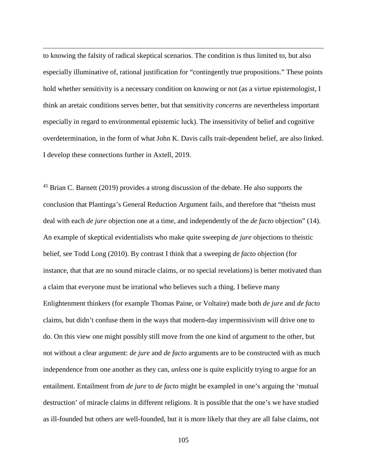to knowing the falsity of radical skeptical scenarios. The condition is thus limited to, but also especially illuminative of, rational justification for "contingently true propositions." These points hold whether sensitivity is a necessary condition on knowing or not (as a virtue epistemologist, I think an aretaic conditions serves better, but that sensitivity *concerns* are nevertheless important especially in regard to environmental epistemic luck). The insensitivity of belief and cognitive overdetermination, in the form of what John K. Davis calls trait-dependent belief, are also linked. I develop these connections further in Axtell, 2019.

 $\overline{a}$ 

<sup>45</sup> Brian C. Barnett (2019) provides a strong discussion of the debate. He also supports the conclusion that Plantinga's General Reduction Argument fails, and therefore that "theists must deal with each *de jure* objection one at a time, and independently of the *de facto* objection" (14). An example of skeptical evidentialists who make quite sweeping *de jure* objections to theistic belief, see Todd Long (2010). By contrast I think that a sweeping *de facto* objection (for instance, that that are no sound miracle claims, or no special revelations) is better motivated than a claim that everyone must be irrational who believes such a thing. I believe many Enlightenment thinkers (for example Thomas Paine, or Voltaire) made both *de jure* and *de facto*  claims, but didn't confuse them in the ways that modern-day impermissivism will drive one to do. On this view one might possibly still move from the one kind of argument to the other, but not without a clear argument: *de jure* and *de facto* arguments are to be constructed with as much independence from one another as they can, *unless* one is quite explicitly trying to argue for an entailment. Entailment from *de jure* to *de facto* might be exampled in one's arguing the 'mutual destruction' of miracle claims in different religions. It is possible that the one's we have studied as ill-founded but others are well-founded, but it is more likely that they are all false claims, not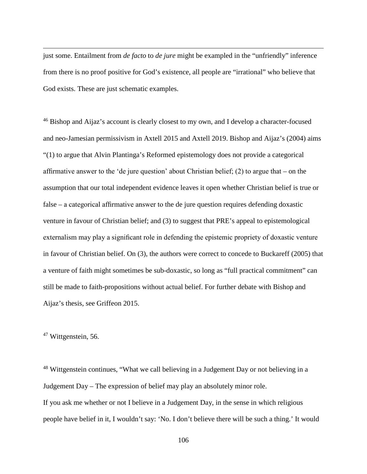just some. Entailment from *de facto* to *de jure* might be exampled in the "unfriendly" inference from there is no proof positive for God's existence, all people are "irrational" who believe that God exists. These are just schematic examples.

<sup>46</sup> Bishop and Aijaz's account is clearly closest to my own, and I develop a character-focused and neo-Jamesian permissivism in Axtell 2015 and Axtell 2019. Bishop and Aijaz's (2004) aims "(1) to argue that Alvin Plantinga's Reformed epistemology does not provide a categorical affirmative answer to the 'de jure question' about Christian belief; (2) to argue that – on the assumption that our total independent evidence leaves it open whether Christian belief is true or false – a categorical affirmative answer to the de jure question requires defending doxastic venture in favour of Christian belief; and (3) to suggest that PRE's appeal to epistemological externalism may play a significant role in defending the epistemic propriety of doxastic venture in favour of Christian belief. On (3), the authors were correct to concede to Buckareff (2005) that a venture of faith might sometimes be sub-doxastic, so long as "full practical commitment" can still be made to faith-propositions without actual belief. For further debate with Bishop and Aijaz's thesis, see Griffeon 2015.

<sup>47</sup> Wittgenstein, 56.

 $\overline{a}$ 

<sup>48</sup> Wittgenstein continues, "What we call believing in a Judgement Day or not believing in a Judgement Day – The expression of belief may play an absolutely minor role. If you ask me whether or not I believe in a Judgement Day, in the sense in which religious people have belief in it, I wouldn't say: 'No. I don't believe there will be such a thing.' It would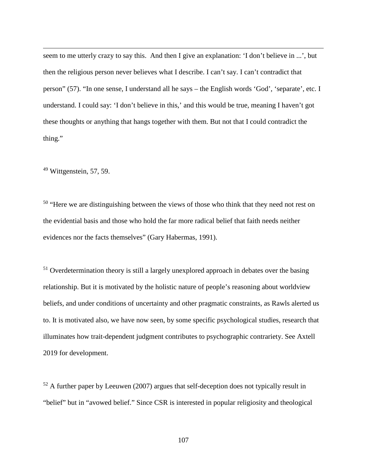seem to me utterly crazy to say this. And then I give an explanation: 'I don't believe in ...', but then the religious person never believes what I describe. I can't say. I can't contradict that person" (57). "In one sense, I understand all he says – the English words 'God', 'separate', etc. I understand. I could say: 'I don't believe in this,' and this would be true, meaning I haven't got these thoughts or anything that hangs together with them. But not that I could contradict the thing."

 $49$  Wittgenstein, 57, 59.

 $\overline{a}$ 

<sup>50</sup> "Here we are distinguishing between the views of those who think that they need not rest on the evidential basis and those who hold the far more radical belief that faith needs neither evidences nor the facts themselves" (Gary Habermas, 1991).

 $51$  Overdetermination theory is still a largely unexplored approach in debates over the basing relationship. But it is motivated by the holistic nature of people's reasoning about worldview beliefs, and under conditions of uncertainty and other pragmatic constraints, as Rawls alerted us to. It is motivated also, we have now seen, by some specific psychological studies, research that illuminates how trait-dependent judgment contributes to psychographic contrariety. See Axtell 2019 for development.

 $52$  A further paper by Leeuwen (2007) argues that self-deception does not typically result in "belief" but in "avowed belief." Since CSR is interested in popular religiosity and theological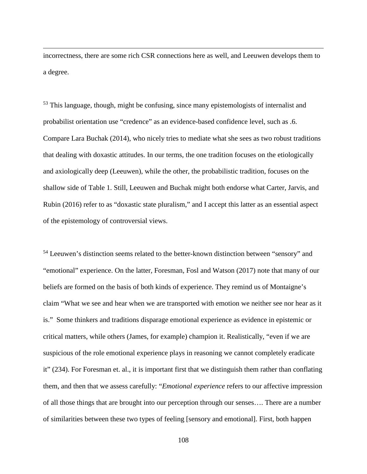incorrectness, there are some rich CSR connections here as well, and Leeuwen develops them to a degree.

 $\overline{a}$ 

<sup>53</sup> This language, though, might be confusing, since many epistemologists of internalist and probabilist orientation use "credence" as an evidence-based confidence level, such as .6. Compare Lara Buchak (2014), who nicely tries to mediate what she sees as two robust traditions that dealing with doxastic attitudes. In our terms, the one tradition focuses on the etiologically and axiologically deep (Leeuwen), while the other, the probabilistic tradition, focuses on the shallow side of Table 1. Still, Leeuwen and Buchak might both endorse what Carter, Jarvis, and Rubin (2016) refer to as "doxastic state pluralism," and I accept this latter as an essential aspect of the epistemology of controversial views.

<sup>54</sup> Leeuwen's distinction seems related to the better-known distinction between "sensory" and "emotional" experience. On the latter, Foresman, Fosl and Watson (2017) note that many of our beliefs are formed on the basis of both kinds of experience. They remind us of Montaigne's claim "What we see and hear when we are transported with emotion we neither see nor hear as it is." Some thinkers and traditions disparage emotional experience as evidence in epistemic or critical matters, while others (James, for example) champion it. Realistically, "even if we are suspicious of the role emotional experience plays in reasoning we cannot completely eradicate it" (234). For Foresman et. al., it is important first that we distinguish them rather than conflating them, and then that we assess carefully: "*Emotional experience* refers to our affective impression of all those things that are brought into our perception through our senses…. There are a number of similarities between these two types of feeling [sensory and emotional]. First, both happen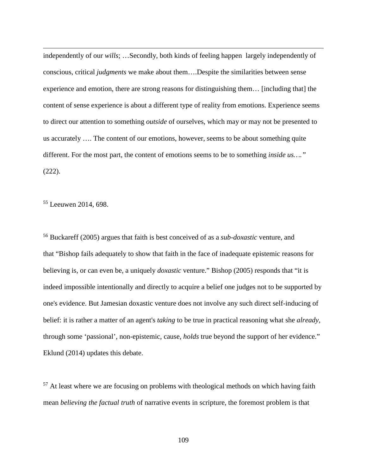independently of our *wills*; …Secondly, both kinds of feeling happen largely independently of conscious, critical *judgments* we make about them….Despite the similarities between sense experience and emotion, there are strong reasons for distinguishing them… [including that] the content of sense experience is about a different type of reality from emotions. Experience seems to direct our attention to something *outside* of ourselves, which may or may not be presented to us accurately …. The content of our emotions, however, seems to be about something quite different. For the most part, the content of emotions seems to be to something *inside us…."*  (222).

<sup>55</sup> Leeuwen 2014, 698.

 $\overline{a}$ 

<sup>56</sup> Buckareff (2005) argues that faith is best conceived of as a *sub-doxastic* venture, and that "Bishop fails adequately to show that faith in the face of inadequate epistemic reasons for believing is, or can even be, a uniquely *doxastic* venture." Bishop (2005) responds that "it is indeed impossible intentionally and directly to acquire a belief one judges not to be supported by one's evidence. But Jamesian doxastic venture does not involve any such direct self-inducing of belief: it is rather a matter of an agent's *taking* to be true in practical reasoning what she *already*, through some 'passional', non-epistemic, cause, *holds* true beyond the support of her evidence." Eklund (2014) updates this debate.

 $57$  At least where we are focusing on problems with theological methods on which having faith mean *believing the factual truth* of narrative events in scripture, the foremost problem is that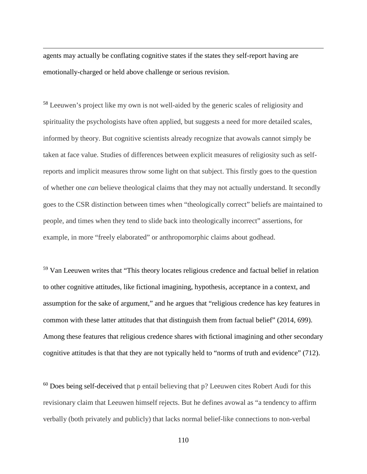agents may actually be conflating cognitive states if the states they self-report having are emotionally-charged or held above challenge or serious revision.

 $\overline{a}$ 

<sup>58</sup> Leeuwen's project like my own is not well-aided by the generic scales of religiosity and spirituality the psychologists have often applied, but suggests a need for more detailed scales, informed by theory. But cognitive scientists already recognize that avowals cannot simply be taken at face value. Studies of differences between explicit measures of religiosity such as selfreports and implicit measures throw some light on that subject. This firstly goes to the question of whether one *can* believe theological claims that they may not actually understand. It secondly goes to the CSR distinction between times when "theologically correct" beliefs are maintained to people, and times when they tend to slide back into theologically incorrect" assertions, for example, in more "freely elaborated" or anthropomorphic claims about godhead.

<sup>59</sup> Van Leeuwen writes that "This theory locates religious credence and factual belief in relation to other cognitive attitudes, like fictional imagining, hypothesis, acceptance in a context, and assumption for the sake of argument," and he argues that "religious credence has key features in common with these latter attitudes that that distinguish them from factual belief" (2014, 699). Among these features that religious credence shares with fictional imagining and other secondary cognitive attitudes is that that they are not typically held to "norms of truth and evidence" (712).

 $60$  Does being self-deceived that p entail believing that p? Leeuwen cites Robert Audi for this revisionary claim that Leeuwen himself rejects. But he defines avowal as "a tendency to affirm verbally (both privately and publicly) that lacks normal belief-like connections to non-verbal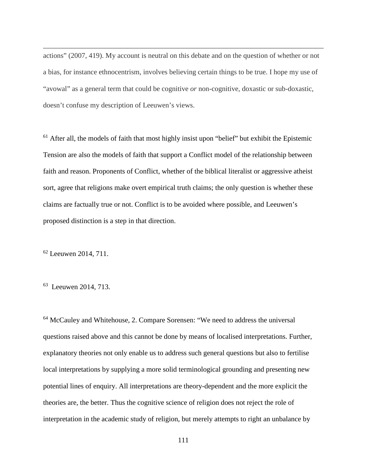actions" (2007, 419). My account is neutral on this debate and on the question of whether or not a bias, for instance ethnocentrism, involves believing certain things to be true. I hope my use of "avowal" as a general term that could be cognitive *or* non-cognitive, doxastic or sub-doxastic, doesn't confuse my description of Leeuwen's views.

 $<sup>61</sup>$  After all, the models of faith that most highly insist upon "belief" but exhibit the Epistemic</sup> Tension are also the models of faith that support a Conflict model of the relationship between faith and reason. Proponents of Conflict, whether of the biblical literalist or aggressive atheist sort, agree that religions make overt empirical truth claims; the only question is whether these claims are factually true or not. Conflict is to be avoided where possible, and Leeuwen's proposed distinction is a step in that direction.

<sup>62</sup> Leeuwen 2014, 711.

 $\overline{a}$ 

63 Leeuwen 2014, 713.

<sup>64</sup> McCauley and Whitehouse, 2. Compare Sorensen: "We need to address the universal questions raised above and this cannot be done by means of localised interpretations. Further, explanatory theories not only enable us to address such general questions but also to fertilise local interpretations by supplying a more solid terminological grounding and presenting new potential lines of enquiry. All interpretations are theory-dependent and the more explicit the theories are, the better. Thus the cognitive science of religion does not reject the role of interpretation in the academic study of religion, but merely attempts to right an unbalance by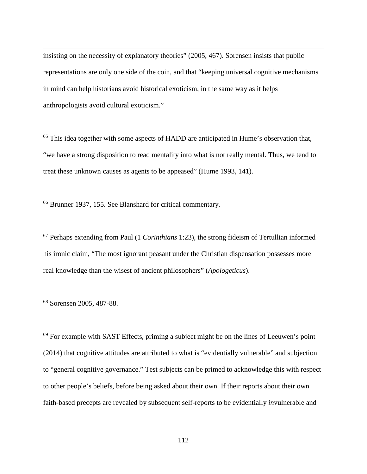insisting on the necessity of explanatory theories" (2005, 467). Sorensen insists that public representations are only one side of the coin, and that "keeping universal cognitive mechanisms in mind can help historians avoid historical exoticism, in the same way as it helps anthropologists avoid cultural exoticism."

<sup>65</sup> This idea together with some aspects of HADD are anticipated in Hume's observation that, "we have a strong disposition to read mentality into what is not really mental. Thus, we tend to treat these unknown causes as agents to be appeased" (Hume 1993, 141).

<sup>66</sup> Brunner 1937, 155. See Blanshard for critical commentary.

<sup>67</sup> Perhaps extending from Paul (1 *Corinthians* 1:23), the strong fideism of Tertullian informed his ironic claim, "The most ignorant peasant under the Christian dispensation possesses more real knowledge than the wisest of ancient philosophers" (*Apologeticus*).

<sup>68</sup> Sorensen 2005, 487-88.

 $\overline{a}$ 

 $69$  For example with SAST Effects, priming a subject might be on the lines of Leeuwen's point (2014) that cognitive attitudes are attributed to what is "evidentially vulnerable" and subjection to "general cognitive governance." Test subjects can be primed to acknowledge this with respect to other people's beliefs, before being asked about their own. If their reports about their own faith-based precepts are revealed by subsequent self-reports to be evidentially *in*vulnerable and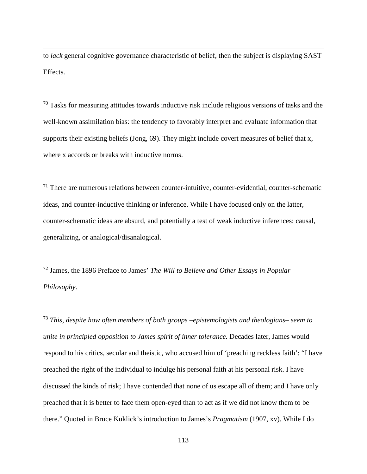to *lack* general cognitive governance characteristic of belief, then the subject is displaying SAST Effects.

 $\overline{a}$ 

 $70$  Tasks for measuring attitudes towards inductive risk include religious versions of tasks and the well-known assimilation bias: the tendency to favorably interpret and evaluate information that supports their existing beliefs (Jong, 69). They might include covert measures of belief that x, where x accords or breaks with inductive norms.

 $71$  There are numerous relations between counter-intuitive, counter-evidential, counter-schematic ideas, and counter-inductive thinking or inference. While I have focused only on the latter, counter-schematic ideas are absurd, and potentially a test of weak inductive inferences: causal, generalizing, or analogical/disanalogical.

<sup>72</sup> James, the 1896 Preface to James' *The Will to Believe and Other Essays in Popular Philosophy*.

<sup>73</sup> *This, despite how often members of both groups –epistemologists and theologians– seem to unite in principled opposition to James spirit of inner tolerance.* Decades later, James would respond to his critics, secular and theistic, who accused him of 'preaching reckless faith': "I have preached the right of the individual to indulge his personal faith at his personal risk. I have discussed the kinds of risk; I have contended that none of us escape all of them; and I have only preached that it is better to face them open-eyed than to act as if we did not know them to be there." Quoted in Bruce Kuklick's introduction to James's *Pragmatism* (1907, xv). While I do